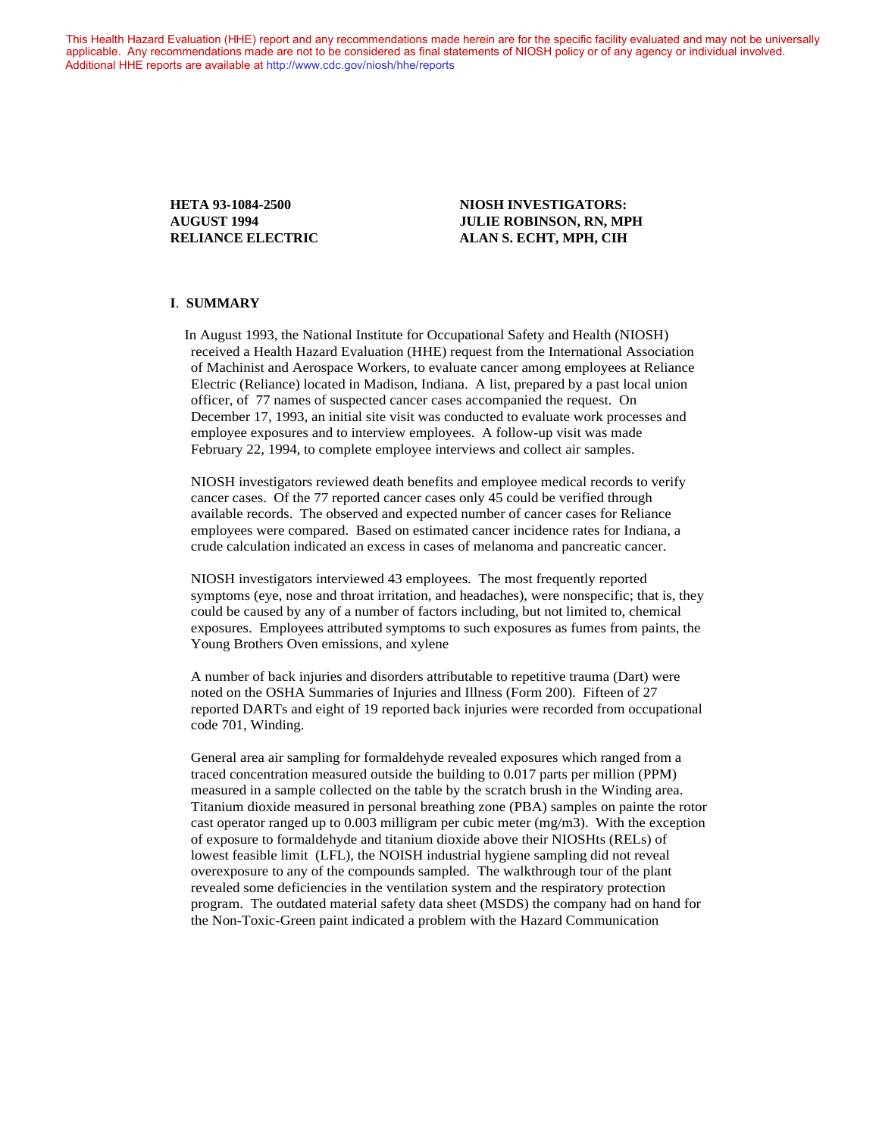This Health Hazard Evaluation (HHE) report and any recommendations made herein are for the specific facility evaluated and may not be universally applicable. Any recommendations made are not to be considered as final statements of NIOSH policy or of any agency or individual involved. Additional HHE reports are available at <http://www.cdc.gov/niosh/hhe/reports> Additional HHE reports are available at <http://www.cdc.gov/niosh/hhe/reports>

**HETA 93-1084**-**2500 NIOSH INVESTIGATORS: AUGUST 1994 JULIE ROBINSON, RN, MPH RELIANCE ELECTRIC ALAN S. ECHT, MPH, CIH** 

#### **I**. **SUMMARY**

 In August 1993, the National Institute for Occupational Safety and Health (NIOSH) received a Health Hazard Evaluation (HHE) request from the International Association of Machinist and Aerospace Workers, to evaluate cancer among employees at Reliance Electric (Reliance) located in Madison, Indiana. A list, prepared by a past local union officer, of 77 names of suspected cancer cases accompanied the request. On December 17, 1993, an initial site visit was conducted to evaluate work processes and employee exposures and to interview employees. A follow-up visit was made February 22, 1994, to complete employee interviews and collect air samples.

NIOSH investigators reviewed death benefits and employee medical records to verify cancer cases. Of the 77 reported cancer cases only 45 could be verified through available records. The observed and expected number of cancer cases for Reliance employees were compared. Based on estimated cancer incidence rates for Indiana, a crude calculation indicated an excess in cases of melanoma and pancreatic cancer.

NIOSH investigators interviewed 43 employees. The most frequently reported symptoms (eye, nose and throat irritation, and headaches), were nonspecific; that is, they could be caused by any of a number of factors including, but not limited to, chemical exposures. Employees attributed symptoms to such exposures as fumes from paints, the Young Brothers Oven emissions, and xylene

A number of back injuries and disorders attributable to repetitive trauma (Dart) were noted on the OSHA Summaries of Injuries and Illness (Form 200). Fifteen of 27 reported DARTs and eight of 19 reported back injuries were recorded from occupational code 701, Winding.

General area air sampling for formaldehyde revealed exposures which ranged from a traced concentration measured outside the building to 0.017 parts per million (PPM) measured in a sample collected on the table by the scratch brush in the Winding area. Titanium dioxide measured in personal breathing zone (PBA) samples on painte the rotor cast operator ranged up to 0.003 milligram per cubic meter (mg/m3). With the exception of exposure to formaldehyde and titanium dioxide above their NIOSHts (RELs) of lowest feasible limit (LFL), the NOISH industrial hygiene sampling did not reveal overexposure to any of the compounds sampled. The walkthrough tour of the plant revealed some deficiencies in the ventilation system and the respiratory protection program. The outdated material safety data sheet (MSDS) the company had on hand for the Non-Toxic-Green paint indicated a problem with the Hazard Communication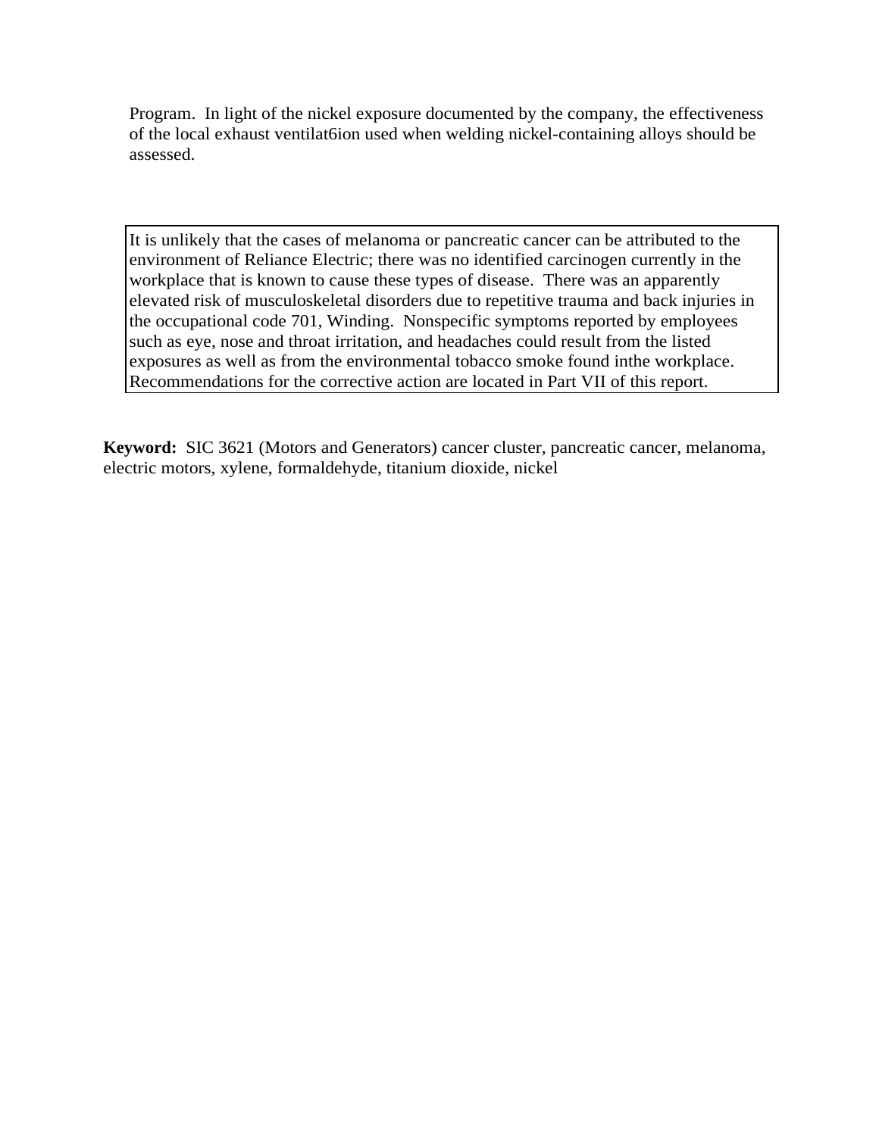Program. In light of the nickel exposure documented by the company, the effectiveness of the local exhaust ventilat6ion used when welding nickel-containing alloys should be assessed.

It is unlikely that the cases of melanoma or pancreatic cancer can be attributed to the environment of Reliance Electric; there was no identified carcinogen currently in the workplace that is known to cause these types of disease. There was an apparently elevated risk of musculoskeletal disorders due to repetitive trauma and back injuries in the occupational code 701, Winding. Nonspecific symptoms reported by employees such as eye, nose and throat irritation, and headaches could result from the listed exposures as well as from the environmental tobacco smoke found inthe workplace. Recommendations for the corrective action are located in Part VII of this report.

**Keyword:** SIC 3621 (Motors and Generators) cancer cluster, pancreatic cancer, melanoma, electric motors, xylene, formaldehyde, titanium dioxide, nickel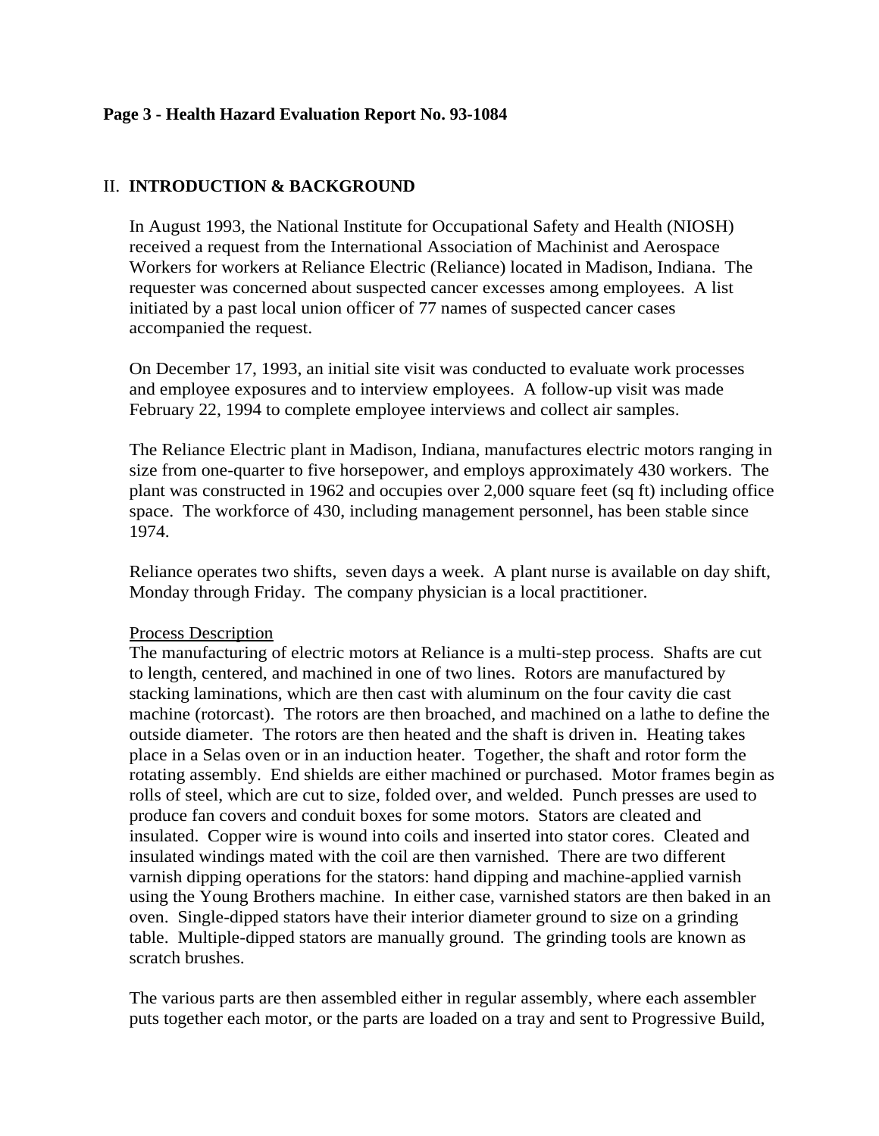# II. **INTRODUCTION & BACKGROUND**

In August 1993, the National Institute for Occupational Safety and Health (NIOSH) received a request from the International Association of Machinist and Aerospace Workers for workers at Reliance Electric (Reliance) located in Madison, Indiana. The requester was concerned about suspected cancer excesses among employees. A list initiated by a past local union officer of 77 names of suspected cancer cases accompanied the request.

On December 17, 1993, an initial site visit was conducted to evaluate work processes and employee exposures and to interview employees. A follow-up visit was made February 22, 1994 to complete employee interviews and collect air samples.

The Reliance Electric plant in Madison, Indiana, manufactures electric motors ranging in size from one-quarter to five horsepower, and employs approximately 430 workers. The plant was constructed in 1962 and occupies over 2,000 square feet (sq ft) including office space. The workforce of 430, including management personnel, has been stable since 1974.

Reliance operates two shifts, seven days a week. A plant nurse is available on day shift, Monday through Friday. The company physician is a local practitioner.

### Process Description

The manufacturing of electric motors at Reliance is a multi-step process. Shafts are cut to length, centered, and machined in one of two lines. Rotors are manufactured by stacking laminations, which are then cast with aluminum on the four cavity die cast machine (rotorcast). The rotors are then broached, and machined on a lathe to define the outside diameter. The rotors are then heated and the shaft is driven in. Heating takes place in a Selas oven or in an induction heater. Together, the shaft and rotor form the rotating assembly. End shields are either machined or purchased. Motor frames begin as rolls of steel, which are cut to size, folded over, and welded. Punch presses are used to produce fan covers and conduit boxes for some motors. Stators are cleated and insulated. Copper wire is wound into coils and inserted into stator cores. Cleated and insulated windings mated with the coil are then varnished. There are two different varnish dipping operations for the stators: hand dipping and machine-applied varnish using the Young Brothers machine. In either case, varnished stators are then baked in an oven. Single-dipped stators have their interior diameter ground to size on a grinding table. Multiple-dipped stators are manually ground. The grinding tools are known as scratch brushes.

The various parts are then assembled either in regular assembly, where each assembler puts together each motor, or the parts are loaded on a tray and sent to Progressive Build,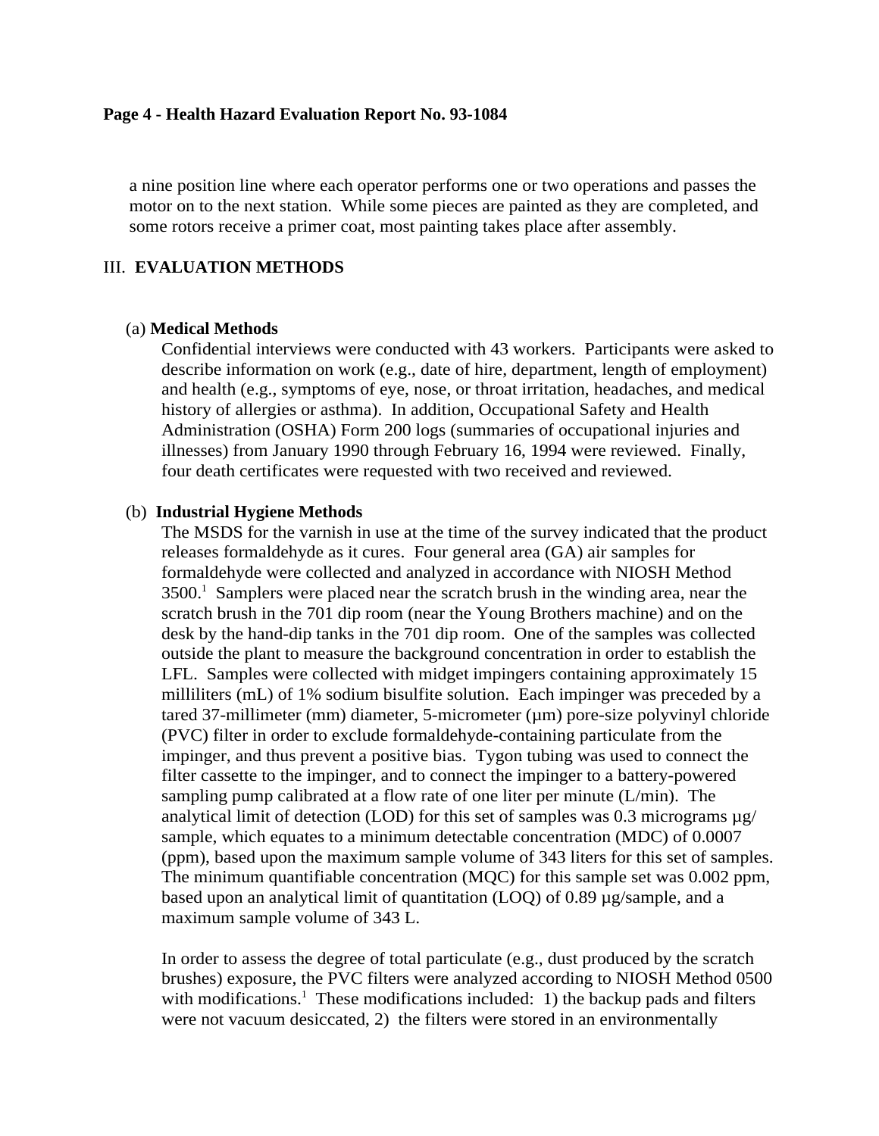#### **Page 4 - Health Hazard Evaluation Report No. 93-1084**

a nine position line where each operator performs one or two operations and passes the motor on to the next station. While some pieces are painted as they are completed, and some rotors receive a primer coat, most painting takes place after assembly.

### III. **EVALUATION METHODS**

### (a) **Medical Methods**

Confidential interviews were conducted with 43 workers. Participants were asked to describe information on work (e.g., date of hire, department, length of employment) and health (e.g., symptoms of eye, nose, or throat irritation, headaches, and medical history of allergies or asthma). In addition, Occupational Safety and Health Administration (OSHA) Form 200 logs (summaries of occupational injuries and illnesses) from January 1990 through February 16, 1994 were reviewed. Finally, four death certificates were requested with two received and reviewed.

#### (b) **Industrial Hygiene Methods**

The MSDS for the varnish in use at the time of the survey indicated that the product releases formaldehyde as it cures. Four general area (GA) air samples for formaldehyde were collected and analyzed in accordance with NIOSH Method 3500.<sup>1</sup> Samplers were placed near the scratch brush in the winding area, near the scratch brush in the 701 dip room (near the Young Brothers machine) and on the desk by the hand-dip tanks in the 701 dip room. One of the samples was collected outside the plant to measure the background concentration in order to establish the LFL. Samples were collected with midget impingers containing approximately 15 milliliters (mL) of 1% sodium bisulfite solution. Each impinger was preceded by a tared 37-millimeter (mm) diameter, 5-micrometer ( $\mu$ m) pore-size polyvinyl chloride (PVC) filter in order to exclude formaldehyde-containing particulate from the impinger, and thus prevent a positive bias. Tygon tubing was used to connect the filter cassette to the impinger, and to connect the impinger to a battery-powered sampling pump calibrated at a flow rate of one liter per minute (L/min). The analytical limit of detection (LOD) for this set of samples was 0.3 micrograms  $\mu$ g/ sample, which equates to a minimum detectable concentration (MDC) of 0.0007 (ppm), based upon the maximum sample volume of 343 liters for this set of samples. The minimum quantifiable concentration (MQC) for this sample set was 0.002 ppm, based upon an analytical limit of quantitation (LOQ) of 0.89 µg/sample, and a maximum sample volume of 343 L.

In order to assess the degree of total particulate (e.g., dust produced by the scratch brushes) exposure, the PVC filters were analyzed according to NIOSH Method 0500 with modifications.<sup>1</sup> These modifications included: 1) the backup pads and filters were not vacuum desiccated, 2) the filters were stored in an environmentally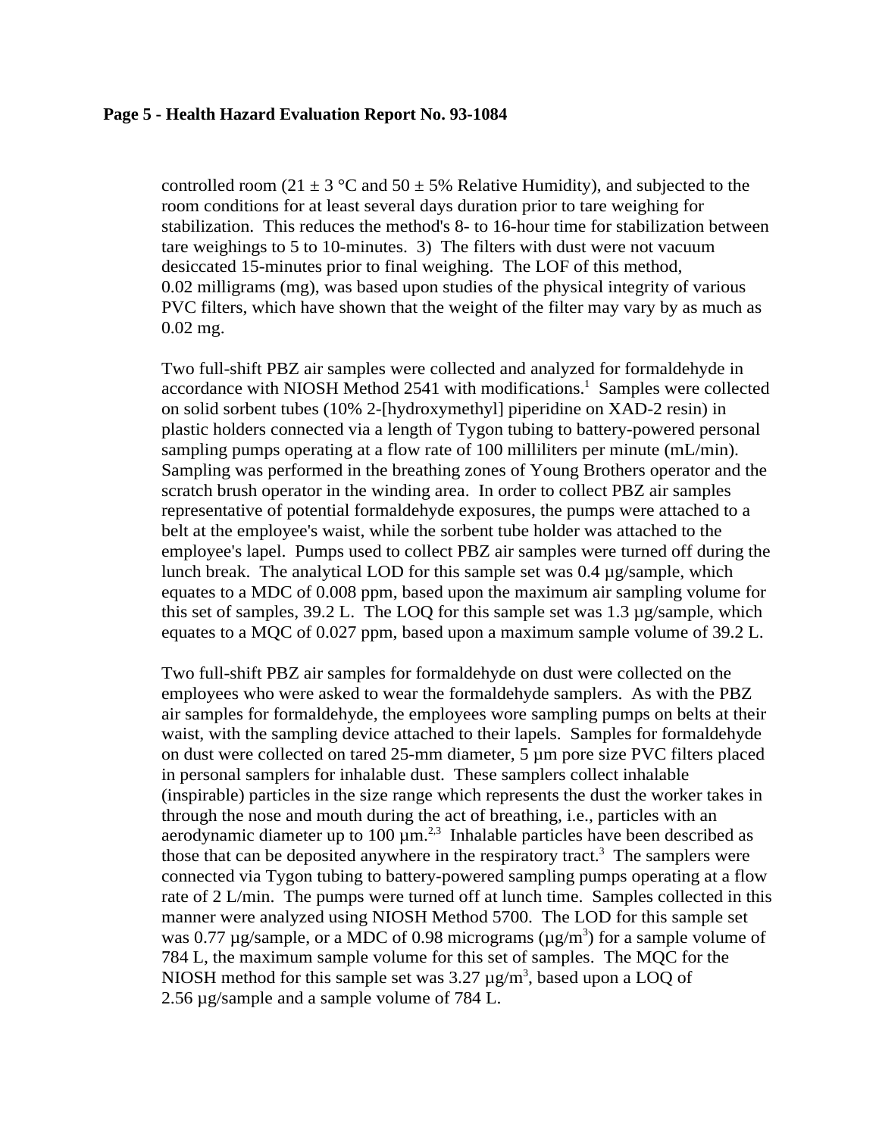### **Page 5 - Health Hazard Evaluation Report No. 93-1084**

controlled room (21  $\pm$  3 °C and 50  $\pm$  5% Relative Humidity), and subjected to the room conditions for at least several days duration prior to tare weighing for stabilization. This reduces the method's 8- to 16-hour time for stabilization between tare weighings to 5 to 10-minutes. 3) The filters with dust were not vacuum desiccated 15-minutes prior to final weighing. The LOF of this method, 0.02 milligrams (mg), was based upon studies of the physical integrity of various PVC filters, which have shown that the weight of the filter may vary by as much as 0.02 mg.

Two full-shift PBZ air samples were collected and analyzed for formaldehyde in accordance with NIOSH Method 2541 with modifications.<sup>1</sup> Samples were collected on solid sorbent tubes (10% 2-[hydroxymethyl] piperidine on XAD-2 resin) in plastic holders connected via a length of Tygon tubing to battery-powered personal sampling pumps operating at a flow rate of 100 milliliters per minute (mL/min). Sampling was performed in the breathing zones of Young Brothers operator and the scratch brush operator in the winding area. In order to collect PBZ air samples representative of potential formaldehyde exposures, the pumps were attached to a belt at the employee's waist, while the sorbent tube holder was attached to the employee's lapel. Pumps used to collect PBZ air samples were turned off during the lunch break. The analytical LOD for this sample set was  $0.4 \mu$ g/sample, which equates to a MDC of 0.008 ppm, based upon the maximum air sampling volume for this set of samples, 39.2 L. The LOQ for this sample set was 1.3 µg/sample, which equates to a MQC of 0.027 ppm, based upon a maximum sample volume of 39.2 L.

Two full-shift PBZ air samples for formaldehyde on dust were collected on the employees who were asked to wear the formaldehyde samplers. As with the PBZ air samples for formaldehyde, the employees wore sampling pumps on belts at their waist, with the sampling device attached to their lapels. Samples for formaldehyde on dust were collected on tared 25-mm diameter,  $5 \mu m$  pore size PVC filters placed in personal samplers for inhalable dust. These samplers collect inhalable (inspirable) particles in the size range which represents the dust the worker takes in through the nose and mouth during the act of breathing, i.e., particles with an aerodynamic diameter up to 100  $\mu$ m.<sup>2,3</sup> Inhalable particles have been described as those that can be deposited anywhere in the respiratory tract.<sup>3</sup> The samplers were connected via Tygon tubing to battery-powered sampling pumps operating at a flow rate of 2 L/min. The pumps were turned off at lunch time. Samples collected in this manner were analyzed using NIOSH Method 5700. The LOD for this sample set was 0.77 µg/sample, or a MDC of 0.98 micrograms ( $\mu$ g/m<sup>3</sup>) for a sample volume of 784 L, the maximum sample volume for this set of samples. The MQC for the NIOSH method for this sample set was  $3.27 \mu g/m^3$ , based upon a LOQ of 2.56 µg/sample and a sample volume of 784 L.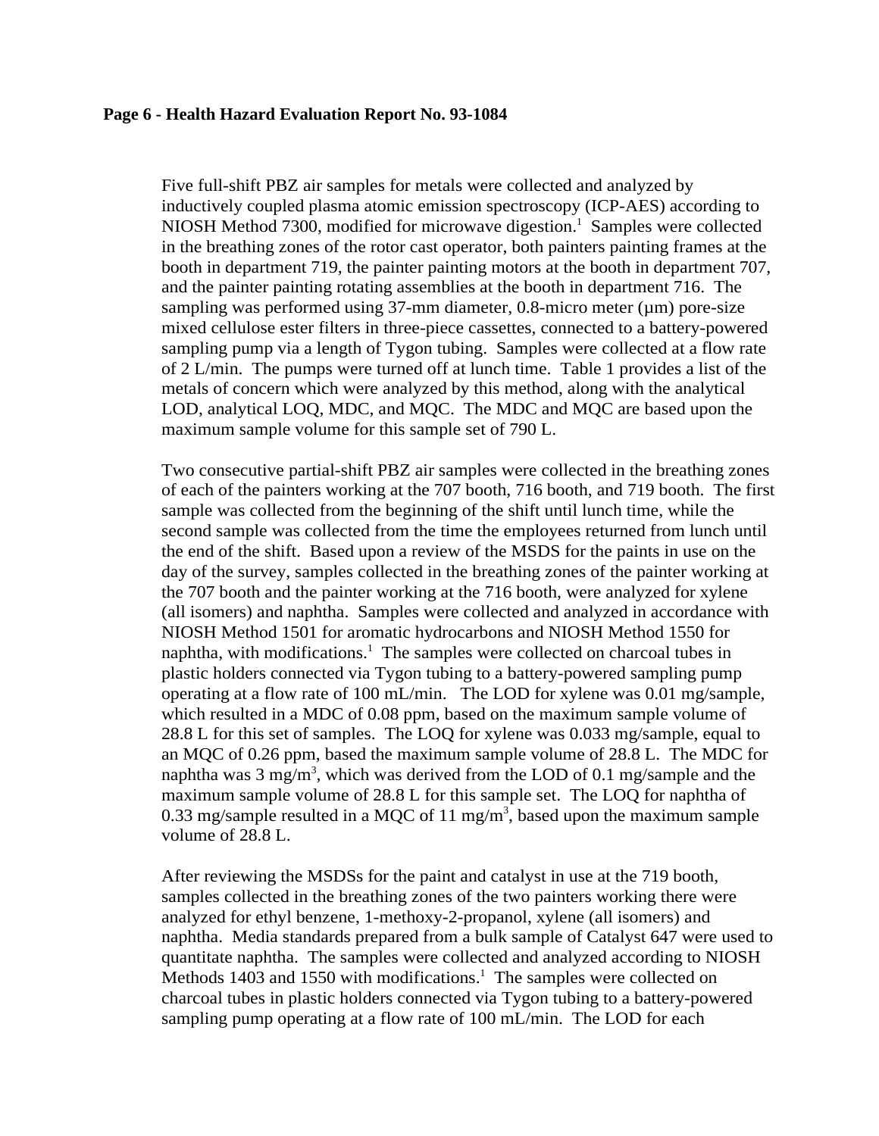#### **Page 6 - Health Hazard Evaluation Report No. 93-1084**

Five full-shift PBZ air samples for metals were collected and analyzed by inductively coupled plasma atomic emission spectroscopy (ICP-AES) according to NIOSH Method 7300, modified for microwave digestion.<sup>1</sup> Samples were collected in the breathing zones of the rotor cast operator, both painters painting frames at the booth in department 719, the painter painting motors at the booth in department 707, and the painter painting rotating assemblies at the booth in department 716. The sampling was performed using  $37$ -mm diameter, 0.8-micro meter ( $\mu$ m) pore-size mixed cellulose ester filters in three-piece cassettes, connected to a battery-powered sampling pump via a length of Tygon tubing. Samples were collected at a flow rate of 2 L/min. The pumps were turned off at lunch time. Table 1 provides a list of the metals of concern which were analyzed by this method, along with the analytical LOD, analytical LOQ, MDC, and MQC. The MDC and MQC are based upon the maximum sample volume for this sample set of 790 L.

Two consecutive partial-shift PBZ air samples were collected in the breathing zones of each of the painters working at the 707 booth, 716 booth, and 719 booth. The first sample was collected from the beginning of the shift until lunch time, while the second sample was collected from the time the employees returned from lunch until the end of the shift. Based upon a review of the MSDS for the paints in use on the day of the survey, samples collected in the breathing zones of the painter working at the 707 booth and the painter working at the 716 booth, were analyzed for xylene (all isomers) and naphtha. Samples were collected and analyzed in accordance with NIOSH Method 1501 for aromatic hydrocarbons and NIOSH Method 1550 for naphtha, with modifications.<sup>1</sup> The samples were collected on charcoal tubes in plastic holders connected via Tygon tubing to a battery-powered sampling pump operating at a flow rate of 100 mL/min. The LOD for xylene was 0.01 mg/sample, which resulted in a MDC of 0.08 ppm, based on the maximum sample volume of 28.8 L for this set of samples. The LOQ for xylene was 0.033 mg/sample, equal to an MQC of 0.26 ppm, based the maximum sample volume of 28.8 L. The MDC for naphtha was  $3 \text{ mg/m}^3$ , which was derived from the LOD of 0.1 mg/sample and the maximum sample volume of 28.8 L for this sample set. The LOQ for naphtha of 0.33 mg/sample resulted in a MQC of 11 mg/m<sup>3</sup>, based upon the maximum sample volume of 28.8 L.

After reviewing the MSDSs for the paint and catalyst in use at the 719 booth, samples collected in the breathing zones of the two painters working there were analyzed for ethyl benzene, 1-methoxy-2-propanol, xylene (all isomers) and naphtha. Media standards prepared from a bulk sample of Catalyst 647 were used to quantitate naphtha. The samples were collected and analyzed according to NIOSH Methods 1403 and 1550 with modifications.<sup>1</sup> The samples were collected on charcoal tubes in plastic holders connected via Tygon tubing to a battery-powered sampling pump operating at a flow rate of 100 mL/min. The LOD for each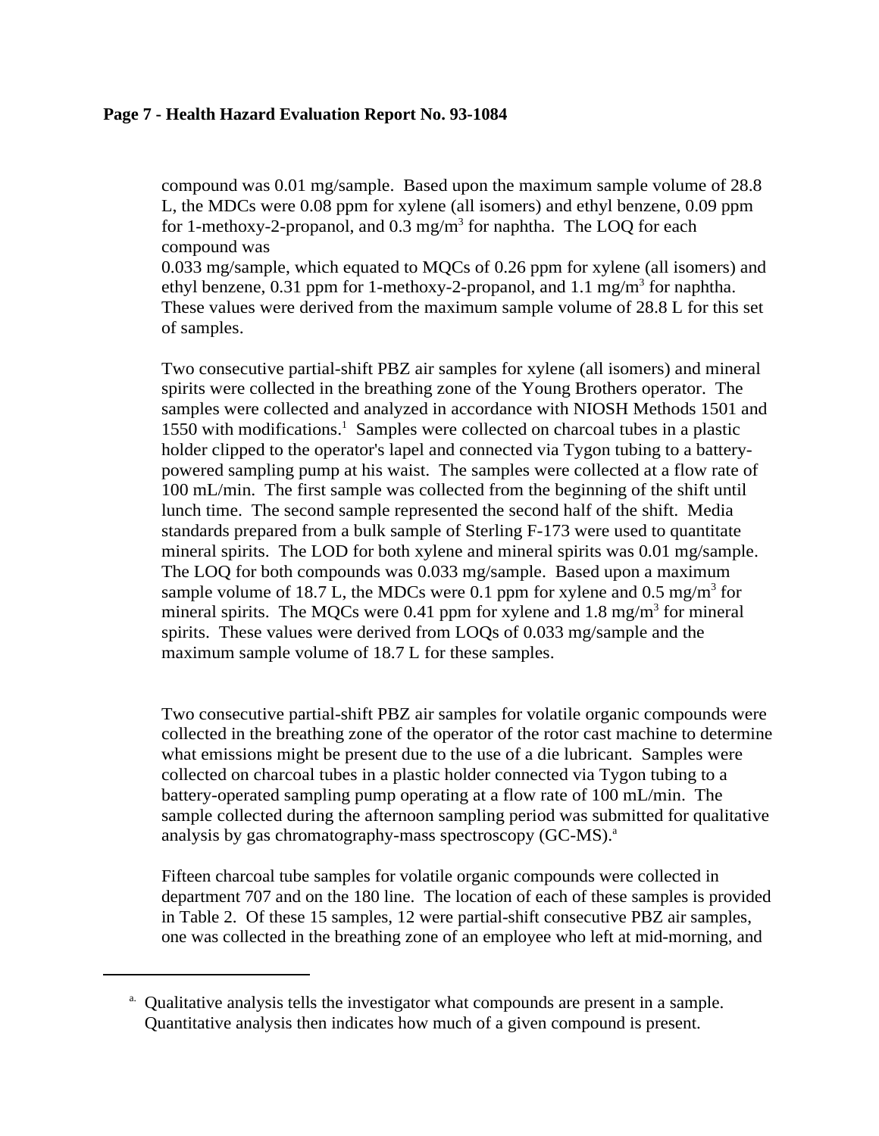### **Page 7 - Health Hazard Evaluation Report No. 93-1084**

compound was 0.01 mg/sample. Based upon the maximum sample volume of 28.8 L, the MDCs were 0.08 ppm for xylene (all isomers) and ethyl benzene, 0.09 ppm for 1-methoxy-2-propanol, and  $0.3 \text{ mg/m}^3$  for naphtha. The LOQ for each compound was

0.033 mg/sample, which equated to MQCs of 0.26 ppm for xylene (all isomers) and ethyl benzene, 0.31 ppm for 1-methoxy-2-propanol, and 1.1 mg/m<sup>3</sup> for naphtha. These values were derived from the maximum sample volume of 28.8 L for this set of samples.

Two consecutive partial-shift PBZ air samples for xylene (all isomers) and mineral spirits were collected in the breathing zone of the Young Brothers operator. The samples were collected and analyzed in accordance with NIOSH Methods 1501 and 1550 with modifications.<sup>1</sup> Samples were collected on charcoal tubes in a plastic holder clipped to the operator's lapel and connected via Tygon tubing to a batterypowered sampling pump at his waist. The samples were collected at a flow rate of 100 mL/min. The first sample was collected from the beginning of the shift until lunch time. The second sample represented the second half of the shift. Media standards prepared from a bulk sample of Sterling F-173 were used to quantitate mineral spirits. The LOD for both xylene and mineral spirits was 0.01 mg/sample. The LOQ for both compounds was 0.033 mg/sample. Based upon a maximum sample volume of 18.7 L, the MDCs were 0.1 ppm for xylene and 0.5 mg/m<sup>3</sup> for mineral spirits. The MQCs were 0.41 ppm for xylene and 1.8 mg/m<sup>3</sup> for mineral spirits. These values were derived from LOQs of 0.033 mg/sample and the maximum sample volume of 18.7 L for these samples.

Two consecutive partial-shift PBZ air samples for volatile organic compounds were collected in the breathing zone of the operator of the rotor cast machine to determine what emissions might be present due to the use of a die lubricant. Samples were collected on charcoal tubes in a plastic holder connected via Tygon tubing to a battery-operated sampling pump operating at a flow rate of 100 mL/min. The sample collected during the afternoon sampling period was submitted for qualitative analysis by gas chromatography-mass spectroscopy (GC-MS).<sup>a</sup>

Fifteen charcoal tube samples for volatile organic compounds were collected in department 707 and on the 180 line. The location of each of these samples is provided in Table 2. Of these 15 samples, 12 were partial-shift consecutive PBZ air samples, one was collected in the breathing zone of an employee who left at mid-morning, and

<sup>&</sup>lt;sup>a.</sup> Qualitative analysis tells the investigator what compounds are present in a sample. Quantitative analysis then indicates how much of a given compound is present.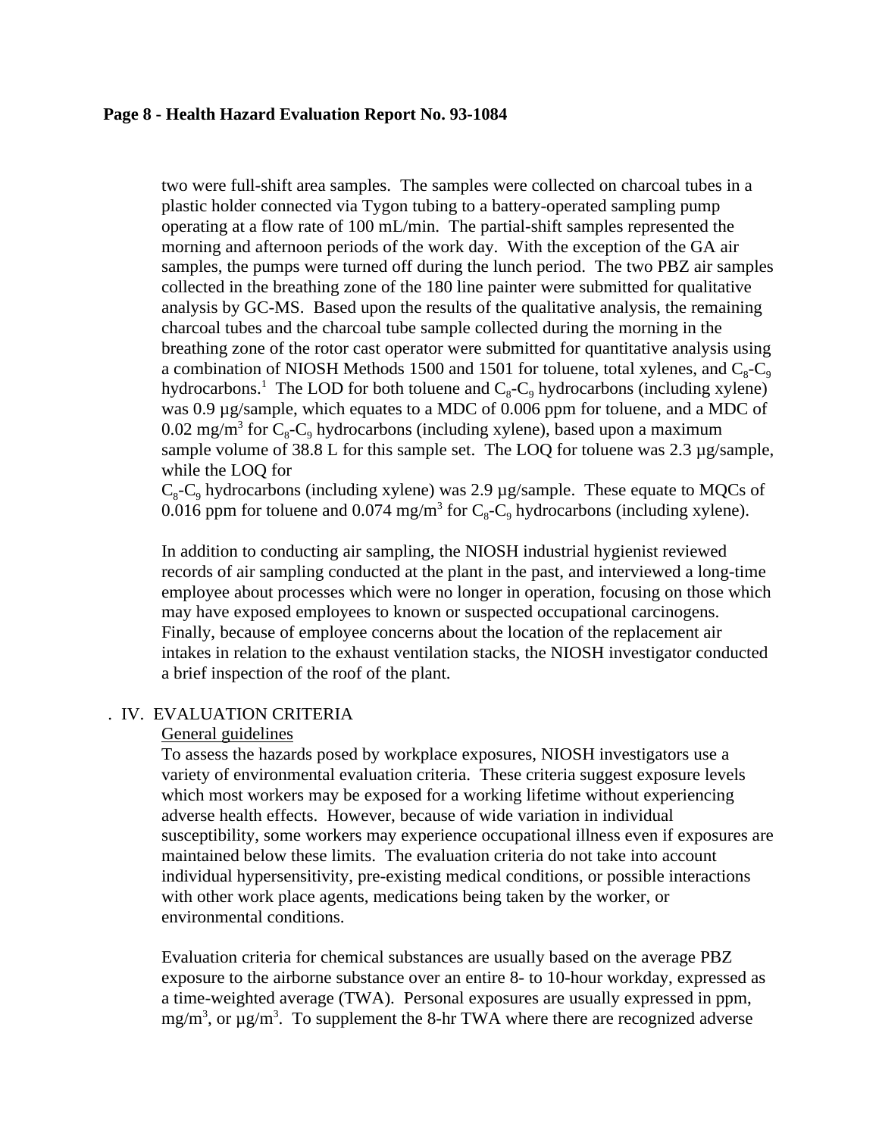### **Page 8 - Health Hazard Evaluation Report No. 93-1084**

two were full-shift area samples. The samples were collected on charcoal tubes in a plastic holder connected via Tygon tubing to a battery-operated sampling pump operating at a flow rate of 100 mL/min. The partial-shift samples represented the morning and afternoon periods of the work day. With the exception of the GA air samples, the pumps were turned off during the lunch period. The two PBZ air samples collected in the breathing zone of the 180 line painter were submitted for qualitative analysis by GC-MS. Based upon the results of the qualitative analysis, the remaining charcoal tubes and the charcoal tube sample collected during the morning in the breathing zone of the rotor cast operator were submitted for quantitative analysis using a combination of NIOSH Methods 1500 and 1501 for toluene, total xylenes, and  $C_8$ - $C_9$ hydrocarbons.<sup>1</sup> The LOD for both toluene and  $C_8$ - $C_9$  hydrocarbons (including xylene) was 0.9 µg/sample, which equates to a MDC of 0.006 ppm for toluene, and a MDC of 0.02 mg/m<sup>3</sup> for  $C_8$ - $C_9$  hydrocarbons (including xylene), based upon a maximum sample volume of 38.8 L for this sample set. The LOQ for toluene was 2.3 µg/sample, while the LOQ for

 $C_8$ -C<sub>9</sub> hydrocarbons (including xylene) was 2.9 µg/sample. These equate to MQCs of 0.016 ppm for toluene and 0.074 mg/m<sup>3</sup> for  $C_8$ - $C_9$  hydrocarbons (including xylene).

In addition to conducting air sampling, the NIOSH industrial hygienist reviewed records of air sampling conducted at the plant in the past, and interviewed a long-time employee about processes which were no longer in operation, focusing on those which may have exposed employees to known or suspected occupational carcinogens. Finally, because of employee concerns about the location of the replacement air intakes in relation to the exhaust ventilation stacks, the NIOSH investigator conducted a brief inspection of the roof of the plant.

### . IV. EVALUATION CRITERIA

#### General guidelines

To assess the hazards posed by workplace exposures, NIOSH investigators use a variety of environmental evaluation criteria. These criteria suggest exposure levels which most workers may be exposed for a working lifetime without experiencing adverse health effects. However, because of wide variation in individual susceptibility, some workers may experience occupational illness even if exposures are maintained below these limits. The evaluation criteria do not take into account individual hypersensitivity, pre-existing medical conditions, or possible interactions with other work place agents, medications being taken by the worker, or environmental conditions.

Evaluation criteria for chemical substances are usually based on the average PBZ exposure to the airborne substance over an entire 8- to 10-hour workday, expressed as a time-weighted average (TWA). Personal exposures are usually expressed in ppm,  $mg/m<sup>3</sup>$ , or  $\mu g/m<sup>3</sup>$ . To supplement the 8-hr TWA where there are recognized adverse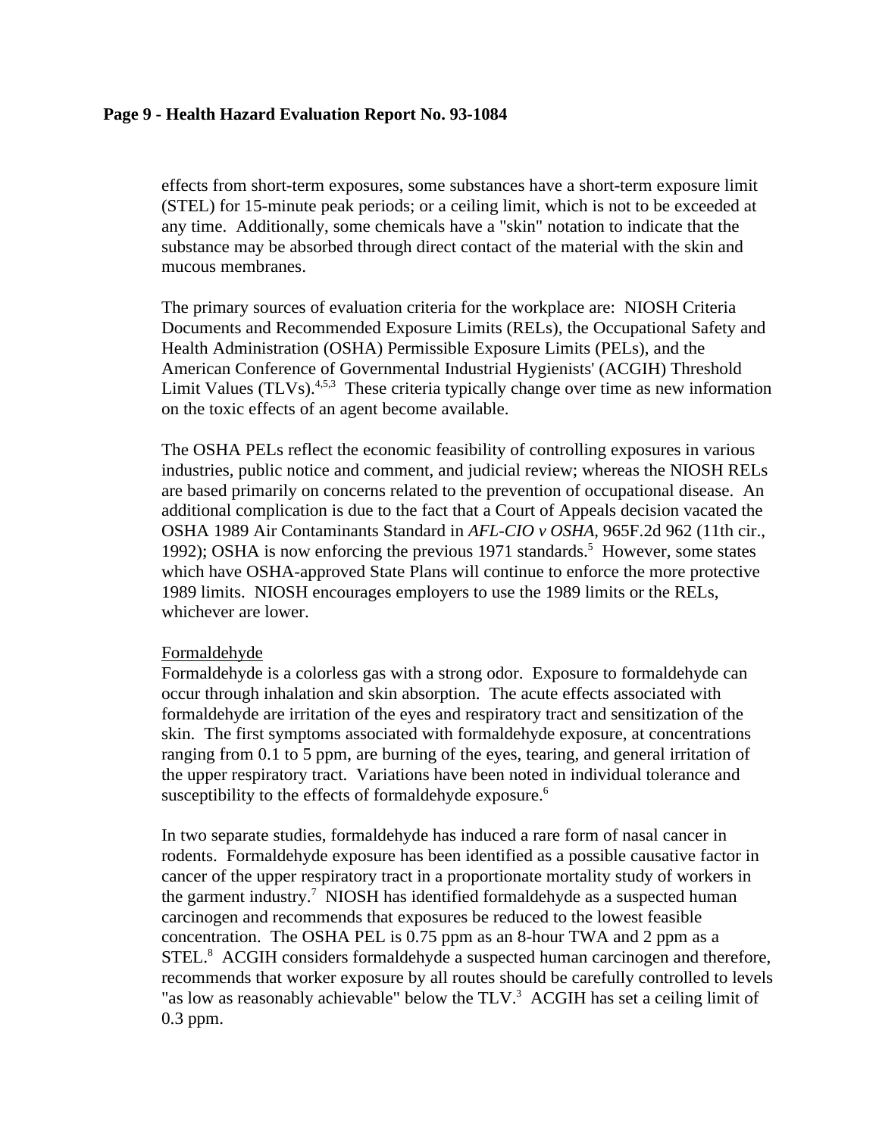### **Page 9 - Health Hazard Evaluation Report No. 93-1084**

effects from short-term exposures, some substances have a short-term exposure limit (STEL) for 15-minute peak periods; or a ceiling limit, which is not to be exceeded at any time. Additionally, some chemicals have a "skin" notation to indicate that the substance may be absorbed through direct contact of the material with the skin and mucous membranes.

The primary sources of evaluation criteria for the workplace are: NIOSH Criteria Documents and Recommended Exposure Limits (RELs), the Occupational Safety and Health Administration (OSHA) Permissible Exposure Limits (PELs), and the American Conference of Governmental Industrial Hygienists' (ACGIH) Threshold Limit Values (TLVs). $4,5,3$  These criteria typically change over time as new information on the toxic effects of an agent become available.

The OSHA PELs reflect the economic feasibility of controlling exposures in various industries, public notice and comment, and judicial review; whereas the NIOSH RELs are based primarily on concerns related to the prevention of occupational disease. An additional complication is due to the fact that a Court of Appeals decision vacated the OSHA 1989 Air Contaminants Standard in *AFL-CIO v OSHA,* 965F.2d 962 (11th cir., 1992); OSHA is now enforcing the previous 1971 standards.<sup>5</sup> However, some states which have OSHA-approved State Plans will continue to enforce the more protective 1989 limits. NIOSH encourages employers to use the 1989 limits or the RELs, whichever are lower.

### Formaldehyde

Formaldehyde is a colorless gas with a strong odor. Exposure to formaldehyde can occur through inhalation and skin absorption. The acute effects associated with formaldehyde are irritation of the eyes and respiratory tract and sensitization of the skin. The first symptoms associated with formaldehyde exposure, at concentrations ranging from 0.1 to 5 ppm, are burning of the eyes, tearing, and general irritation of the upper respiratory tract. Variations have been noted in individual tolerance and susceptibility to the effects of formaldehyde exposure.<sup>6</sup>

In two separate studies, formaldehyde has induced a rare form of nasal cancer in rodents. Formaldehyde exposure has been identified as a possible causative factor in cancer of the upper respiratory tract in a proportionate mortality study of workers in the garment industry.<sup>7</sup> NIOSH has identified formaldehyde as a suspected human carcinogen and recommends that exposures be reduced to the lowest feasible concentration. The OSHA PEL is 0.75 ppm as an 8-hour TWA and 2 ppm as a STEL.<sup>8</sup> ACGIH considers formaldehyde a suspected human carcinogen and therefore, recommends that worker exposure by all routes should be carefully controlled to levels "as low as reasonably achievable" below the TLV.<sup>3</sup> ACGIH has set a ceiling limit of 0.3 ppm.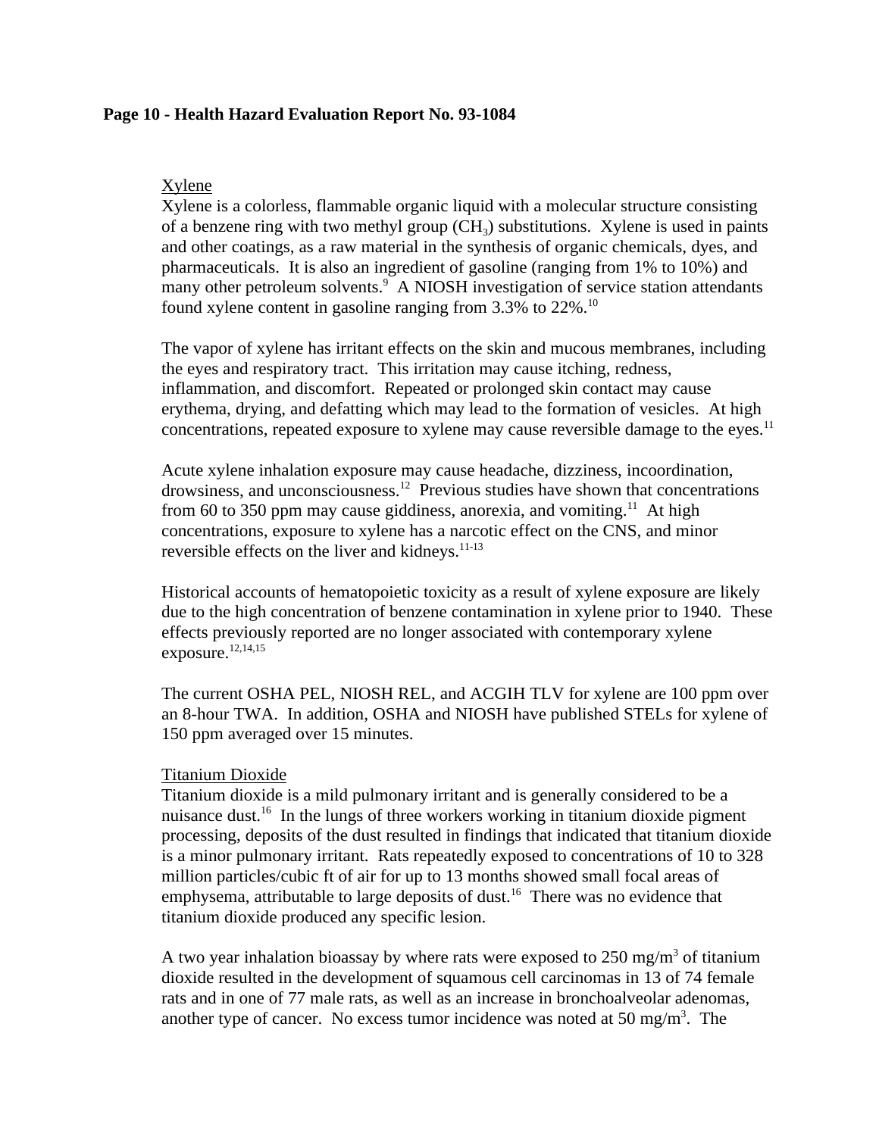### **Page 10 - Health Hazard Evaluation Report No. 93-1084**

### Xylene

Xylene is a colorless, flammable organic liquid with a molecular structure consisting of a benzene ring with two methyl group  $(CH_3)$  substitutions. Xylene is used in paints and other coatings, as a raw material in the synthesis of organic chemicals, dyes, and pharmaceuticals. It is also an ingredient of gasoline (ranging from 1% to 10%) and many other petroleum solvents.<sup>9</sup> A NIOSH investigation of service station attendants found xylene content in gasoline ranging from 3.3% to 22%.10

The vapor of xylene has irritant effects on the skin and mucous membranes, including the eyes and respiratory tract. This irritation may cause itching, redness, inflammation, and discomfort. Repeated or prolonged skin contact may cause erythema, drying, and defatting which may lead to the formation of vesicles. At high concentrations, repeated exposure to xylene may cause reversible damage to the eyes.<sup>11</sup>

Acute xylene inhalation exposure may cause headache, dizziness, incoordination, drowsiness, and unconsciousness.12 Previous studies have shown that concentrations from 60 to 350 ppm may cause giddiness, anorexia, and vomiting.<sup>11</sup> At high concentrations, exposure to xylene has a narcotic effect on the CNS, and minor reversible effects on the liver and kidneys. $11-13$ 

Historical accounts of hematopoietic toxicity as a result of xylene exposure are likely due to the high concentration of benzene contamination in xylene prior to 1940. These effects previously reported are no longer associated with contemporary xylene exposure.<sup>12,14,15</sup>

The current OSHA PEL, NIOSH REL, and ACGIH TLV for xylene are 100 ppm over an 8-hour TWA. In addition, OSHA and NIOSH have published STELs for xylene of 150 ppm averaged over 15 minutes.

### Titanium Dioxide

Titanium dioxide is a mild pulmonary irritant and is generally considered to be a nuisance dust.<sup>16</sup> In the lungs of three workers working in titanium dioxide pigment processing, deposits of the dust resulted in findings that indicated that titanium dioxide is a minor pulmonary irritant. Rats repeatedly exposed to concentrations of 10 to 328 million particles/cubic ft of air for up to 13 months showed small focal areas of emphysema, attributable to large deposits of dust.<sup>16</sup> There was no evidence that titanium dioxide produced any specific lesion.

A two year inhalation bioassay by where rats were exposed to  $250 \text{ mg/m}^3$  of titanium dioxide resulted in the development of squamous cell carcinomas in 13 of 74 female rats and in one of 77 male rats, as well as an increase in bronchoalveolar adenomas, another type of cancer. No excess tumor incidence was noted at 50 mg/m<sup>3</sup>. The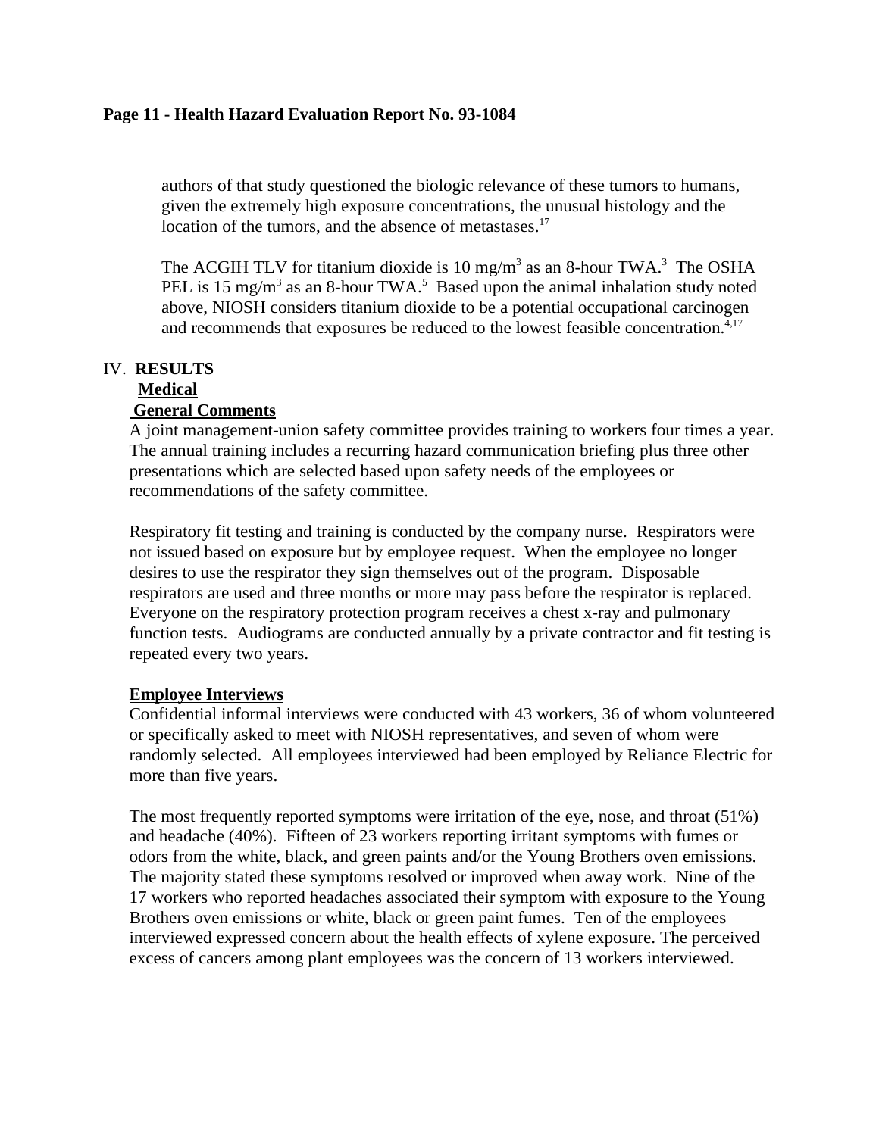### **Page 11 - Health Hazard Evaluation Report No. 93-1084**

authors of that study questioned the biologic relevance of these tumors to humans, given the extremely high exposure concentrations, the unusual histology and the location of the tumors, and the absence of metastases.<sup>17</sup>

The ACGIH TLV for titanium dioxide is  $10 \text{ mg/m}^3$  as an 8-hour TWA.<sup>3</sup> The OSHA PEL is 15 mg/m<sup>3</sup> as an 8-hour TWA.<sup>5</sup> Based upon the animal inhalation study noted above, NIOSH considers titanium dioxide to be a potential occupational carcinogen and recommends that exposures be reduced to the lowest feasible concentration.<sup>4,17</sup>

### IV. **RESULTS**

### **Medical**

# **General Comments**

A joint management-union safety committee provides training to workers four times a year. The annual training includes a recurring hazard communication briefing plus three other presentations which are selected based upon safety needs of the employees or recommendations of the safety committee.

Respiratory fit testing and training is conducted by the company nurse. Respirators were not issued based on exposure but by employee request. When the employee no longer desires to use the respirator they sign themselves out of the program. Disposable respirators are used and three months or more may pass before the respirator is replaced. Everyone on the respiratory protection program receives a chest x-ray and pulmonary function tests. Audiograms are conducted annually by a private contractor and fit testing is repeated every two years.

### **Employee Interviews**

Confidential informal interviews were conducted with 43 workers, 36 of whom volunteered or specifically asked to meet with NIOSH representatives, and seven of whom were randomly selected. All employees interviewed had been employed by Reliance Electric for more than five years.

The most frequently reported symptoms were irritation of the eye, nose, and throat (51%) and headache (40%). Fifteen of 23 workers reporting irritant symptoms with fumes or odors from the white, black, and green paints and/or the Young Brothers oven emissions. The majority stated these symptoms resolved or improved when away work. Nine of the 17 workers who reported headaches associated their symptom with exposure to the Young Brothers oven emissions or white, black or green paint fumes. Ten of the employees interviewed expressed concern about the health effects of xylene exposure. The perceived excess of cancers among plant employees was the concern of 13 workers interviewed.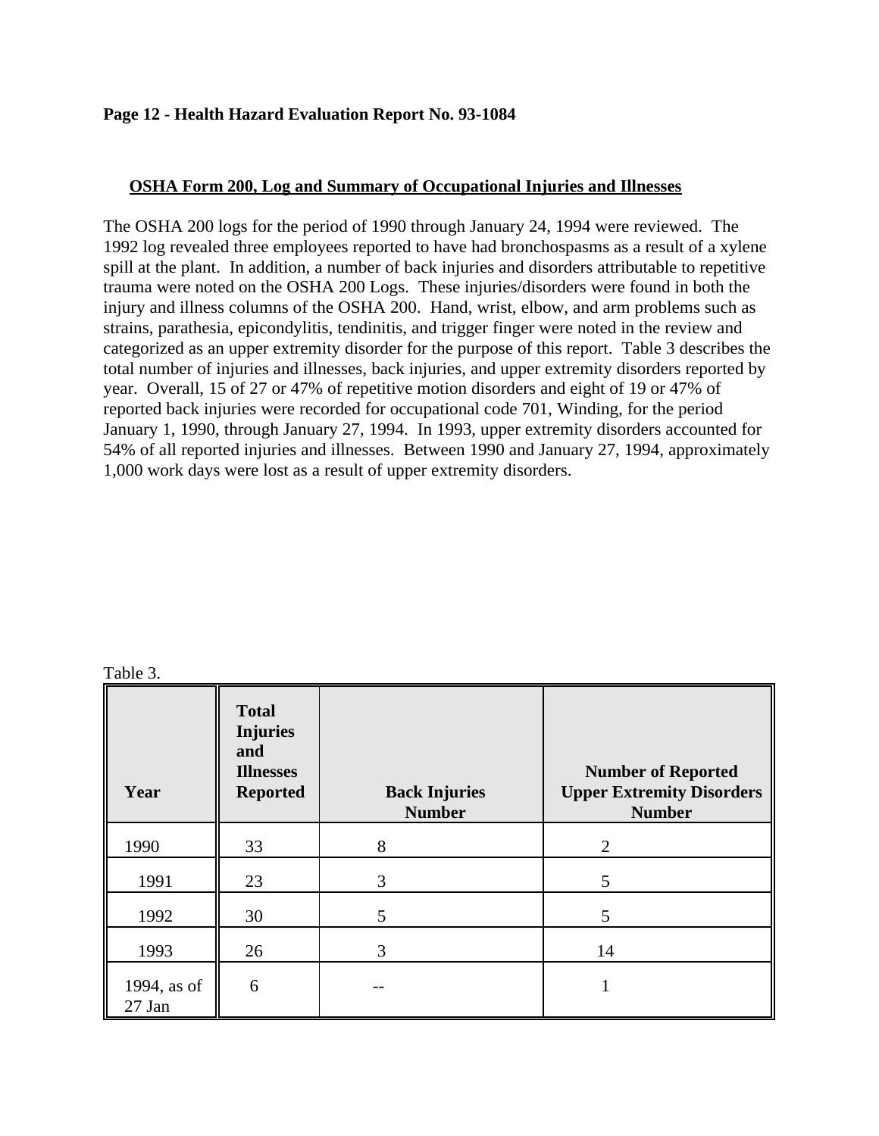### **Page 12 - Health Hazard Evaluation Report No. 93-1084**

### **OSHA Form 200, Log and Summary of Occupational Injuries and Illnesses**

The OSHA 200 logs for the period of 1990 through January 24, 1994 were reviewed. The 1992 log revealed three employees reported to have had bronchospasms as a result of a xylene spill at the plant. In addition, a number of back injuries and disorders attributable to repetitive trauma were noted on the OSHA 200 Logs. These injuries/disorders were found in both the injury and illness columns of the OSHA 200. Hand, wrist, elbow, and arm problems such as strains, parathesia, epicondylitis, tendinitis, and trigger finger were noted in the review and categorized as an upper extremity disorder for the purpose of this report. Table 3 describes the total number of injuries and illnesses, back injuries, and upper extremity disorders reported by year. Overall, 15 of 27 or 47% of repetitive motion disorders and eight of 19 or 47% of reported back injuries were recorded for occupational code 701, Winding, for the period January 1, 1990, through January 27, 1994. In 1993, upper extremity disorders accounted for 54% of all reported injuries and illnesses. Between 1990 and January 27, 1994, approximately 1,000 work days were lost as a result of upper extremity disorders.

| able |  |
|------|--|
|      |  |

| Year                  | <b>Total</b><br><b>Injuries</b><br>and<br><b>Illnesses</b><br><b>Reported</b> | <b>Back Injuries</b><br><b>Number</b> | <b>Number of Reported</b><br><b>Upper Extremity Disorders</b><br><b>Number</b> |
|-----------------------|-------------------------------------------------------------------------------|---------------------------------------|--------------------------------------------------------------------------------|
| 1990                  | 33                                                                            | 8                                     | $\overline{2}$                                                                 |
| 1991                  | 23                                                                            | 3                                     | 5                                                                              |
| 1992                  | 30                                                                            | 5                                     | 5                                                                              |
| 1993                  | 26                                                                            | 3                                     | 14                                                                             |
| 1994, as of<br>27 Jan | 6                                                                             |                                       |                                                                                |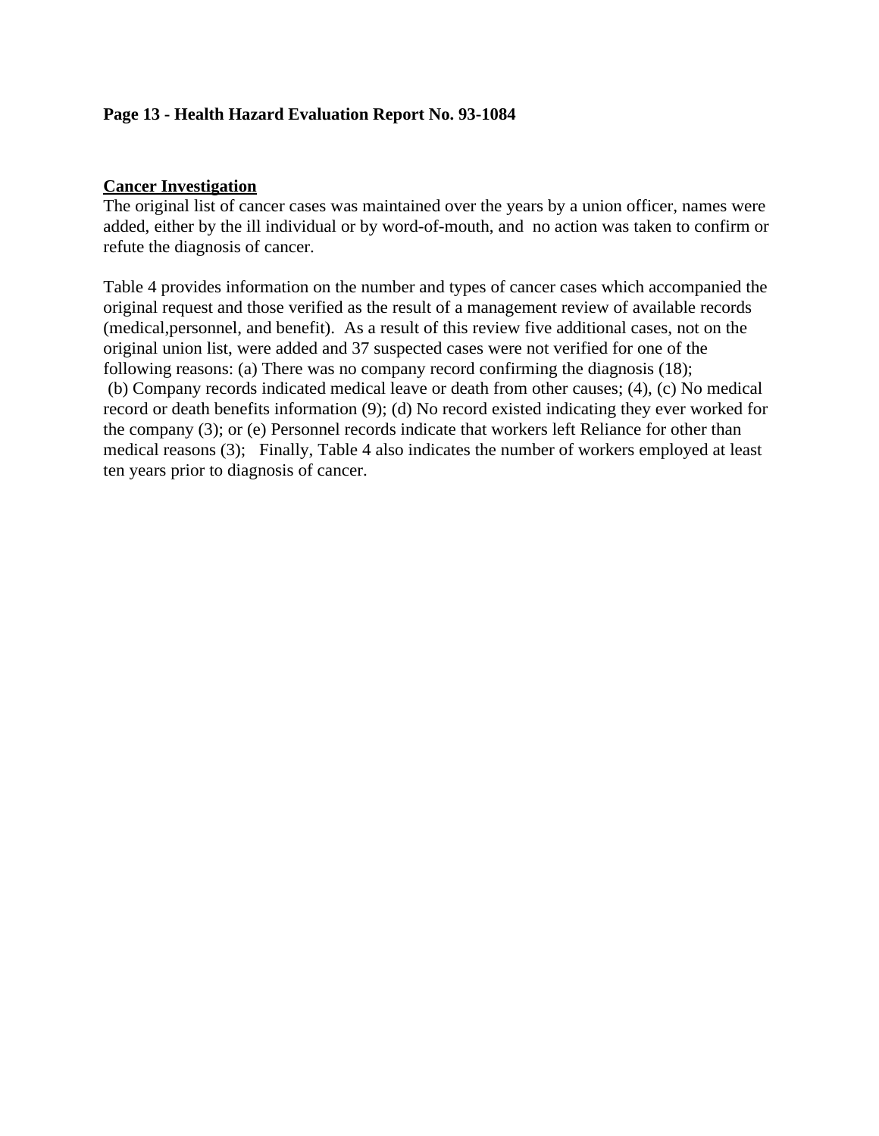### **Page 13 - Health Hazard Evaluation Report No. 93-1084**

### **Cancer Investigation**

The original list of cancer cases was maintained over the years by a union officer, names were added, either by the ill individual or by word-of-mouth, and no action was taken to confirm or refute the diagnosis of cancer.

Table 4 provides information on the number and types of cancer cases which accompanied the original request and those verified as the result of a management review of available records (medical,personnel, and benefit). As a result of this review five additional cases, not on the original union list, were added and 37 suspected cases were not verified for one of the following reasons: (a) There was no company record confirming the diagnosis (18); (b) Company records indicated medical leave or death from other causes; (4), (c) No medical record or death benefits information (9); (d) No record existed indicating they ever worked for the company (3); or (e) Personnel records indicate that workers left Reliance for other than medical reasons (3); Finally, Table 4 also indicates the number of workers employed at least ten years prior to diagnosis of cancer.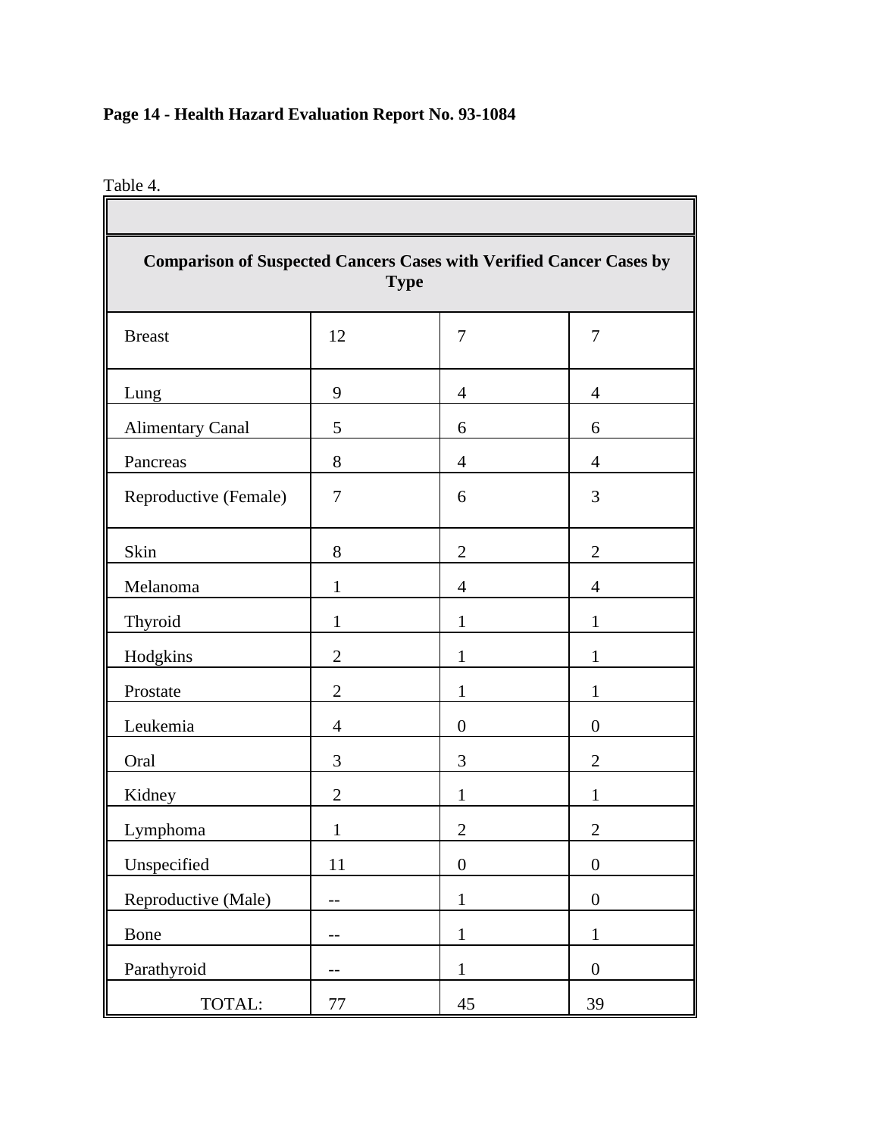# **Page 14 - Health Hazard Evaluation Report No. 93-1084**

| Table |  |  |
|-------|--|--|
|       |  |  |

|                         | <b>Comparison of Suspected Cancers Cases with Verified Cancer Cases by</b><br><b>Type</b> |                  |                  |  |  |
|-------------------------|-------------------------------------------------------------------------------------------|------------------|------------------|--|--|
| <b>Breast</b>           | 12                                                                                        | $\overline{7}$   | 7                |  |  |
| Lung                    | 9                                                                                         | $\overline{4}$   | $\overline{4}$   |  |  |
| <b>Alimentary Canal</b> | 5                                                                                         | 6                | 6                |  |  |
| Pancreas                | 8                                                                                         | $\overline{4}$   | $\overline{4}$   |  |  |
| Reproductive (Female)   | $\tau$                                                                                    | 6                | 3                |  |  |
| Skin                    | 8                                                                                         | $\overline{2}$   | $\overline{2}$   |  |  |
| Melanoma                | $\mathbf{1}$                                                                              | $\overline{4}$   | $\overline{4}$   |  |  |
| Thyroid                 | $\mathbf{1}$                                                                              | 1                | $\mathbf{1}$     |  |  |
| Hodgkins                | $\overline{2}$                                                                            | 1                | 1                |  |  |
| Prostate                | $\overline{2}$                                                                            | 1                | $\mathbf{1}$     |  |  |
| Leukemia                | $\overline{4}$                                                                            | $\boldsymbol{0}$ | $\boldsymbol{0}$ |  |  |
| Oral                    | 3                                                                                         | 3                | $\overline{2}$   |  |  |
| Kidney                  | $\overline{2}$                                                                            | 1                | 1                |  |  |
| Lymphoma                | 1                                                                                         | $\overline{2}$   | $\overline{2}$   |  |  |
| Unspecified             | 11                                                                                        | $\boldsymbol{0}$ | $\boldsymbol{0}$ |  |  |
| Reproductive (Male)     |                                                                                           | $\mathbf{1}$     | $\boldsymbol{0}$ |  |  |
| Bone                    |                                                                                           | $\mathbf{1}$     | $\mathbf{1}$     |  |  |
| Parathyroid             | --                                                                                        | $\mathbf{1}$     | $\boldsymbol{0}$ |  |  |
| TOTAL:                  | 77                                                                                        | 45               | 39               |  |  |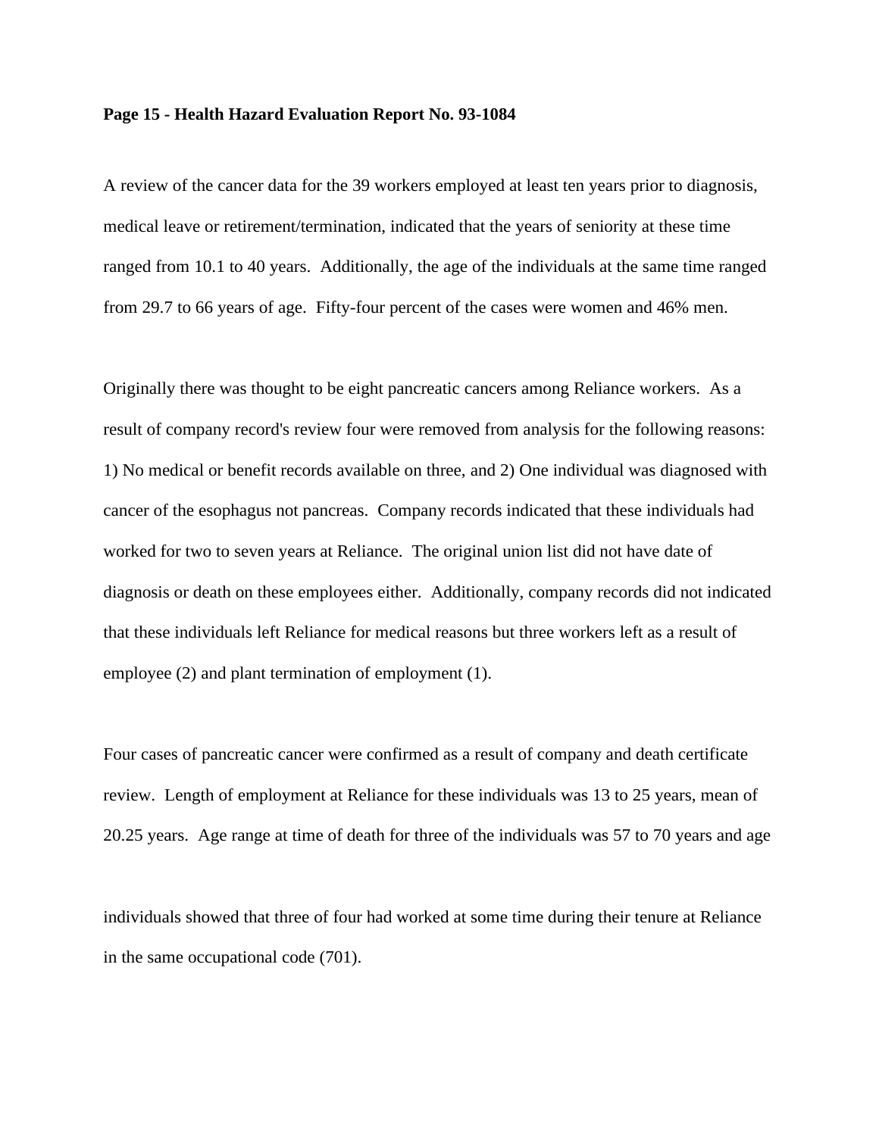#### **Page 15 - Health Hazard Evaluation Report No. 93-1084**

A review of the cancer data for the 39 workers employed at least ten years prior to diagnosis, medical leave or retirement/termination, indicated that the years of seniority at these time ranged from 10.1 to 40 years. Additionally, the age of the individuals at the same time ranged from 29.7 to 66 years of age. Fifty-four percent of the cases were women and 46% men.

Originally there was thought to be eight pancreatic cancers among Reliance workers. As a result of company record's review four were removed from analysis for the following reasons: 1) No medical or benefit records available on three, and 2) One individual was diagnosed with cancer of the esophagus not pancreas. Company records indicated that these individuals had worked for two to seven years at Reliance. The original union list did not have date of diagnosis or death on these employees either. Additionally, company records did not indicated that these individuals left Reliance for medical reasons but three workers left as a result of employee (2) and plant termination of employment (1).

Four cases of pancreatic cancer were confirmed as a result of company and death certificate review. Length of employment at Reliance for these individuals was 13 to 25 years, mean of 20.25 years. Age range at time of death for three of the individuals was 57 to 70 years and age

individuals showed that three of four had worked at some time during their tenure at Reliance in the same occupational code (701).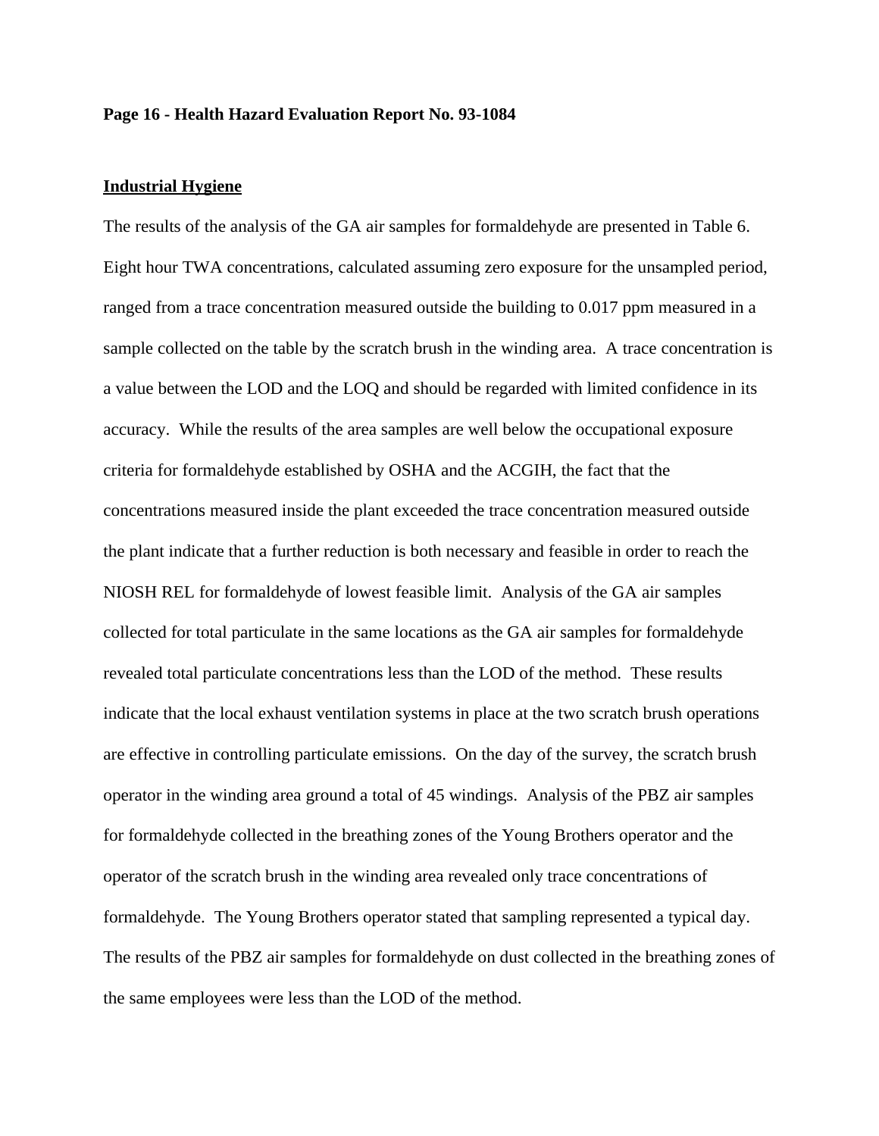#### **Page 16 - Health Hazard Evaluation Report No. 93-1084**

#### **Industrial Hygiene**

The results of the analysis of the GA air samples for formaldehyde are presented in Table 6. Eight hour TWA concentrations, calculated assuming zero exposure for the unsampled period, ranged from a trace concentration measured outside the building to 0.017 ppm measured in a sample collected on the table by the scratch brush in the winding area. A trace concentration is a value between the LOD and the LOQ and should be regarded with limited confidence in its accuracy. While the results of the area samples are well below the occupational exposure criteria for formaldehyde established by OSHA and the ACGIH, the fact that the concentrations measured inside the plant exceeded the trace concentration measured outside the plant indicate that a further reduction is both necessary and feasible in order to reach the NIOSH REL for formaldehyde of lowest feasible limit. Analysis of the GA air samples collected for total particulate in the same locations as the GA air samples for formaldehyde revealed total particulate concentrations less than the LOD of the method. These results indicate that the local exhaust ventilation systems in place at the two scratch brush operations are effective in controlling particulate emissions. On the day of the survey, the scratch brush operator in the winding area ground a total of 45 windings. Analysis of the PBZ air samples for formaldehyde collected in the breathing zones of the Young Brothers operator and the operator of the scratch brush in the winding area revealed only trace concentrations of formaldehyde. The Young Brothers operator stated that sampling represented a typical day. The results of the PBZ air samples for formaldehyde on dust collected in the breathing zones of the same employees were less than the LOD of the method.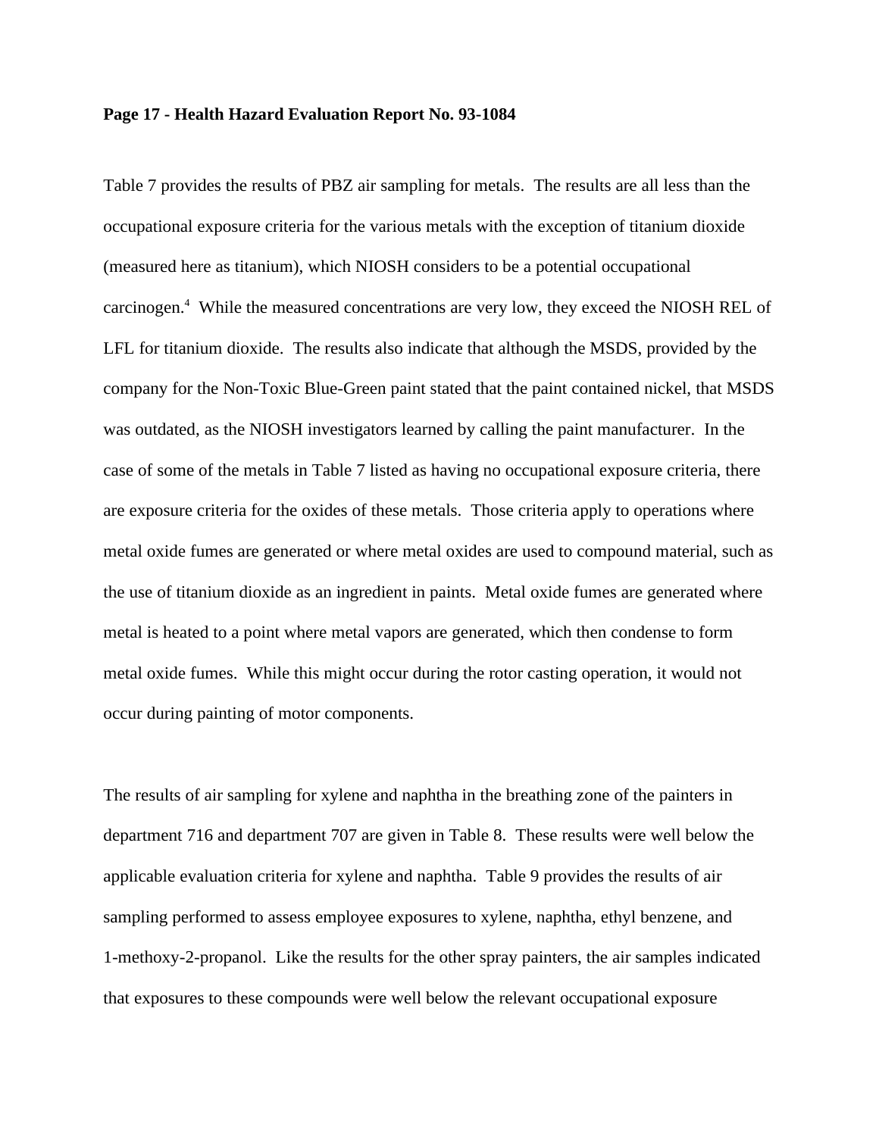#### **Page 17 - Health Hazard Evaluation Report No. 93-1084**

Table 7 provides the results of PBZ air sampling for metals. The results are all less than the occupational exposure criteria for the various metals with the exception of titanium dioxide (measured here as titanium), which NIOSH considers to be a potential occupational carcinogen.<sup>4</sup> While the measured concentrations are very low, they exceed the NIOSH REL of LFL for titanium dioxide. The results also indicate that although the MSDS, provided by the company for the Non-Toxic Blue-Green paint stated that the paint contained nickel, that MSDS was outdated, as the NIOSH investigators learned by calling the paint manufacturer. In the case of some of the metals in Table 7 listed as having no occupational exposure criteria, there are exposure criteria for the oxides of these metals. Those criteria apply to operations where metal oxide fumes are generated or where metal oxides are used to compound material, such as the use of titanium dioxide as an ingredient in paints. Metal oxide fumes are generated where metal is heated to a point where metal vapors are generated, which then condense to form metal oxide fumes. While this might occur during the rotor casting operation, it would not occur during painting of motor components.

The results of air sampling for xylene and naphtha in the breathing zone of the painters in department 716 and department 707 are given in Table 8. These results were well below the applicable evaluation criteria for xylene and naphtha. Table 9 provides the results of air sampling performed to assess employee exposures to xylene, naphtha, ethyl benzene, and 1-methoxy-2-propanol. Like the results for the other spray painters, the air samples indicated that exposures to these compounds were well below the relevant occupational exposure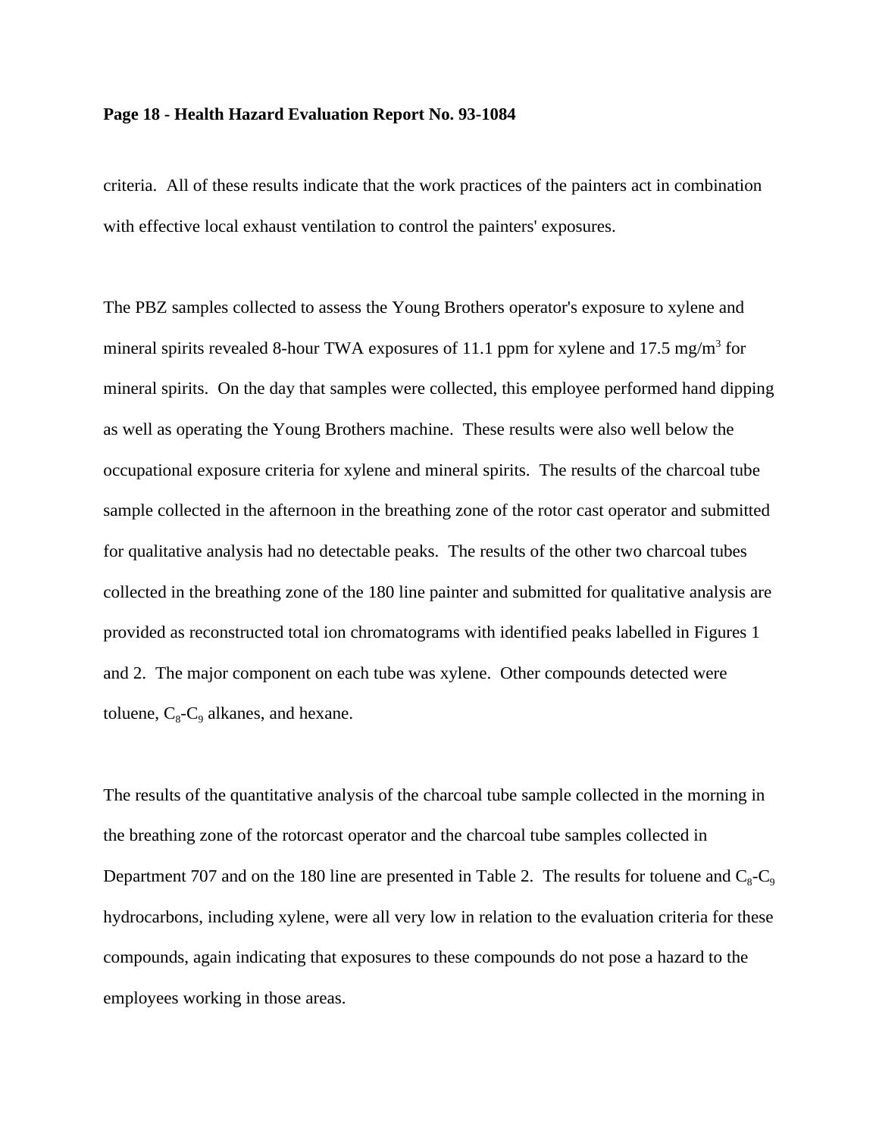#### **Page 18 - Health Hazard Evaluation Report No. 93-1084**

criteria. All of these results indicate that the work practices of the painters act in combination with effective local exhaust ventilation to control the painters' exposures.

The PBZ samples collected to assess the Young Brothers operator's exposure to xylene and mineral spirits revealed 8-hour TWA exposures of 11.1 ppm for xylene and 17.5 mg/m<sup>3</sup> for mineral spirits. On the day that samples were collected, this employee performed hand dipping as well as operating the Young Brothers machine. These results were also well below the occupational exposure criteria for xylene and mineral spirits. The results of the charcoal tube sample collected in the afternoon in the breathing zone of the rotor cast operator and submitted for qualitative analysis had no detectable peaks. The results of the other two charcoal tubes collected in the breathing zone of the 180 line painter and submitted for qualitative analysis are provided as reconstructed total ion chromatograms with identified peaks labelled in Figures 1 and 2. The major component on each tube was xylene. Other compounds detected were toluene,  $C_8$ - $C_9$  alkanes, and hexane.

The results of the quantitative analysis of the charcoal tube sample collected in the morning in the breathing zone of the rotorcast operator and the charcoal tube samples collected in Department 707 and on the 180 line are presented in Table 2. The results for toluene and  $C_8-C_9$ hydrocarbons, including xylene, were all very low in relation to the evaluation criteria for these compounds, again indicating that exposures to these compounds do not pose a hazard to the employees working in those areas.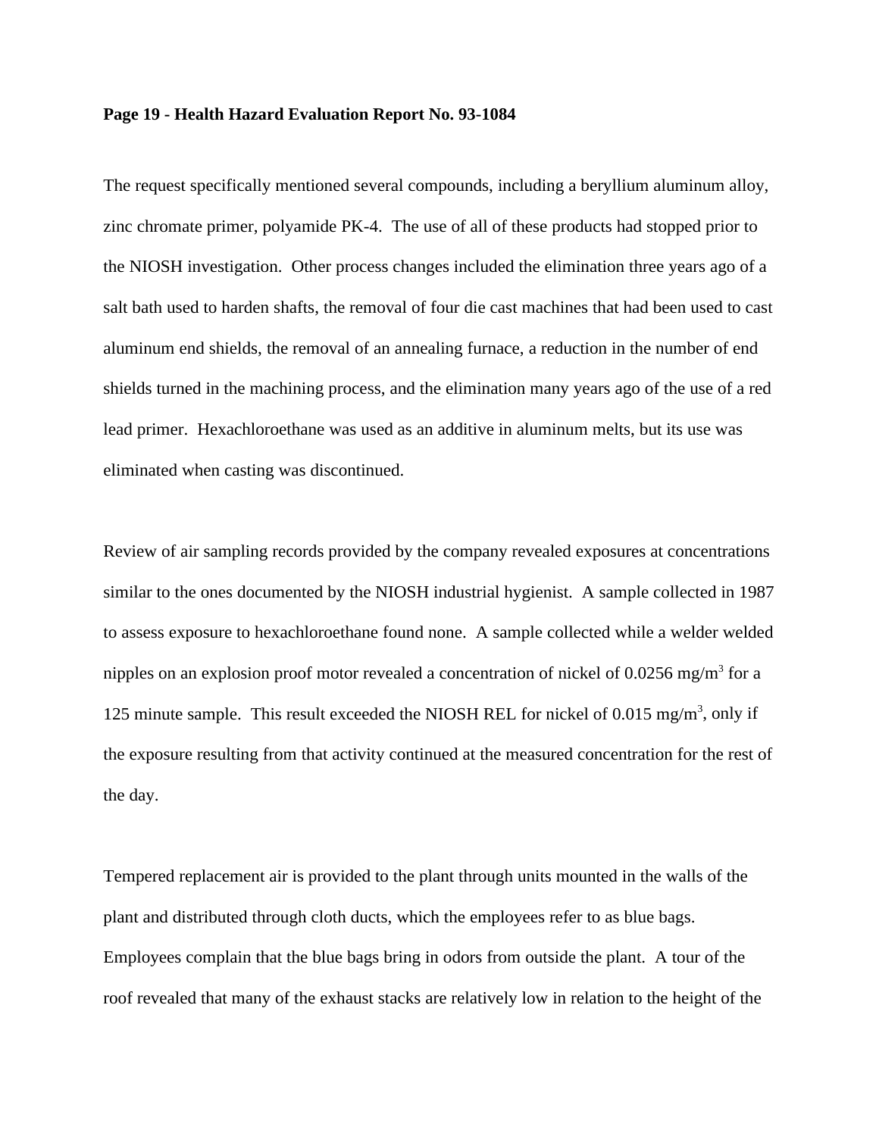#### **Page 19 - Health Hazard Evaluation Report No. 93-1084**

The request specifically mentioned several compounds, including a beryllium aluminum alloy, zinc chromate primer, polyamide PK-4. The use of all of these products had stopped prior to the NIOSH investigation. Other process changes included the elimination three years ago of a salt bath used to harden shafts, the removal of four die cast machines that had been used to cast aluminum end shields, the removal of an annealing furnace, a reduction in the number of end shields turned in the machining process, and the elimination many years ago of the use of a red lead primer. Hexachloroethane was used as an additive in aluminum melts, but its use was eliminated when casting was discontinued.

Review of air sampling records provided by the company revealed exposures at concentrations similar to the ones documented by the NIOSH industrial hygienist. A sample collected in 1987 to assess exposure to hexachloroethane found none. A sample collected while a welder welded nipples on an explosion proof motor revealed a concentration of nickel of  $0.0256$  mg/m<sup>3</sup> for a 125 minute sample. This result exceeded the NIOSH REL for nickel of 0.015 mg/m<sup>3</sup>, only if the exposure resulting from that activity continued at the measured concentration for the rest of the day.

Tempered replacement air is provided to the plant through units mounted in the walls of the plant and distributed through cloth ducts, which the employees refer to as blue bags. Employees complain that the blue bags bring in odors from outside the plant. A tour of the roof revealed that many of the exhaust stacks are relatively low in relation to the height of the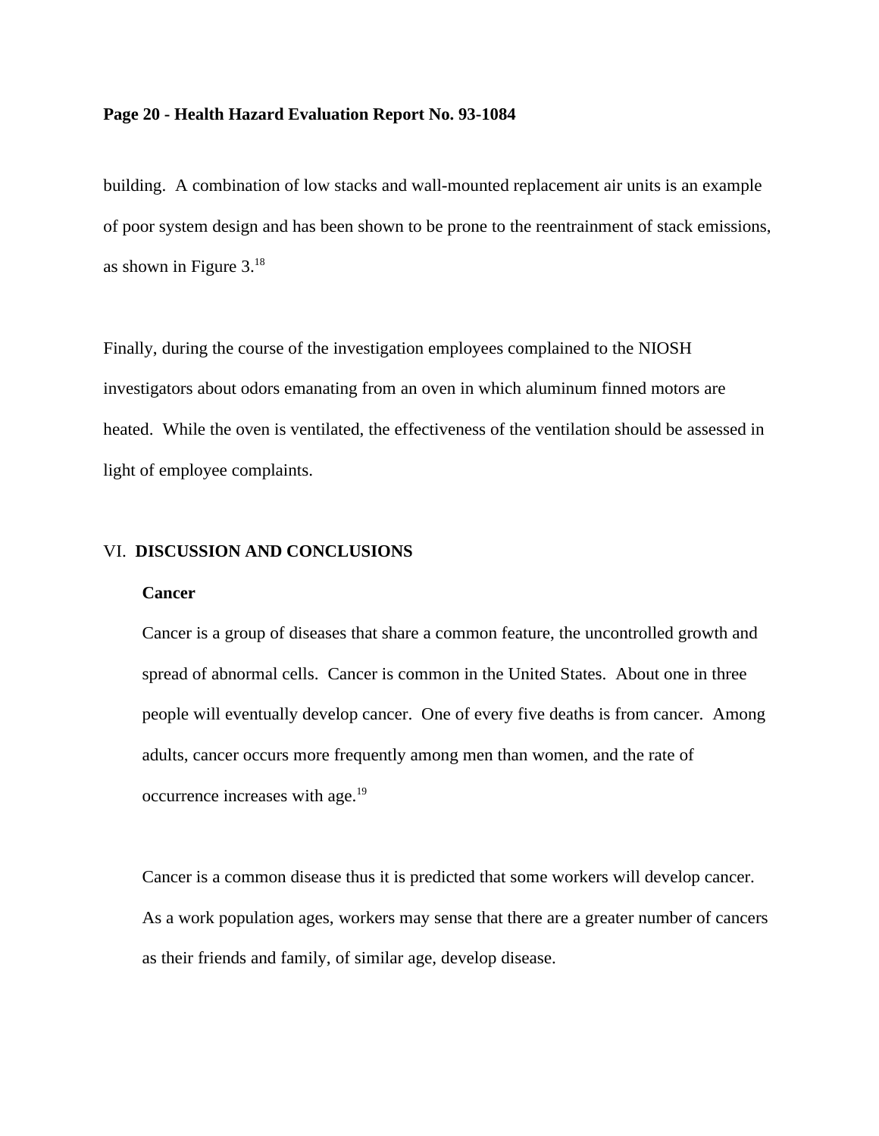#### **Page 20 - Health Hazard Evaluation Report No. 93-1084**

building. A combination of low stacks and wall-mounted replacement air units is an example of poor system design and has been shown to be prone to the reentrainment of stack emissions, as shown in Figure  $3.^{18}$ 

Finally, during the course of the investigation employees complained to the NIOSH investigators about odors emanating from an oven in which aluminum finned motors are heated. While the oven is ventilated, the effectiveness of the ventilation should be assessed in light of employee complaints.

### VI. **DISCUSSION AND CONCLUSIONS**

#### **Cancer**

Cancer is a group of diseases that share a common feature, the uncontrolled growth and spread of abnormal cells. Cancer is common in the United States. About one in three people will eventually develop cancer. One of every five deaths is from cancer. Among adults, cancer occurs more frequently among men than women, and the rate of occurrence increases with age.19

Cancer is a common disease thus it is predicted that some workers will develop cancer. As a work population ages, workers may sense that there are a greater number of cancers as their friends and family, of similar age, develop disease.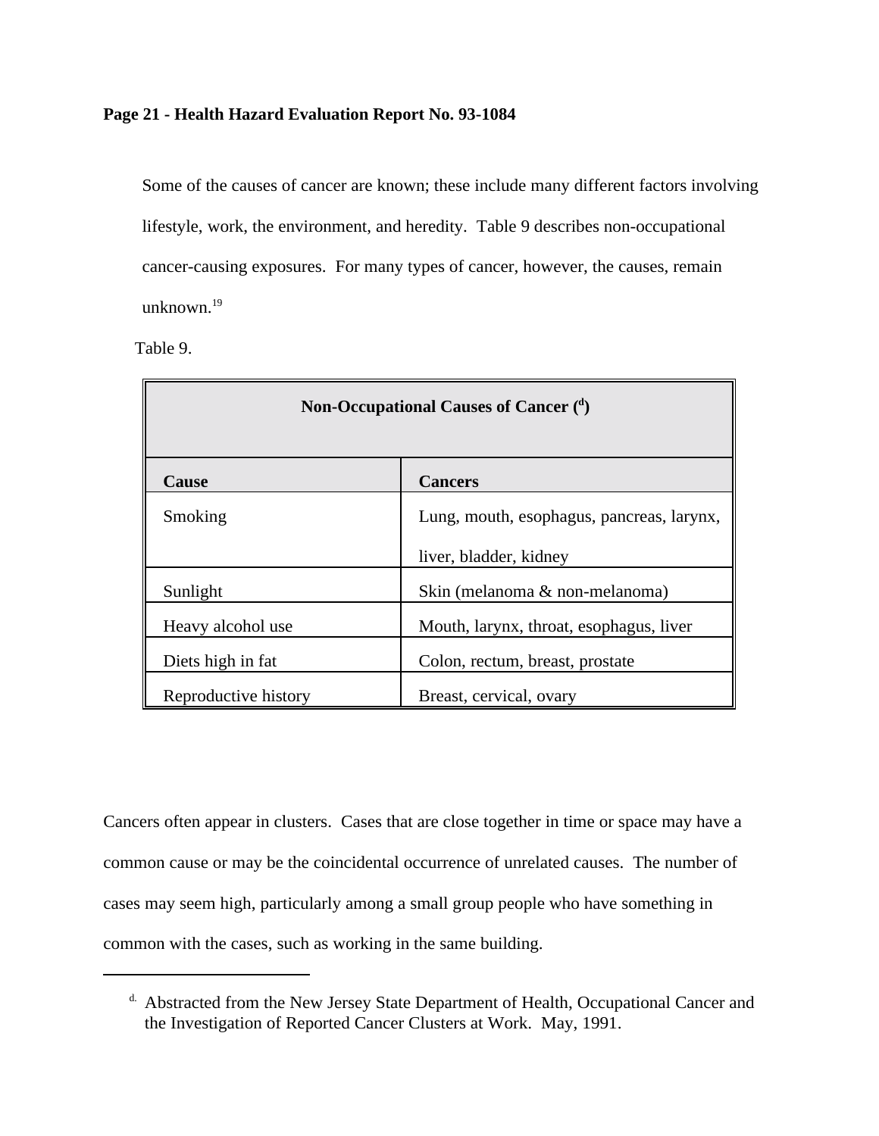### **Page 21 - Health Hazard Evaluation Report No. 93-1084**

Some of the causes of cancer are known; these include many different factors involving lifestyle, work, the environment, and heredity. Table 9 describes non-occupational cancer-causing exposures. For many types of cancer, however, the causes, remain unknown. $19$ 

Table 9.

| Non-Occupational Causes of Cancer $($ <sup>d</sup> $)$ |                                           |  |  |
|--------------------------------------------------------|-------------------------------------------|--|--|
| Cause                                                  | <b>Cancers</b>                            |  |  |
| Smoking                                                | Lung, mouth, esophagus, pancreas, larynx, |  |  |
|                                                        | liver, bladder, kidney                    |  |  |
| Sunlight                                               | Skin (melanoma & non-melanoma)            |  |  |
| Heavy alcohol use                                      | Mouth, larynx, throat, esophagus, liver   |  |  |
| Diets high in fat                                      | Colon, rectum, breast, prostate           |  |  |
| Reproductive history                                   | Breast, cervical, ovary                   |  |  |

Cancers often appear in clusters. Cases that are close together in time or space may have a common cause or may be the coincidental occurrence of unrelated causes. The number of cases may seem high, particularly among a small group people who have something in common with the cases, such as working in the same building.

<sup>&</sup>lt;sup>d.</sup> Abstracted from the New Jersey State Department of Health, Occupational Cancer and the Investigation of Reported Cancer Clusters at Work. May, 1991.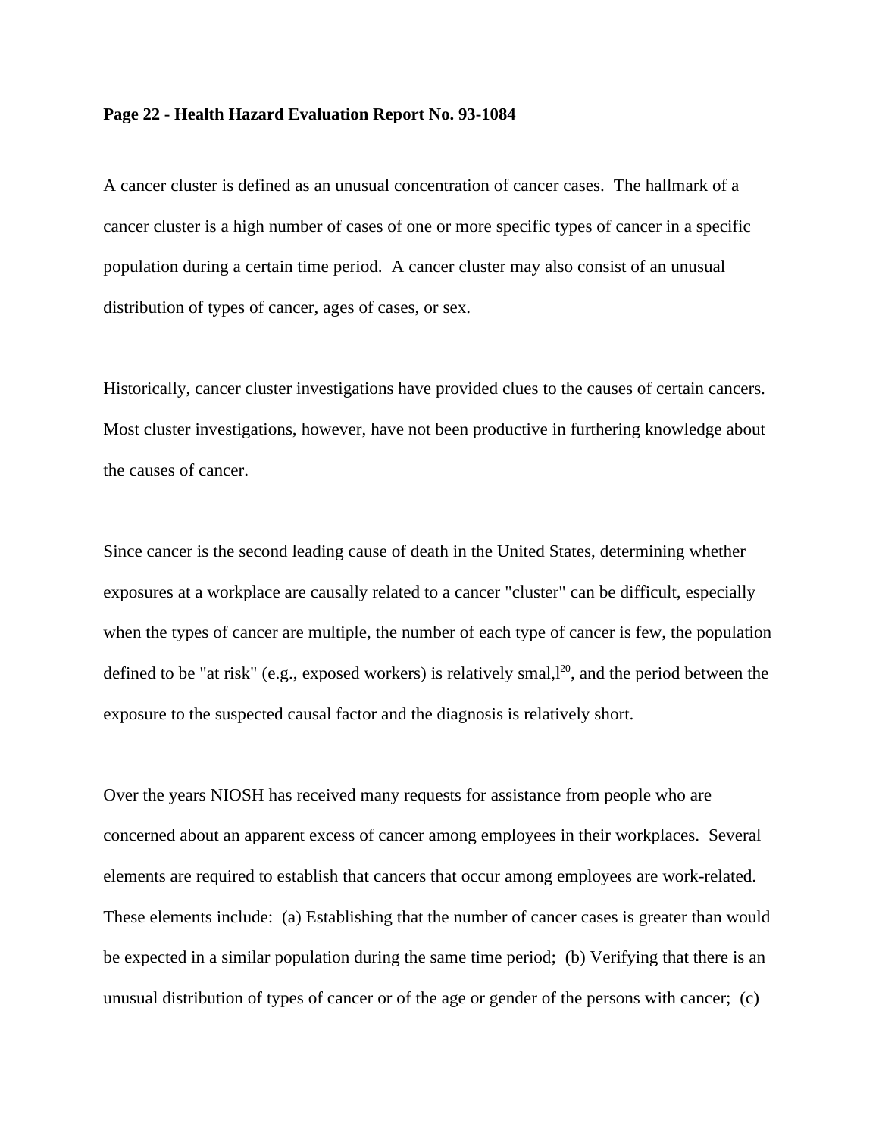#### **Page 22 - Health Hazard Evaluation Report No. 93-1084**

A cancer cluster is defined as an unusual concentration of cancer cases. The hallmark of a cancer cluster is a high number of cases of one or more specific types of cancer in a specific population during a certain time period. A cancer cluster may also consist of an unusual distribution of types of cancer, ages of cases, or sex.

Historically, cancer cluster investigations have provided clues to the causes of certain cancers. Most cluster investigations, however, have not been productive in furthering knowledge about the causes of cancer.

Since cancer is the second leading cause of death in the United States, determining whether exposures at a workplace are causally related to a cancer "cluster" can be difficult, especially when the types of cancer are multiple, the number of each type of cancer is few, the population defined to be "at risk" (e.g., exposed workers) is relatively smal, $l^{20}$ , and the period between the exposure to the suspected causal factor and the diagnosis is relatively short.

Over the years NIOSH has received many requests for assistance from people who are concerned about an apparent excess of cancer among employees in their workplaces. Several elements are required to establish that cancers that occur among employees are work-related. These elements include: (a) Establishing that the number of cancer cases is greater than would be expected in a similar population during the same time period; (b) Verifying that there is an unusual distribution of types of cancer or of the age or gender of the persons with cancer; (c)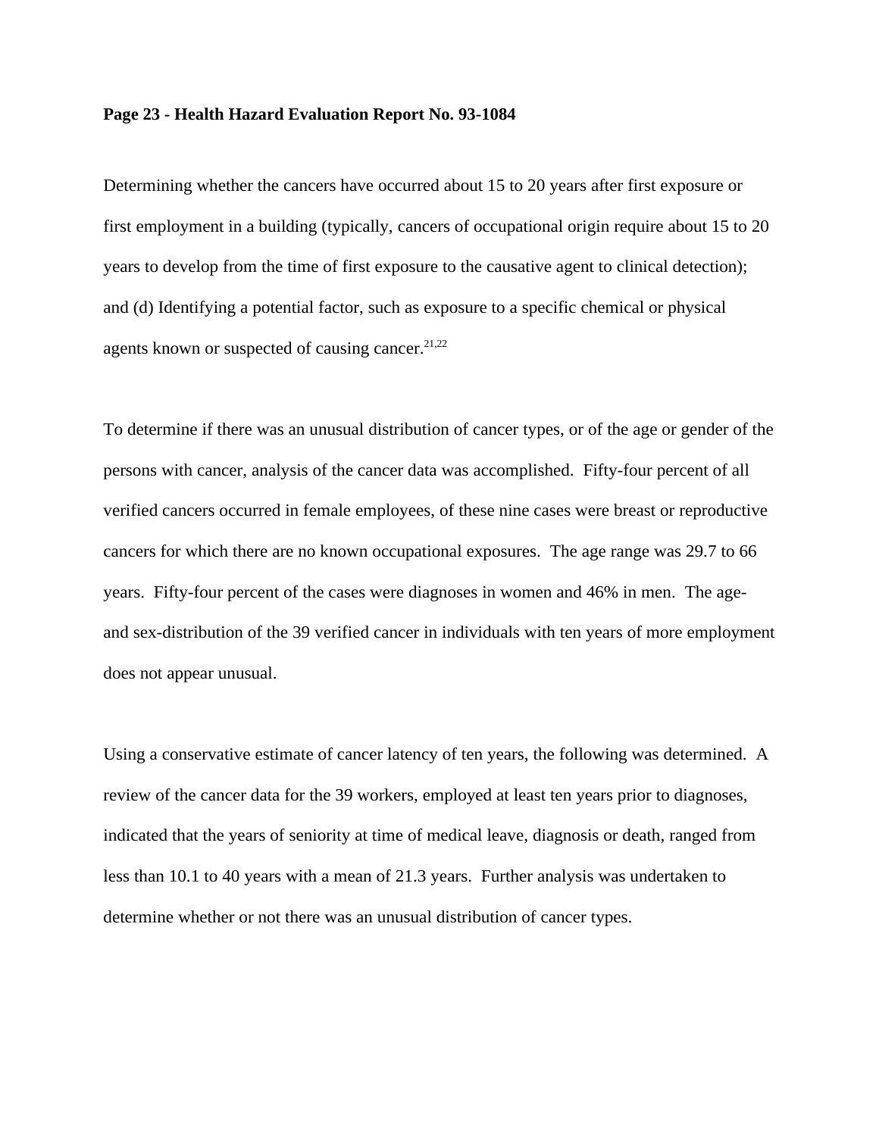#### **Page 23 - Health Hazard Evaluation Report No. 93-1084**

Determining whether the cancers have occurred about 15 to 20 years after first exposure or first employment in a building (typically, cancers of occupational origin require about 15 to 20 years to develop from the time of first exposure to the causative agent to clinical detection); and (d) Identifying a potential factor, such as exposure to a specific chemical or physical agents known or suspected of causing cancer. $^{21,22}$ 

To determine if there was an unusual distribution of cancer types, or of the age or gender of the persons with cancer, analysis of the cancer data was accomplished. Fifty-four percent of all verified cancers occurred in female employees, of these nine cases were breast or reproductive cancers for which there are no known occupational exposures. The age range was 29.7 to 66 years. Fifty-four percent of the cases were diagnoses in women and 46% in men. The ageand sex-distribution of the 39 verified cancer in individuals with ten years of more employment does not appear unusual.

Using a conservative estimate of cancer latency of ten years, the following was determined. A review of the cancer data for the 39 workers, employed at least ten years prior to diagnoses, indicated that the years of seniority at time of medical leave, diagnosis or death, ranged from less than 10.1 to 40 years with a mean of 21.3 years. Further analysis was undertaken to determine whether or not there was an unusual distribution of cancer types.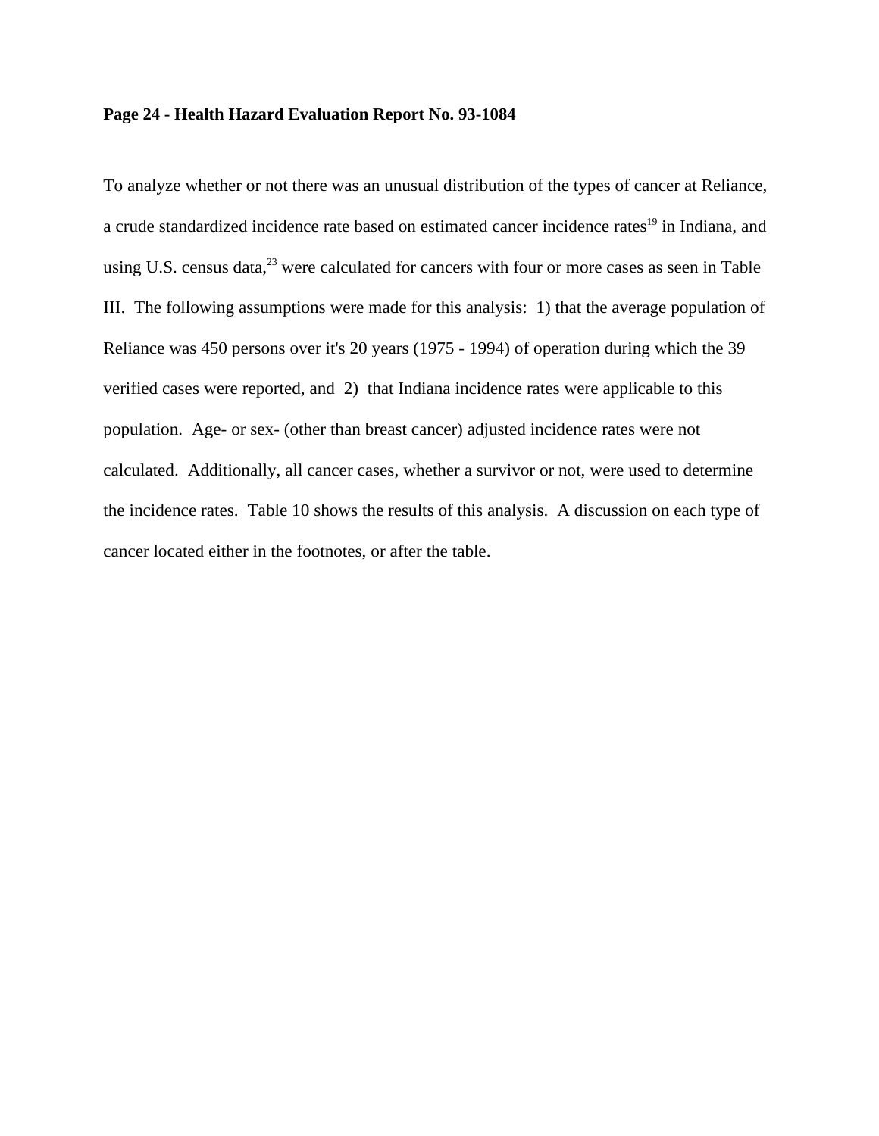#### **Page 24 - Health Hazard Evaluation Report No. 93-1084**

To analyze whether or not there was an unusual distribution of the types of cancer at Reliance, a crude standardized incidence rate based on estimated cancer incidence rates<sup>19</sup> in Indiana, and using U.S. census data, $^{23}$  were calculated for cancers with four or more cases as seen in Table III. The following assumptions were made for this analysis: 1) that the average population of Reliance was 450 persons over it's 20 years (1975 - 1994) of operation during which the 39 verified cases were reported, and 2) that Indiana incidence rates were applicable to this population. Age- or sex- (other than breast cancer) adjusted incidence rates were not calculated. Additionally, all cancer cases, whether a survivor or not, were used to determine the incidence rates. Table 10 shows the results of this analysis. A discussion on each type of cancer located either in the footnotes, or after the table.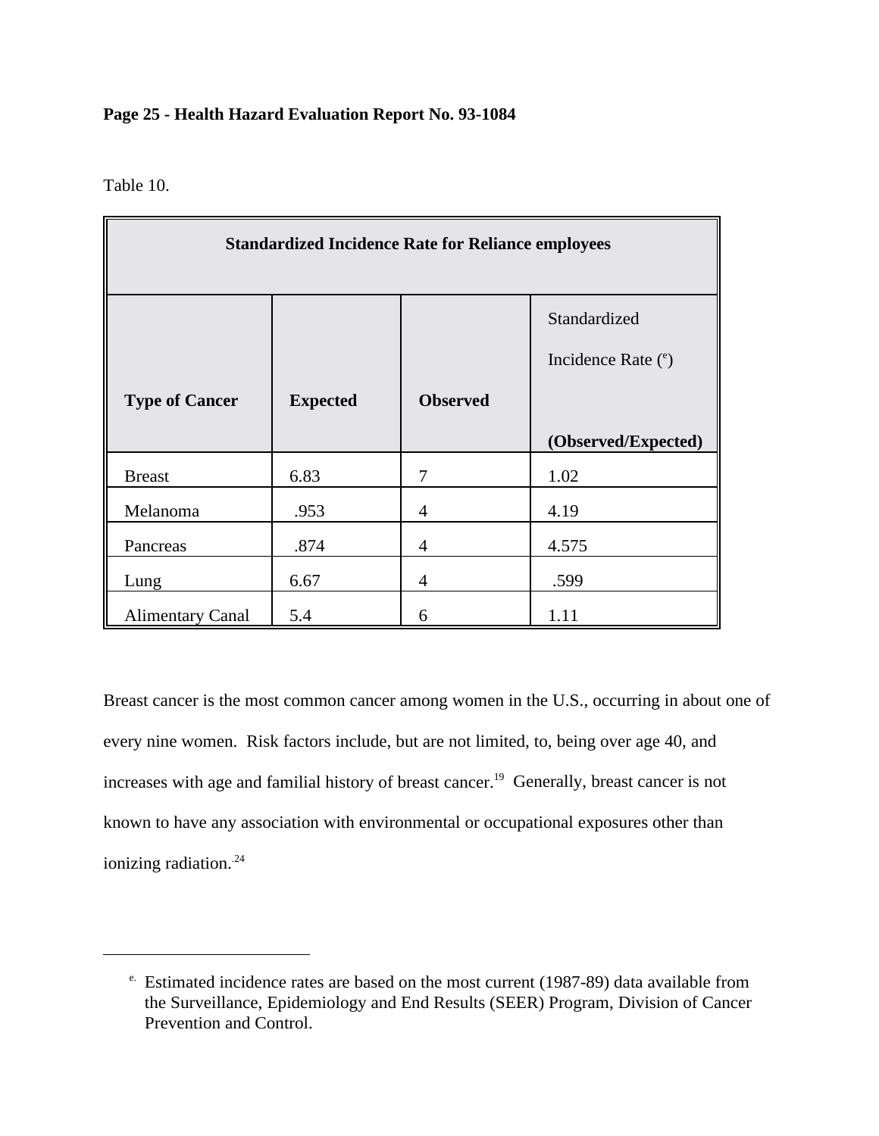### **Page 25 - Health Hazard Evaluation Report No. 93-1084**

Table 10.

| <b>Standardized Incidence Rate for Reliance employees</b> |                 |                 |                      |  |
|-----------------------------------------------------------|-----------------|-----------------|----------------------|--|
|                                                           |                 |                 | Standardized         |  |
|                                                           |                 |                 | Incidence Rate $(°)$ |  |
| <b>Type of Cancer</b>                                     | <b>Expected</b> | <b>Observed</b> |                      |  |
|                                                           |                 |                 | (Observed/Expected)  |  |
| <b>Breast</b>                                             | 6.83            | 7               | 1.02                 |  |
| Melanoma                                                  | .953            | 4               | 4.19                 |  |
| Pancreas                                                  | .874            | 4               | 4.575                |  |
| Lung                                                      | 6.67            | 4               | .599                 |  |
| <b>Alimentary Canal</b>                                   | 5.4             | 6               | 1.11                 |  |

Breast cancer is the most common cancer among women in the U.S., occurring in about one of every nine women. Risk factors include, but are not limited, to, being over age 40, and increases with age and familial history of breast cancer.<sup>19</sup> Generally, breast cancer is not known to have any association with environmental or occupational exposures other than ionizing radiation.<sup>24</sup>

 $^{\circ}$ . Estimated incidence rates are based on the most current (1987-89) data available from the Surveillance, Epidemiology and End Results (SEER) Program, Division of Cancer Prevention and Control.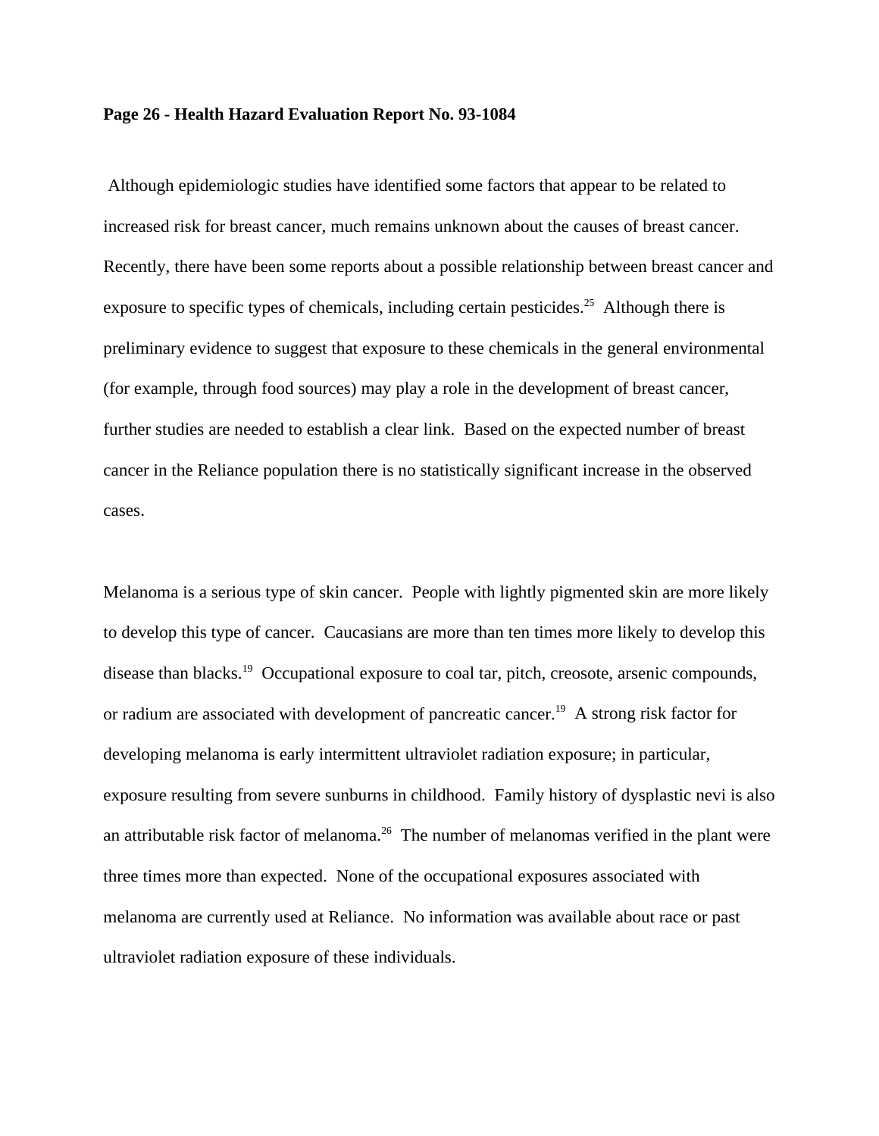#### **Page 26 - Health Hazard Evaluation Report No. 93-1084**

 Although epidemiologic studies have identified some factors that appear to be related to increased risk for breast cancer, much remains unknown about the causes of breast cancer. Recently, there have been some reports about a possible relationship between breast cancer and exposure to specific types of chemicals, including certain pesticides.<sup>25</sup> Although there is preliminary evidence to suggest that exposure to these chemicals in the general environmental (for example, through food sources) may play a role in the development of breast cancer, further studies are needed to establish a clear link. Based on the expected number of breast cancer in the Reliance population there is no statistically significant increase in the observed cases.

Melanoma is a serious type of skin cancer. People with lightly pigmented skin are more likely to develop this type of cancer. Caucasians are more than ten times more likely to develop this disease than blacks.<sup>19</sup> Occupational exposure to coal tar, pitch, creosote, arsenic compounds, or radium are associated with development of pancreatic cancer.<sup>19</sup> A strong risk factor for developing melanoma is early intermittent ultraviolet radiation exposure; in particular, exposure resulting from severe sunburns in childhood. Family history of dysplastic nevi is also an attributable risk factor of melanoma.<sup>26</sup> The number of melanomas verified in the plant were three times more than expected. None of the occupational exposures associated with melanoma are currently used at Reliance. No information was available about race or past ultraviolet radiation exposure of these individuals.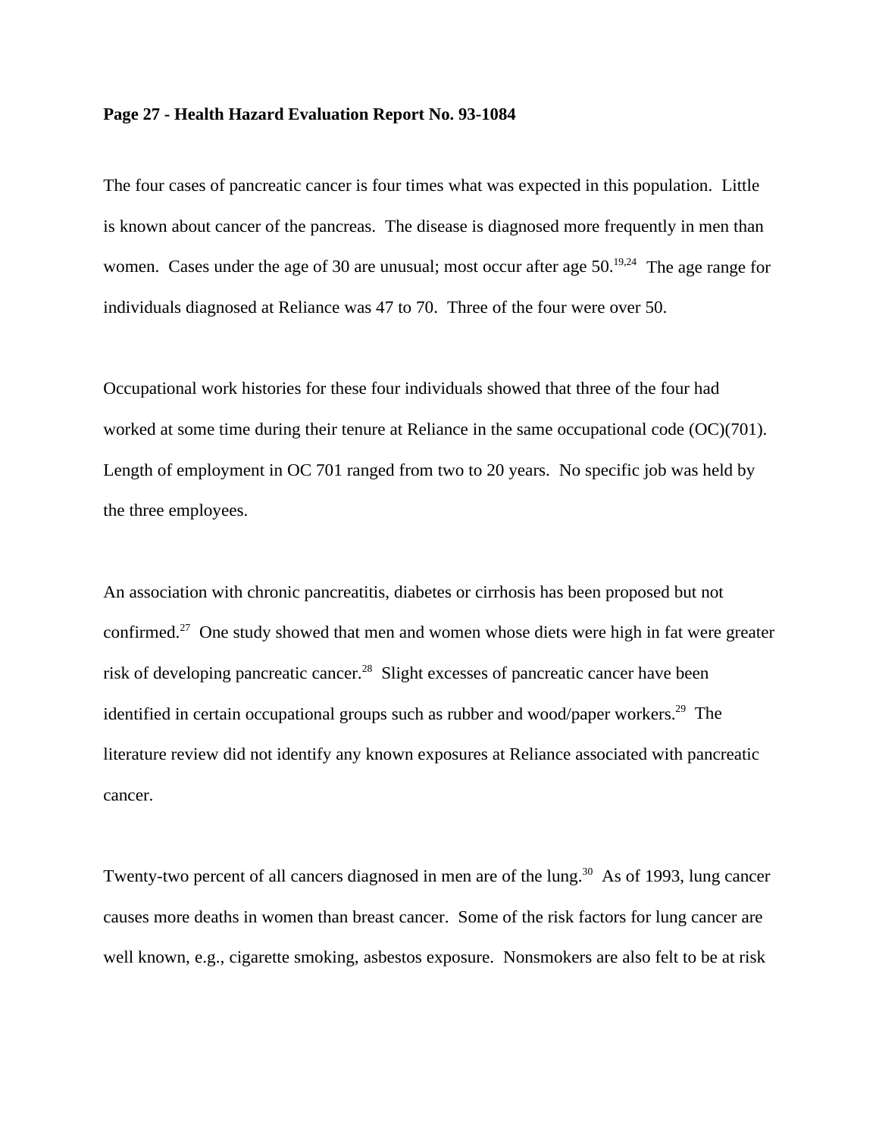#### **Page 27 - Health Hazard Evaluation Report No. 93-1084**

The four cases of pancreatic cancer is four times what was expected in this population. Little is known about cancer of the pancreas. The disease is diagnosed more frequently in men than women. Cases under the age of 30 are unusual; most occur after age  $50^{19,24}$  The age range for individuals diagnosed at Reliance was 47 to 70. Three of the four were over 50.

Occupational work histories for these four individuals showed that three of the four had worked at some time during their tenure at Reliance in the same occupational code (OC)(701). Length of employment in OC 701 ranged from two to 20 years. No specific job was held by the three employees.

An association with chronic pancreatitis, diabetes or cirrhosis has been proposed but not confirmed.<sup>27</sup> One study showed that men and women whose diets were high in fat were greater risk of developing pancreatic cancer.<sup>28</sup> Slight excesses of pancreatic cancer have been identified in certain occupational groups such as rubber and wood/paper workers.<sup>29</sup> The literature review did not identify any known exposures at Reliance associated with pancreatic cancer.

Twenty-two percent of all cancers diagnosed in men are of the lung.<sup>30</sup> As of 1993, lung cancer causes more deaths in women than breast cancer. Some of the risk factors for lung cancer are well known, e.g., cigarette smoking, asbestos exposure. Nonsmokers are also felt to be at risk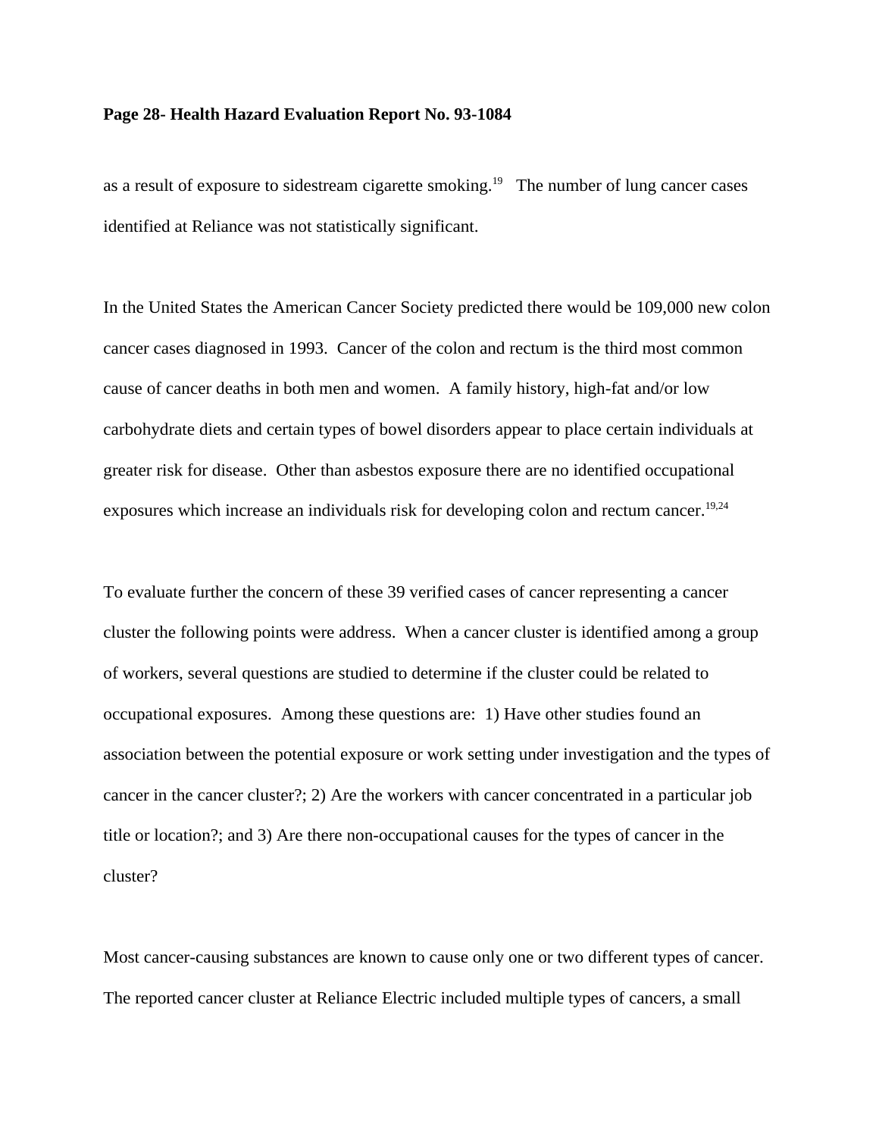#### **Page 28- Health Hazard Evaluation Report No. 93-1084**

as a result of exposure to sidestream cigarette smoking.<sup>19</sup> The number of lung cancer cases identified at Reliance was not statistically significant.

In the United States the American Cancer Society predicted there would be 109,000 new colon cancer cases diagnosed in 1993. Cancer of the colon and rectum is the third most common cause of cancer deaths in both men and women. A family history, high-fat and/or low carbohydrate diets and certain types of bowel disorders appear to place certain individuals at greater risk for disease. Other than asbestos exposure there are no identified occupational exposures which increase an individuals risk for developing colon and rectum cancer.<sup>19,24</sup>

To evaluate further the concern of these 39 verified cases of cancer representing a cancer cluster the following points were address. When a cancer cluster is identified among a group of workers, several questions are studied to determine if the cluster could be related to occupational exposures. Among these questions are: 1) Have other studies found an association between the potential exposure or work setting under investigation and the types of cancer in the cancer cluster?; 2) Are the workers with cancer concentrated in a particular job title or location?; and 3) Are there non-occupational causes for the types of cancer in the cluster?

Most cancer-causing substances are known to cause only one or two different types of cancer. The reported cancer cluster at Reliance Electric included multiple types of cancers, a small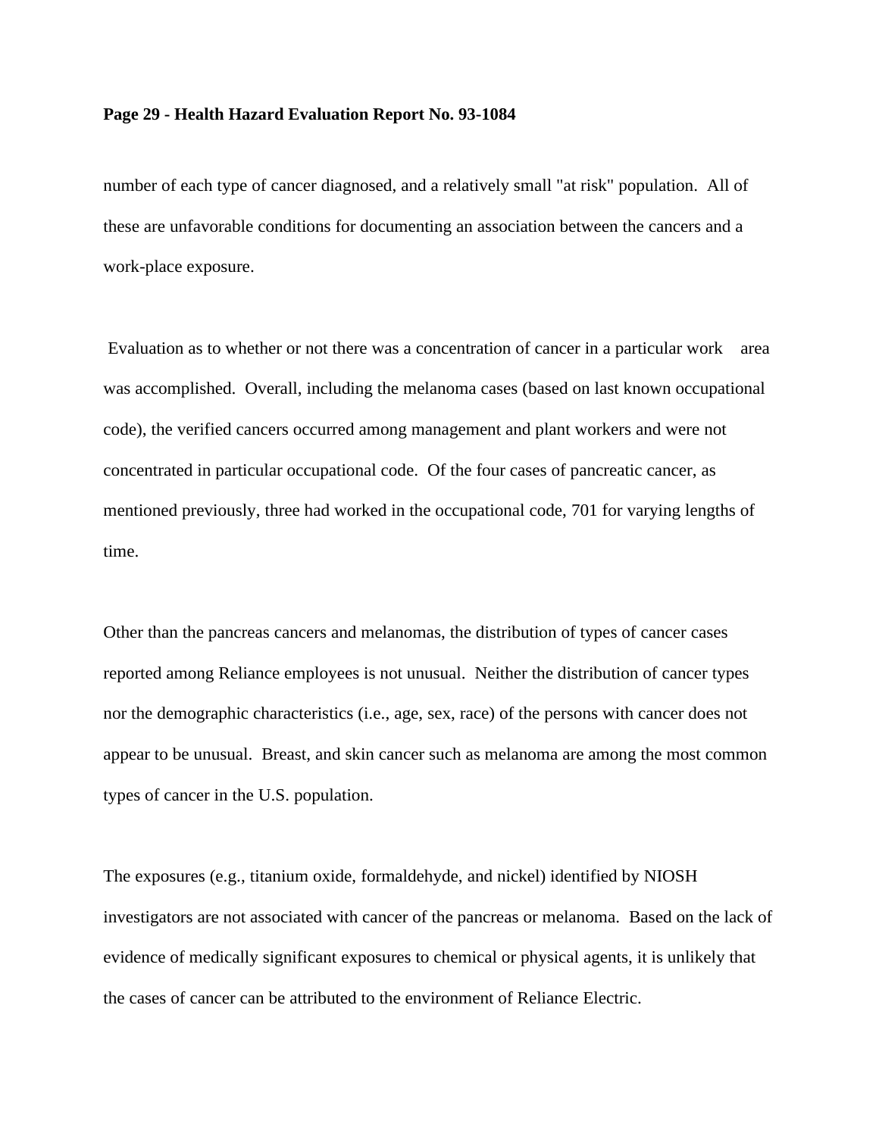#### **Page 29 - Health Hazard Evaluation Report No. 93-1084**

number of each type of cancer diagnosed, and a relatively small "at risk" population. All of these are unfavorable conditions for documenting an association between the cancers and a work-place exposure.

 Evaluation as to whether or not there was a concentration of cancer in a particular work area was accomplished. Overall, including the melanoma cases (based on last known occupational code), the verified cancers occurred among management and plant workers and were not concentrated in particular occupational code. Of the four cases of pancreatic cancer, as mentioned previously, three had worked in the occupational code, 701 for varying lengths of time.

Other than the pancreas cancers and melanomas, the distribution of types of cancer cases reported among Reliance employees is not unusual. Neither the distribution of cancer types nor the demographic characteristics (i.e., age, sex, race) of the persons with cancer does not appear to be unusual. Breast, and skin cancer such as melanoma are among the most common types of cancer in the U.S. population.

The exposures (e.g., titanium oxide, formaldehyde, and nickel) identified by NIOSH investigators are not associated with cancer of the pancreas or melanoma. Based on the lack of evidence of medically significant exposures to chemical or physical agents, it is unlikely that the cases of cancer can be attributed to the environment of Reliance Electric.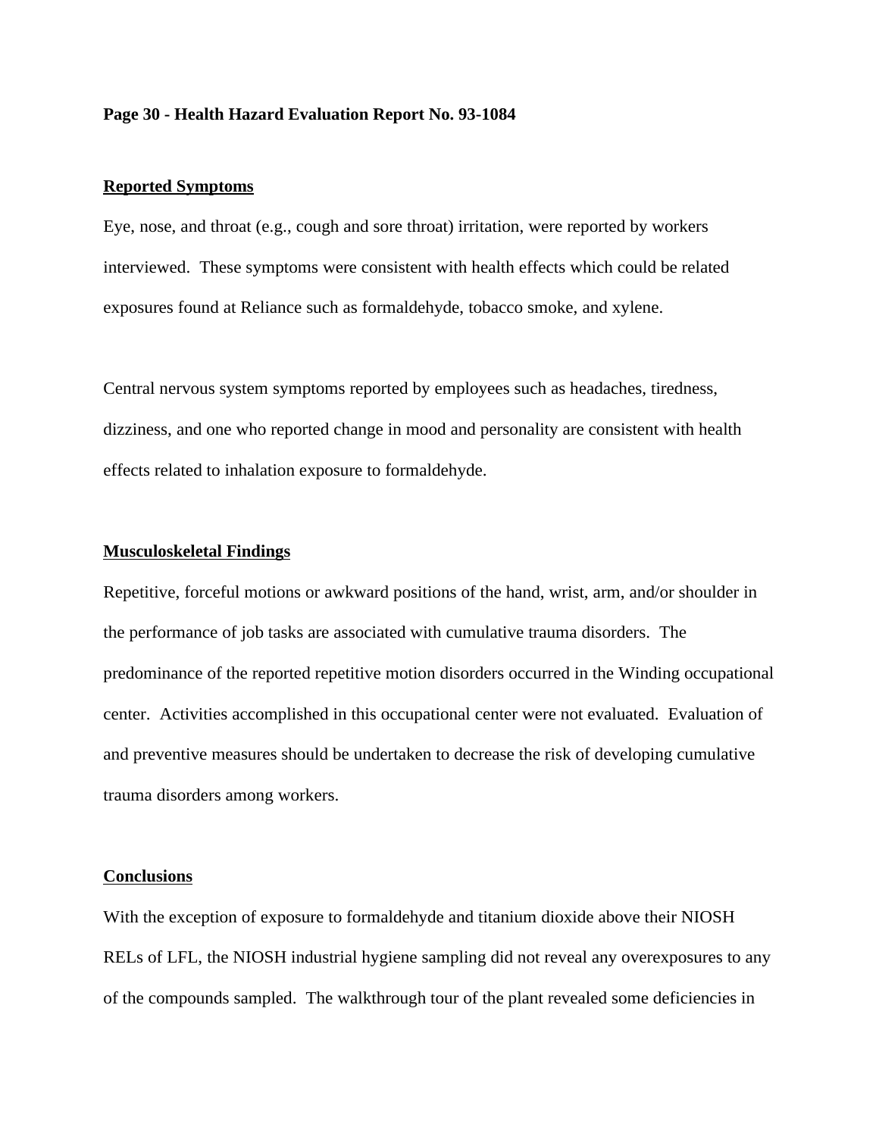#### **Page 30 - Health Hazard Evaluation Report No. 93-1084**

#### **Reported Symptoms**

Eye, nose, and throat (e.g., cough and sore throat) irritation, were reported by workers interviewed. These symptoms were consistent with health effects which could be related exposures found at Reliance such as formaldehyde, tobacco smoke, and xylene.

Central nervous system symptoms reported by employees such as headaches, tiredness, dizziness, and one who reported change in mood and personality are consistent with health effects related to inhalation exposure to formaldehyde.

### **Musculoskeletal Findings**

Repetitive, forceful motions or awkward positions of the hand, wrist, arm, and/or shoulder in the performance of job tasks are associated with cumulative trauma disorders. The predominance of the reported repetitive motion disorders occurred in the Winding occupational center. Activities accomplished in this occupational center were not evaluated. Evaluation of and preventive measures should be undertaken to decrease the risk of developing cumulative trauma disorders among workers.

#### **Conclusions**

With the exception of exposure to formaldehyde and titanium dioxide above their NIOSH RELs of LFL, the NIOSH industrial hygiene sampling did not reveal any overexposures to any of the compounds sampled. The walkthrough tour of the plant revealed some deficiencies in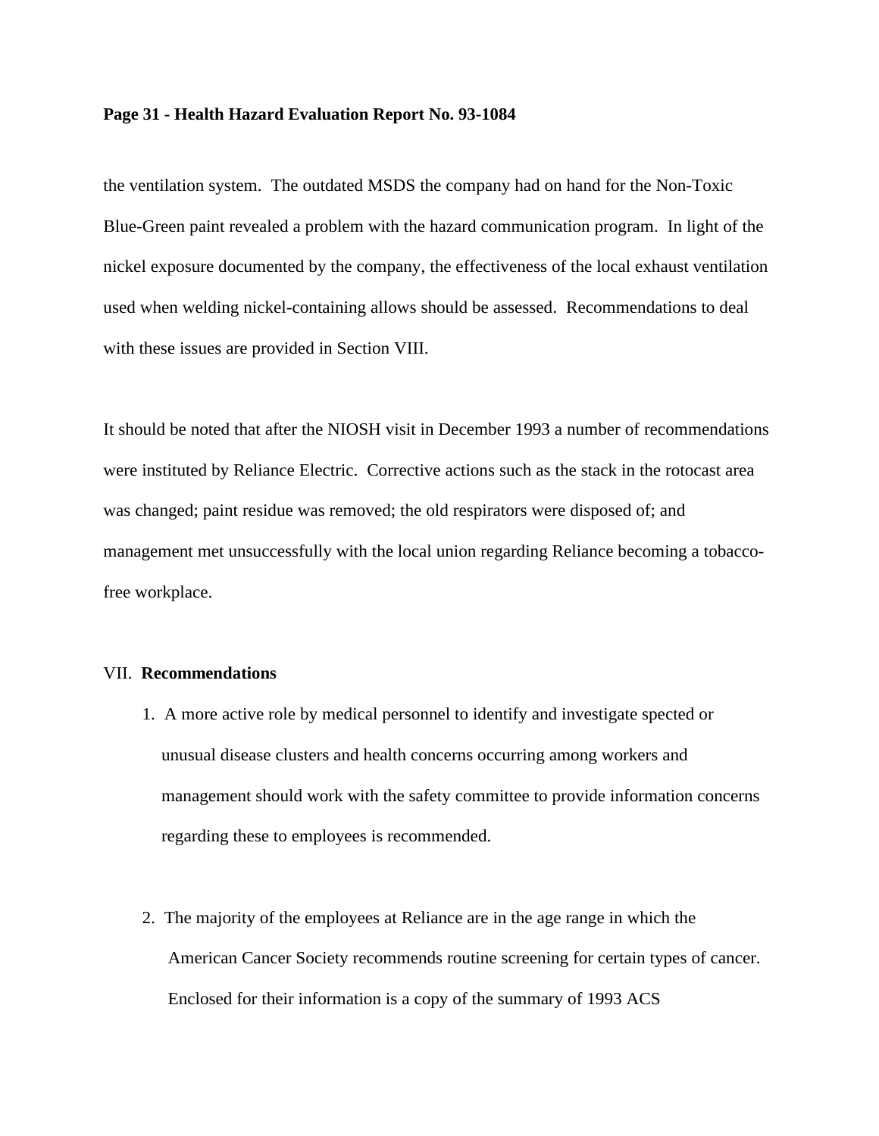#### **Page 31 - Health Hazard Evaluation Report No. 93-1084**

the ventilation system. The outdated MSDS the company had on hand for the Non-Toxic Blue-Green paint revealed a problem with the hazard communication program. In light of the nickel exposure documented by the company, the effectiveness of the local exhaust ventilation used when welding nickel-containing allows should be assessed. Recommendations to deal with these issues are provided in Section VIII.

It should be noted that after the NIOSH visit in December 1993 a number of recommendations were instituted by Reliance Electric. Corrective actions such as the stack in the rotocast area was changed; paint residue was removed; the old respirators were disposed of; and management met unsuccessfully with the local union regarding Reliance becoming a tobaccofree workplace.

### VII. **Recommendations**

- 1. A more active role by medical personnel to identify and investigate spected or unusual disease clusters and health concerns occurring among workers and management should work with the safety committee to provide information concerns regarding these to employees is recommended.
- 2. The majority of the employees at Reliance are in the age range in which the American Cancer Society recommends routine screening for certain types of cancer. Enclosed for their information is a copy of the summary of 1993 ACS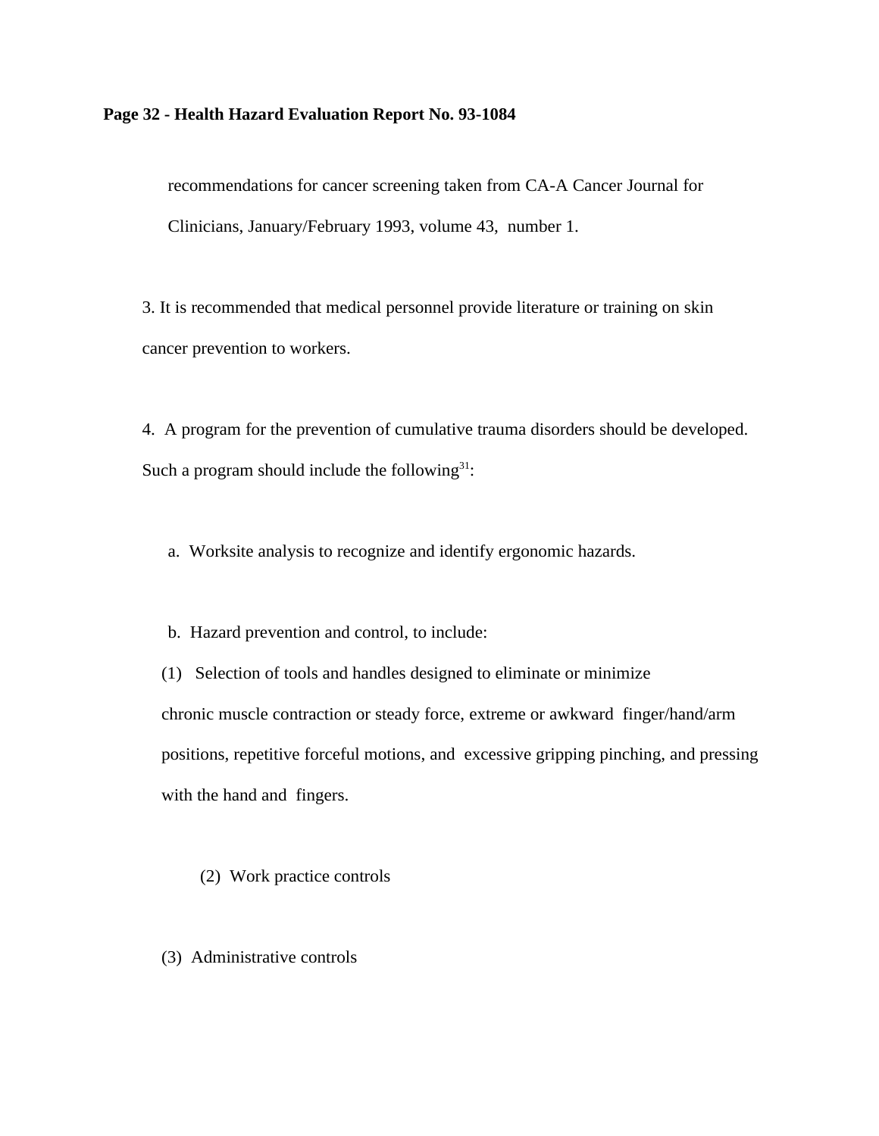### **Page 32 - Health Hazard Evaluation Report No. 93-1084**

recommendations for cancer screening taken from CA-A Cancer Journal for Clinicians, January/February 1993, volume 43, number 1.

3. It is recommended that medical personnel provide literature or training on skin cancer prevention to workers.

4. A program for the prevention of cumulative trauma disorders should be developed. Such a program should include the following<sup>31</sup>:

a. Worksite analysis to recognize and identify ergonomic hazards.

b. Hazard prevention and control, to include:

 (1) Selection of tools and handles designed to eliminate or minimize chronic muscle contraction or steady force, extreme or awkward finger/hand/arm positions, repetitive forceful motions, and excessive gripping pinching, and pressing with the hand and fingers.

(2) Work practice controls

(3) Administrative controls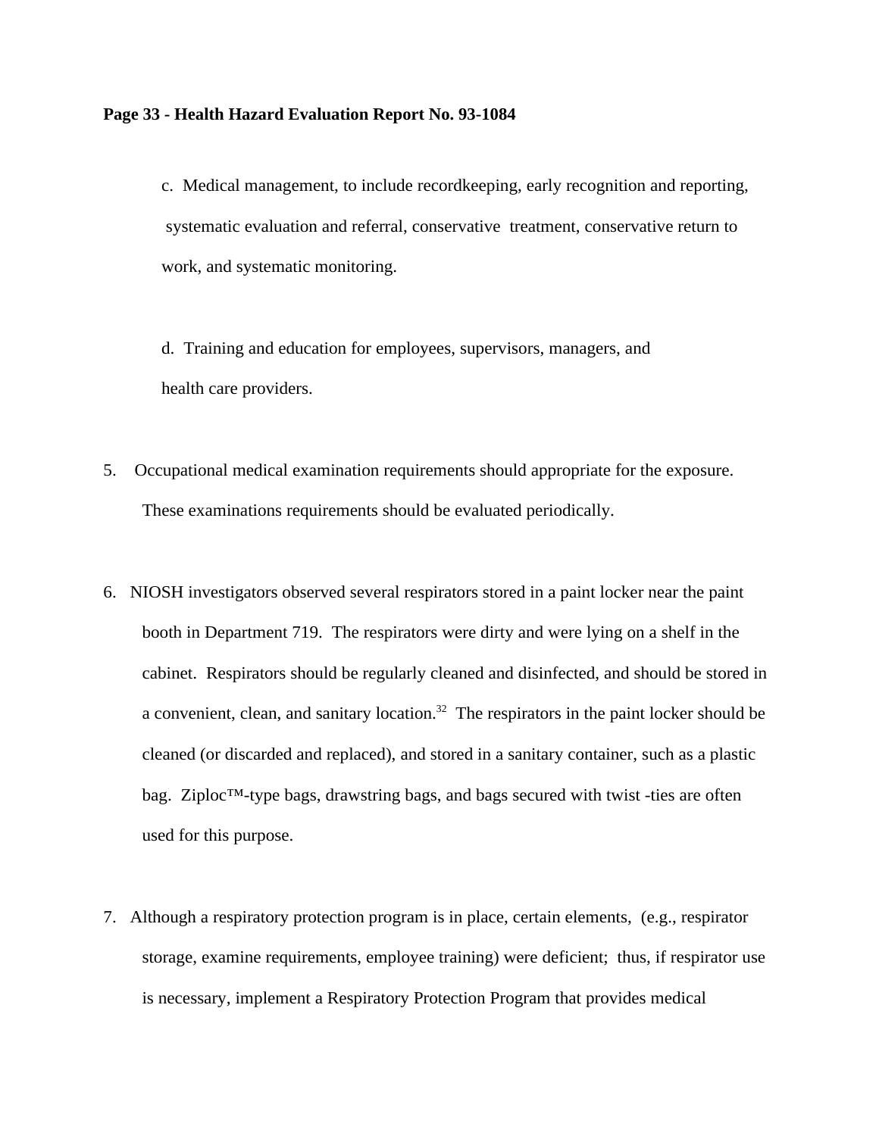#### **Page 33 - Health Hazard Evaluation Report No. 93-1084**

 c. Medical management, to include recordkeeping, early recognition and reporting, systematic evaluation and referral, conservative treatment, conservative return to work, and systematic monitoring.

 d. Training and education for employees, supervisors, managers, and health care providers.

- 5. Occupational medical examination requirements should appropriate for the exposure. These examinations requirements should be evaluated periodically.
- 6. NIOSH investigators observed several respirators stored in a paint locker near the paint booth in Department 719. The respirators were dirty and were lying on a shelf in the cabinet. Respirators should be regularly cleaned and disinfected, and should be stored in a convenient, clean, and sanitary location.<sup>32</sup> The respirators in the paint locker should be cleaned (or discarded and replaced), and stored in a sanitary container, such as a plastic bag. Ziploc™-type bags, drawstring bags, and bags secured with twist -ties are often used for this purpose.
- 7. Although a respiratory protection program is in place, certain elements, (e.g., respirator storage, examine requirements, employee training) were deficient; thus, if respirator use is necessary, implement a Respiratory Protection Program that provides medical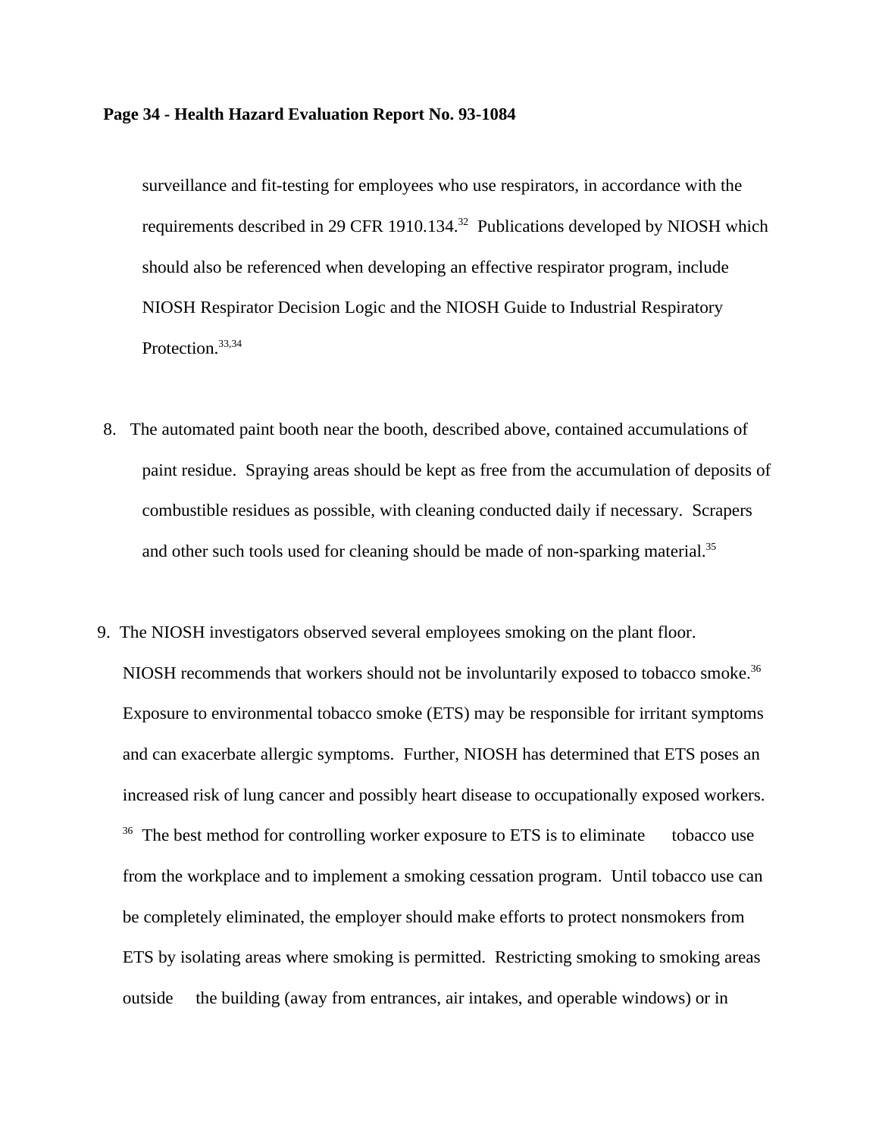#### **Page 34 - Health Hazard Evaluation Report No. 93-1084**

surveillance and fit-testing for employees who use respirators, in accordance with the requirements described in 29 CFR 1910.134.32 Publications developed by NIOSH which should also be referenced when developing an effective respirator program, include NIOSH Respirator Decision Logic and the NIOSH Guide to Industrial Respiratory Protection.<sup>33,34</sup>

- 8. The automated paint booth near the booth, described above, contained accumulations of paint residue. Spraying areas should be kept as free from the accumulation of deposits of combustible residues as possible, with cleaning conducted daily if necessary. Scrapers and other such tools used for cleaning should be made of non-sparking material.<sup>35</sup>
- 9. The NIOSH investigators observed several employees smoking on the plant floor. NIOSH recommends that workers should not be involuntarily exposed to tobacco smoke.<sup>36</sup> Exposure to environmental tobacco smoke (ETS) may be responsible for irritant symptoms and can exacerbate allergic symptoms. Further, NIOSH has determined that ETS poses an increased risk of lung cancer and possibly heart disease to occupationally exposed workers.  $36$  The best method for controlling worker exposure to ETS is to eliminate tobacco use from the workplace and to implement a smoking cessation program. Until tobacco use can be completely eliminated, the employer should make efforts to protect nonsmokers from ETS by isolating areas where smoking is permitted. Restricting smoking to smoking areas outside the building (away from entrances, air intakes, and operable windows) or in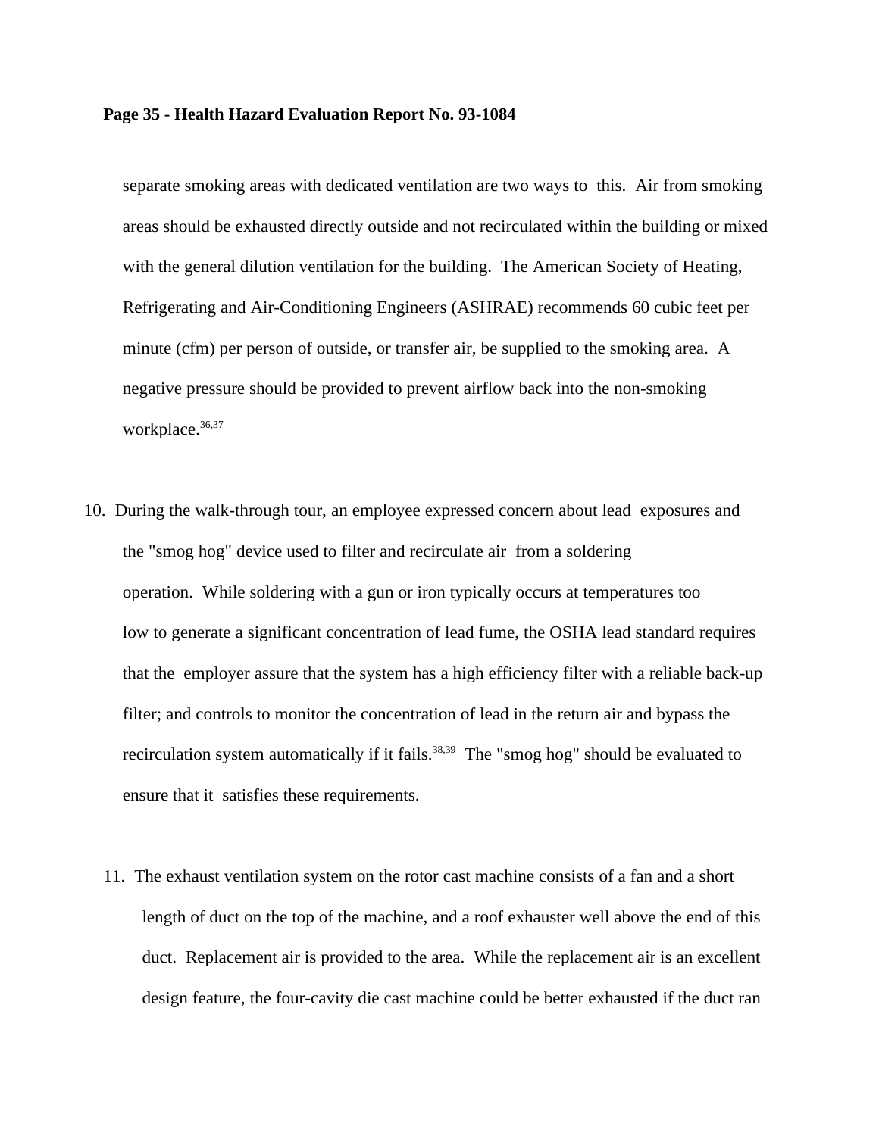separate smoking areas with dedicated ventilation are two ways to this. Air from smoking areas should be exhausted directly outside and not recirculated within the building or mixed with the general dilution ventilation for the building. The American Society of Heating, Refrigerating and Air-Conditioning Engineers (ASHRAE) recommends 60 cubic feet per minute (cfm) per person of outside, or transfer air, be supplied to the smoking area. A negative pressure should be provided to prevent airflow back into the non-smoking workplace.<sup>36,37</sup>

- 10. During the walk-through tour, an employee expressed concern about lead exposures and the "smog hog" device used to filter and recirculate air from a soldering operation. While soldering with a gun or iron typically occurs at temperatures too low to generate a significant concentration of lead fume, the OSHA lead standard requires that the employer assure that the system has a high efficiency filter with a reliable back-up filter; and controls to monitor the concentration of lead in the return air and bypass the recirculation system automatically if it fails.<sup>38,39</sup> The "smog hog" should be evaluated to ensure that it satisfies these requirements.
	- 11. The exhaust ventilation system on the rotor cast machine consists of a fan and a short length of duct on the top of the machine, and a roof exhauster well above the end of this duct. Replacement air is provided to the area. While the replacement air is an excellent design feature, the four-cavity die cast machine could be better exhausted if the duct ran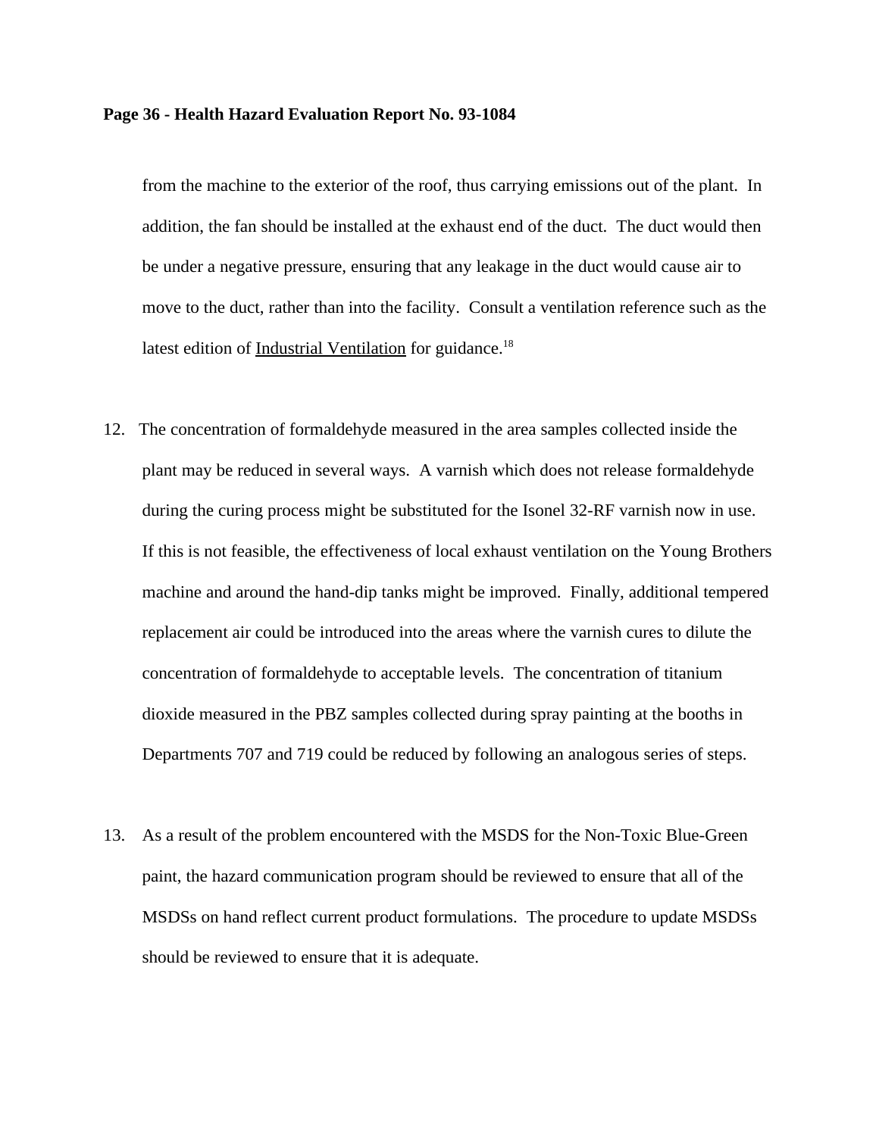from the machine to the exterior of the roof, thus carrying emissions out of the plant. In addition, the fan should be installed at the exhaust end of the duct. The duct would then be under a negative pressure, ensuring that any leakage in the duct would cause air to move to the duct, rather than into the facility. Consult a ventilation reference such as the latest edition of Industrial Ventilation for guidance.<sup>18</sup>

- 12. The concentration of formaldehyde measured in the area samples collected inside the plant may be reduced in several ways. A varnish which does not release formaldehyde during the curing process might be substituted for the Isonel 32-RF varnish now in use. If this is not feasible, the effectiveness of local exhaust ventilation on the Young Brothers machine and around the hand-dip tanks might be improved. Finally, additional tempered replacement air could be introduced into the areas where the varnish cures to dilute the concentration of formaldehyde to acceptable levels. The concentration of titanium dioxide measured in the PBZ samples collected during spray painting at the booths in Departments 707 and 719 could be reduced by following an analogous series of steps.
- 13. As a result of the problem encountered with the MSDS for the Non-Toxic Blue-Green paint, the hazard communication program should be reviewed to ensure that all of the MSDSs on hand reflect current product formulations. The procedure to update MSDSs should be reviewed to ensure that it is adequate.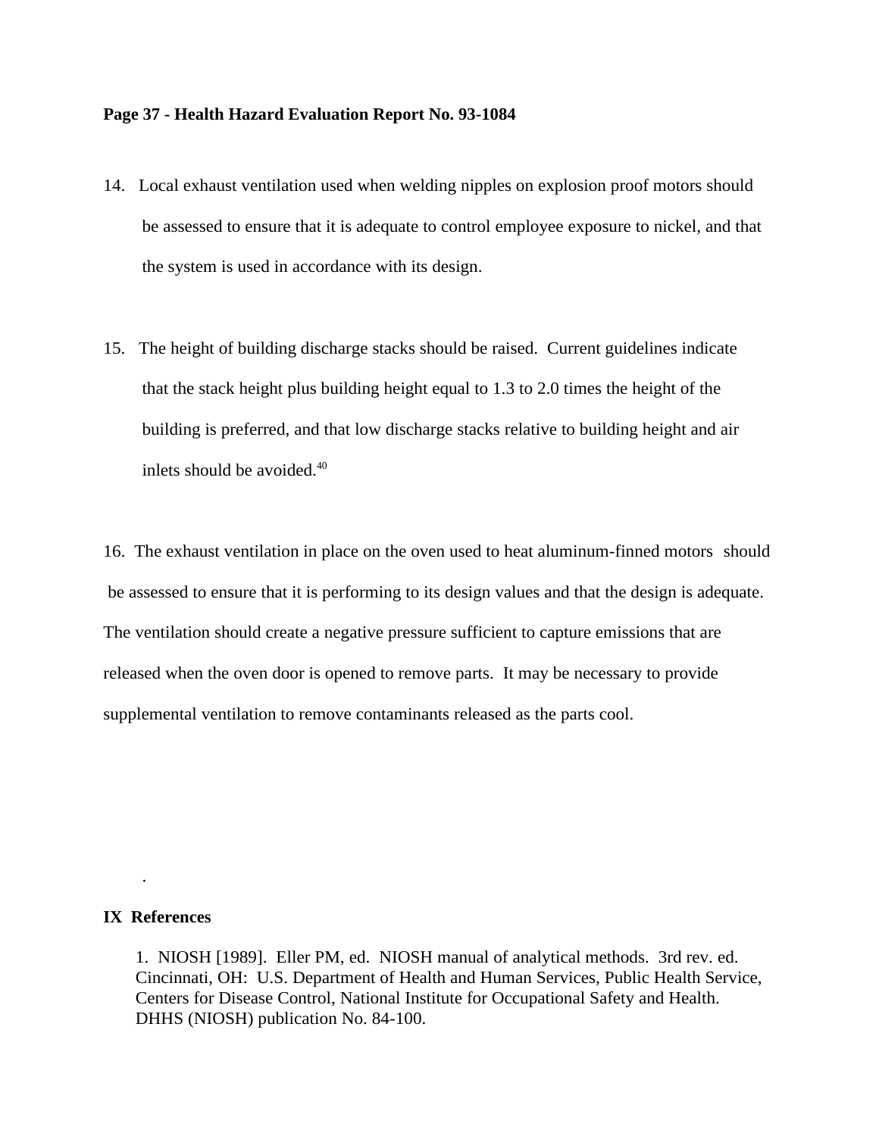#### **Page 37 - Health Hazard Evaluation Report No. 93-1084**

- 14. Local exhaust ventilation used when welding nipples on explosion proof motors should be assessed to ensure that it is adequate to control employee exposure to nickel, and that the system is used in accordance with its design.
- 15. The height of building discharge stacks should be raised. Current guidelines indicate that the stack height plus building height equal to 1.3 to 2.0 times the height of the building is preferred, and that low discharge stacks relative to building height and air inlets should be avoided.40

16. The exhaust ventilation in place on the oven used to heat aluminum-finned motors should be assessed to ensure that it is performing to its design values and that the design is adequate. The ventilation should create a negative pressure sufficient to capture emissions that are released when the oven door is opened to remove parts. It may be necessary to provide supplemental ventilation to remove contaminants released as the parts cool.

### **IX References**

.

1. NIOSH [1989]. Eller PM, ed. NIOSH manual of analytical methods. 3rd rev. ed. Cincinnati, OH: U.S. Department of Health and Human Services, Public Health Service, Centers for Disease Control, National Institute for Occupational Safety and Health. DHHS (NIOSH) publication No. 84-100.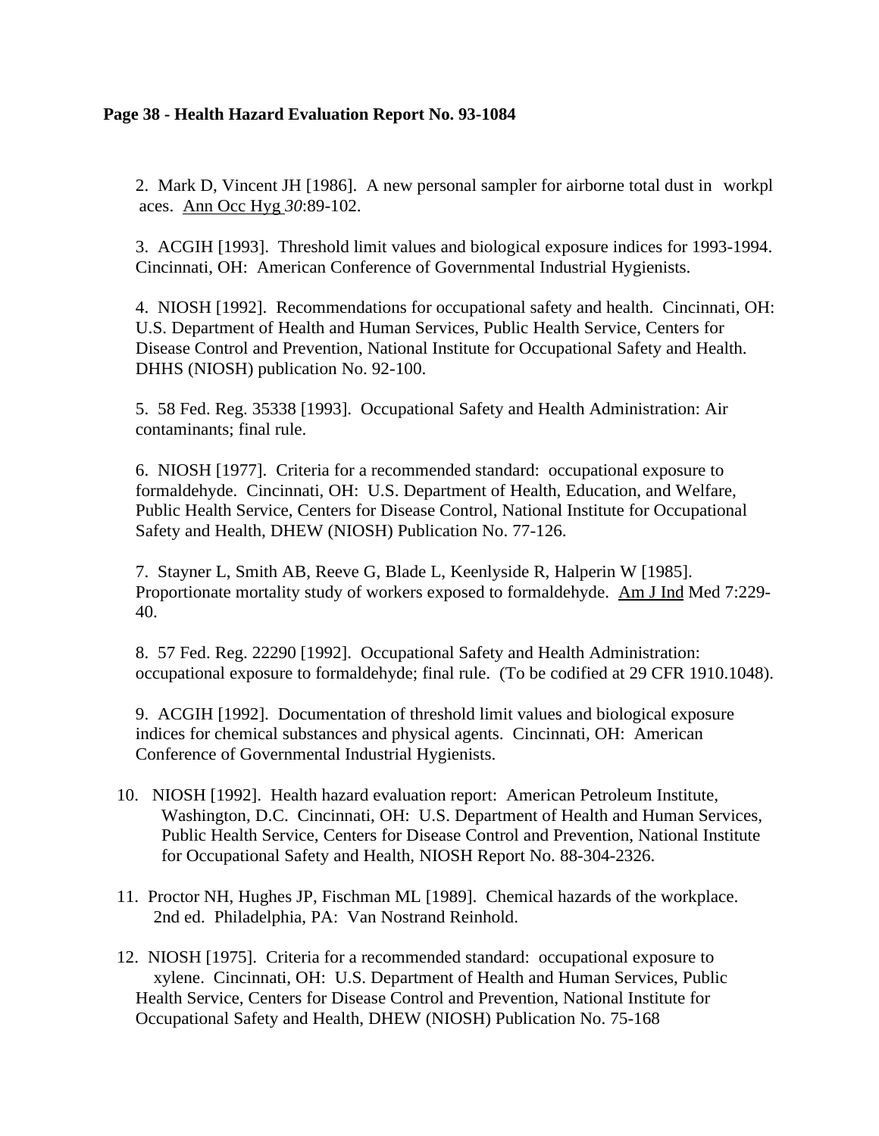### **Page 38 - Health Hazard Evaluation Report No. 93-1084**

2. Mark D, Vincent JH [1986]. A new personal sampler for airborne total dust in workpl aces. Ann Occ Hyg *30*:89-102.

3. ACGIH [1993]. Threshold limit values and biological exposure indices for 1993-1994. Cincinnati, OH: American Conference of Governmental Industrial Hygienists.

4. NIOSH [1992]. Recommendations for occupational safety and health. Cincinnati, OH: U.S. Department of Health and Human Services, Public Health Service, Centers for Disease Control and Prevention, National Institute for Occupational Safety and Health. DHHS (NIOSH) publication No. 92-100.

5. 58 Fed. Reg. 35338 [1993]. Occupational Safety and Health Administration: Air contaminants; final rule.

6. NIOSH [1977]. Criteria for a recommended standard: occupational exposure to formaldehyde. Cincinnati, OH: U.S. Department of Health, Education, and Welfare, Public Health Service, Centers for Disease Control, National Institute for Occupational Safety and Health, DHEW (NIOSH) Publication No. 77-126.

7. Stayner L, Smith AB, Reeve G, Blade L, Keenlyside R, Halperin W [1985]. Proportionate mortality study of workers exposed to formaldehyde. Am J Ind Med 7:229- 40.

8. 57 Fed. Reg. 22290 [1992]. Occupational Safety and Health Administration: occupational exposure to formaldehyde; final rule. (To be codified at 29 CFR 1910.1048).

9. ACGIH [1992]. Documentation of threshold limit values and biological exposure indices for chemical substances and physical agents. Cincinnati, OH: American Conference of Governmental Industrial Hygienists.

- 10. NIOSH [1992]. Health hazard evaluation report: American Petroleum Institute, Washington, D.C. Cincinnati, OH: U.S. Department of Health and Human Services, Public Health Service, Centers for Disease Control and Prevention, National Institute for Occupational Safety and Health, NIOSH Report No. 88-304-2326.
- 11. Proctor NH, Hughes JP, Fischman ML [1989]. Chemical hazards of the workplace. 2nd ed. Philadelphia, PA: Van Nostrand Reinhold.
- 12. NIOSH [1975]. Criteria for a recommended standard: occupational exposure to xylene. Cincinnati, OH: U.S. Department of Health and Human Services, Public Health Service, Centers for Disease Control and Prevention, National Institute for Occupational Safety and Health, DHEW (NIOSH) Publication No. 75-168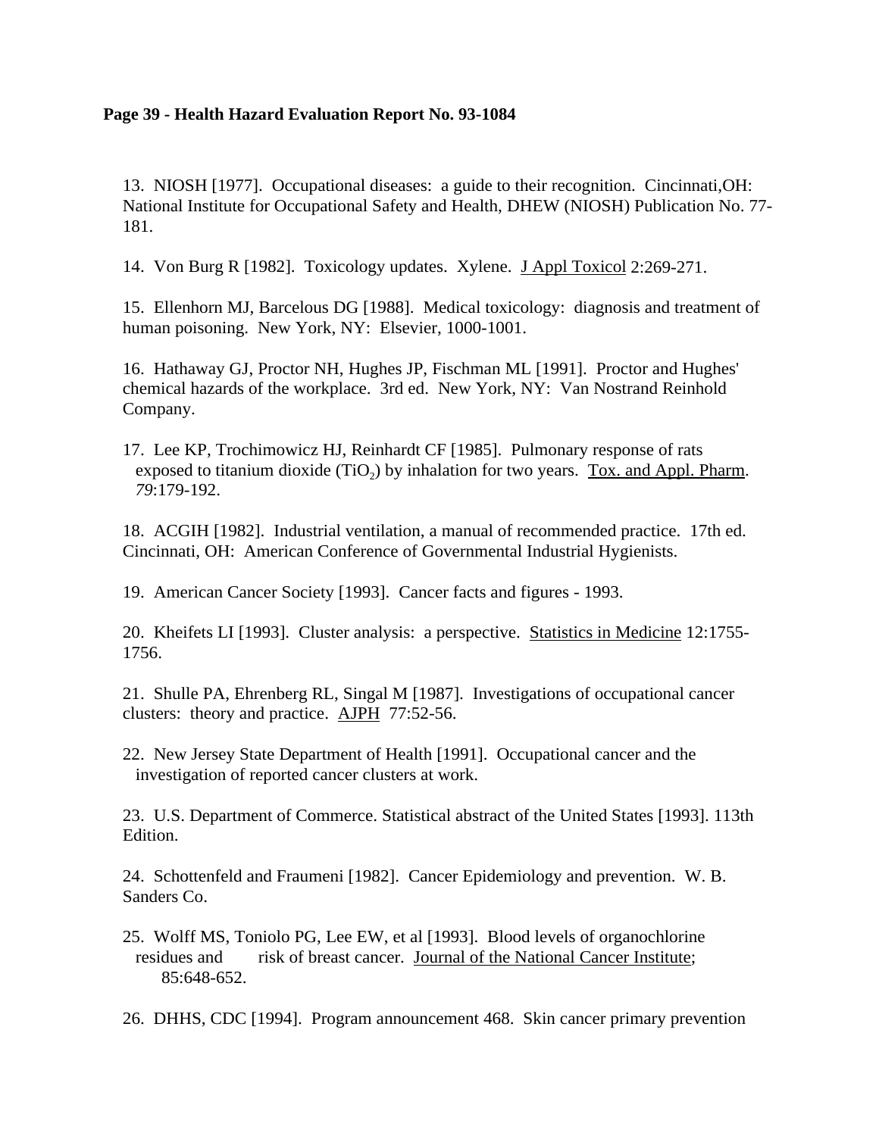### **Page 39 - Health Hazard Evaluation Report No. 93-1084**

13. NIOSH [1977]. Occupational diseases: a guide to their recognition. Cincinnati,OH: National Institute for Occupational Safety and Health, DHEW (NIOSH) Publication No. 77- 181.

14. Von Burg R [1982]. Toxicology updates. Xylene. J Appl Toxicol 2:269-271.

15. Ellenhorn MJ, Barcelous DG [1988]. Medical toxicology: diagnosis and treatment of human poisoning. New York, NY: Elsevier, 1000-1001.

16. Hathaway GJ, Proctor NH, Hughes JP, Fischman ML [1991]. Proctor and Hughes' chemical hazards of the workplace. 3rd ed. New York, NY: Van Nostrand Reinhold Company.

17. Lee KP, Trochimowicz HJ, Reinhardt CF [1985]. Pulmonary response of rats exposed to titanium dioxide  $(TiO<sub>2</sub>)$  by inhalation for two years. Tox. and Appl. Pharm. *79*:179-192.

18. ACGIH [1982]. Industrial ventilation, a manual of recommended practice. 17th ed. Cincinnati, OH: American Conference of Governmental Industrial Hygienists.

19. American Cancer Society [1993]. Cancer facts and figures - 1993.

20. Kheifets LI [1993]. Cluster analysis: a perspective. Statistics in Medicine 12:1755- 1756.

21. Shulle PA, Ehrenberg RL, Singal M [1987]. Investigations of occupational cancer clusters: theory and practice. AJPH 77:52-56.

22. New Jersey State Department of Health [1991]. Occupational cancer and the investigation of reported cancer clusters at work.

23. U.S. Department of Commerce. Statistical abstract of the United States [1993]. 113th Edition.

24. Schottenfeld and Fraumeni [1982]. Cancer Epidemiology and prevention. W. B. Sanders Co.

25. Wolff MS, Toniolo PG, Lee EW, et al [1993]. Blood levels of organochlorine residues and risk of breast cancer. Journal of the National Cancer Institute; 85:648-652.

26. DHHS, CDC [1994]. Program announcement 468. Skin cancer primary prevention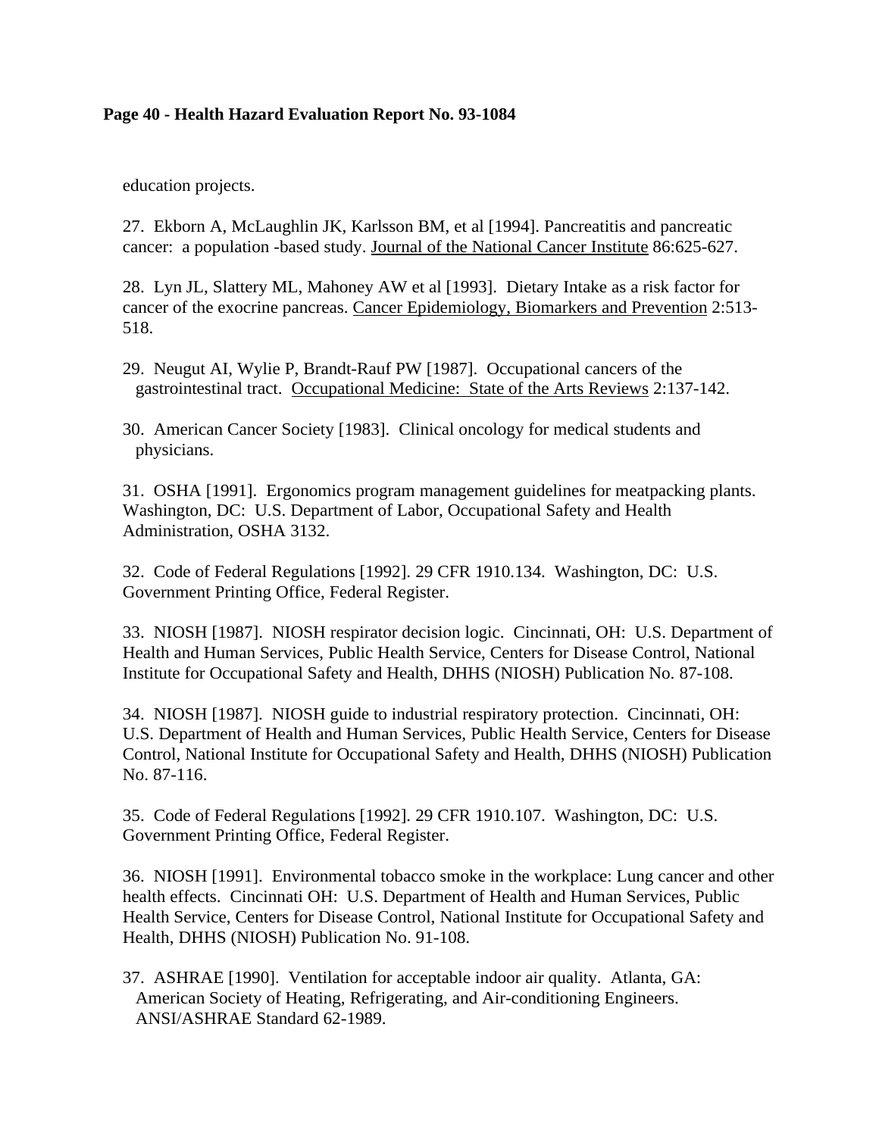### **Page 40 - Health Hazard Evaluation Report No. 93-1084**

education projects.

27. Ekborn A, McLaughlin JK, Karlsson BM, et al [1994]. Pancreatitis and pancreatic cancer: a population -based study. Journal of the National Cancer Institute 86:625-627.

28. Lyn JL, Slattery ML, Mahoney AW et al [1993]. Dietary Intake as a risk factor for cancer of the exocrine pancreas. Cancer Epidemiology, Biomarkers and Prevention 2:513- 518.

29. Neugut AI, Wylie P, Brandt-Rauf PW [1987]. Occupational cancers of the gastrointestinal tract. Occupational Medicine: State of the Arts Reviews 2:137-142.

30. American Cancer Society [1983]. Clinical oncology for medical students and physicians.

31. OSHA [1991]. Ergonomics program management guidelines for meatpacking plants. Washington, DC: U.S. Department of Labor, Occupational Safety and Health Administration, OSHA 3132.

32. Code of Federal Regulations [1992]. 29 CFR 1910.134. Washington, DC: U.S. Government Printing Office, Federal Register.

33. NIOSH [1987]. NIOSH respirator decision logic. Cincinnati, OH: U.S. Department of Health and Human Services, Public Health Service, Centers for Disease Control, National Institute for Occupational Safety and Health, DHHS (NIOSH) Publication No. 87-108.

34. NIOSH [1987]. NIOSH guide to industrial respiratory protection. Cincinnati, OH: U.S. Department of Health and Human Services, Public Health Service, Centers for Disease Control, National Institute for Occupational Safety and Health, DHHS (NIOSH) Publication No. 87-116.

35. Code of Federal Regulations [1992]. 29 CFR 1910.107. Washington, DC: U.S. Government Printing Office, Federal Register.

36. NIOSH [1991]. Environmental tobacco smoke in the workplace: Lung cancer and other health effects. Cincinnati OH: U.S. Department of Health and Human Services, Public Health Service, Centers for Disease Control, National Institute for Occupational Safety and Health, DHHS (NIOSH) Publication No. 91-108.

37. ASHRAE [1990]. Ventilation for acceptable indoor air quality. Atlanta, GA: American Society of Heating, Refrigerating, and Air-conditioning Engineers. ANSI/ASHRAE Standard 62-1989.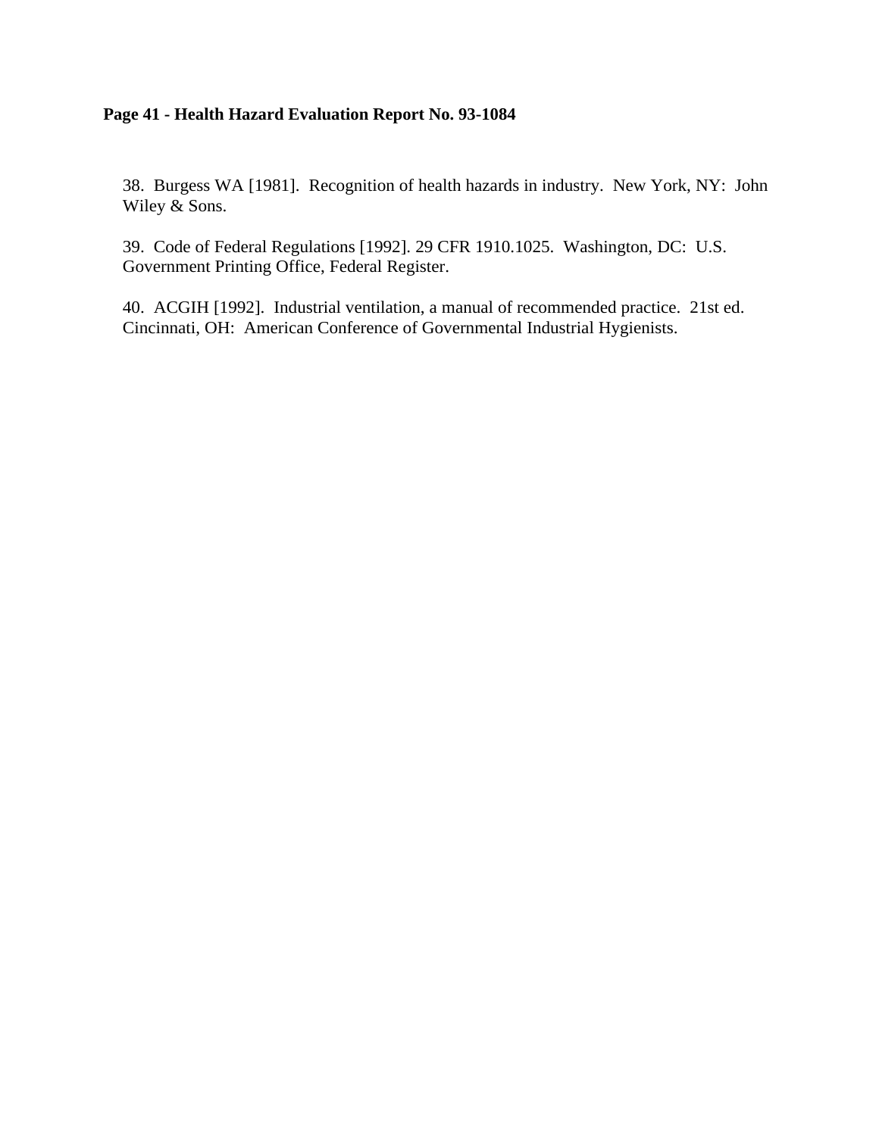## **Page 41 - Health Hazard Evaluation Report No. 93-1084**

38. Burgess WA [1981]. Recognition of health hazards in industry. New York, NY: John Wiley & Sons.

39. Code of Federal Regulations [1992]. 29 CFR 1910.1025. Washington, DC: U.S. Government Printing Office, Federal Register.

40. ACGIH [1992]. Industrial ventilation, a manual of recommended practice. 21st ed. Cincinnati, OH: American Conference of Governmental Industrial Hygienists.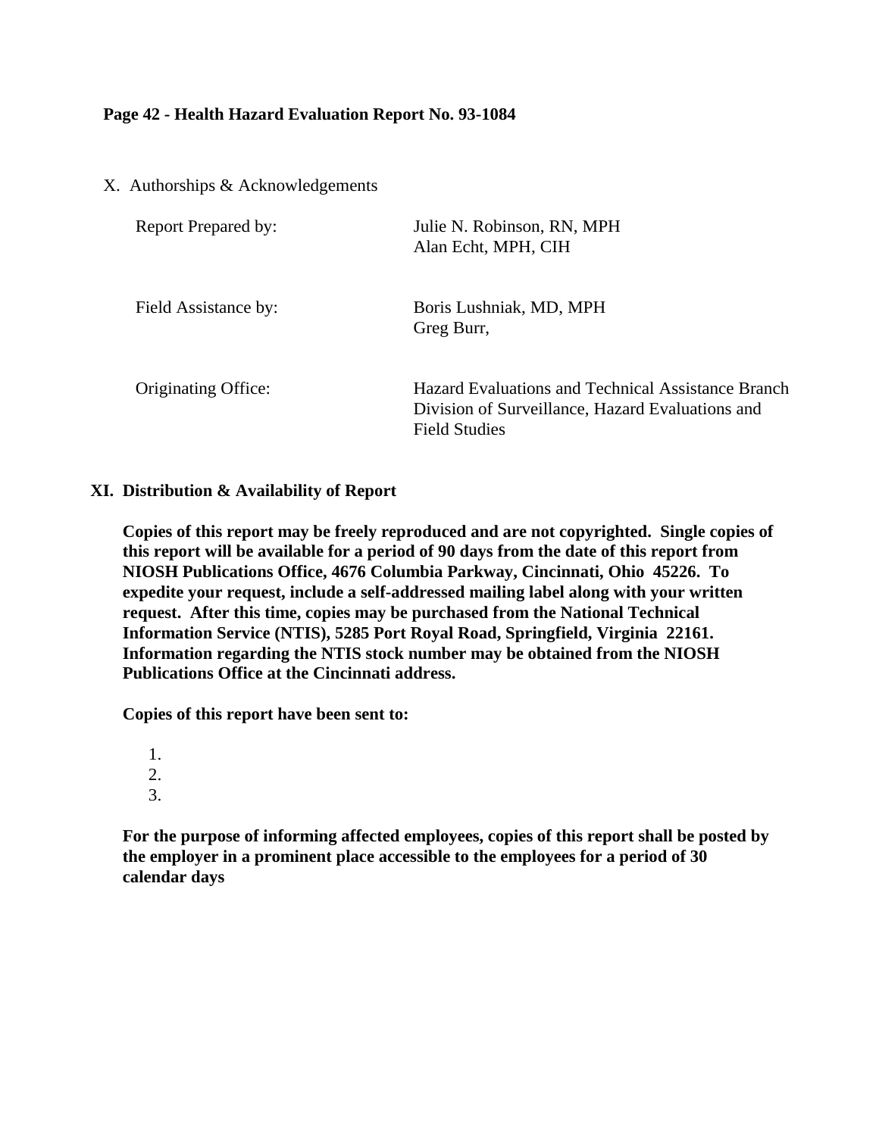### **Page 42 - Health Hazard Evaluation Report No. 93-1084**

X. Authorships & Acknowledgements

| <b>Report Prepared by:</b> | Julie N. Robinson, RN, MPH<br>Alan Echt, MPH, CIH                                                                              |
|----------------------------|--------------------------------------------------------------------------------------------------------------------------------|
| Field Assistance by:       | Boris Lushniak, MD, MPH<br>Greg Burr,                                                                                          |
| Originating Office:        | Hazard Evaluations and Technical Assistance Branch<br>Division of Surveillance, Hazard Evaluations and<br><b>Field Studies</b> |

### **XI. Distribution & Availability of Report**

**Copies of this report may be freely reproduced and are not copyrighted. Single copies of this report will be available for a period of 90 days from the date of this report from NIOSH Publications Office, 4676 Columbia Parkway, Cincinnati, Ohio 45226. To expedite your request, include a self-addressed mailing label along with your written request. After this time, copies may be purchased from the National Technical Information Service (NTIS), 5285 Port Royal Road, Springfield, Virginia 22161. Information regarding the NTIS stock number may be obtained from the NIOSH Publications Office at the Cincinnati address.**

**Copies of this report have been sent to:** 

1. 2. 3.

**For the purpose of informing affected employees, copies of this report shall be posted by the employer in a prominent place accessible to the employees for a period of 30 calendar days**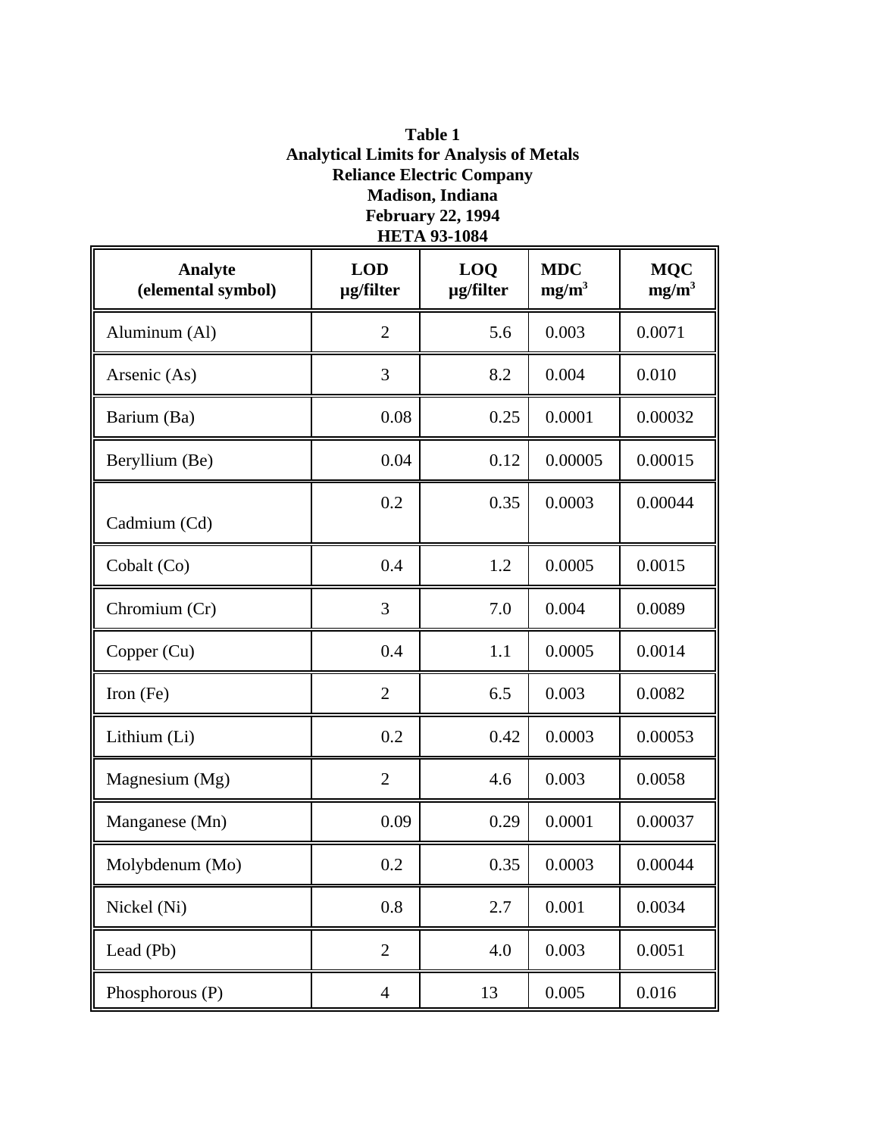**Table 1 Analytical Limits for Analysis of Metals Reliance Electric Company Madison, Indiana February 22, 1994 HETA 93-1084**

| <b>Analyte</b><br>(elemental symbol) | <b>LOD</b><br>µg/filter | LOQ<br>µg/filter | <b>MDC</b><br>$mg/m^3$ | <b>MQC</b><br>mg/m <sup>3</sup> |
|--------------------------------------|-------------------------|------------------|------------------------|---------------------------------|
| Aluminum (Al)                        | $\overline{2}$          | 5.6              | 0.003                  | 0.0071                          |
| Arsenic (As)                         | 3                       | 8.2              | 0.004                  | 0.010                           |
| Barium (Ba)                          | 0.08                    | 0.25             | 0.0001                 | 0.00032                         |
| Beryllium (Be)                       | 0.04                    | 0.12             | 0.00005                | 0.00015                         |
| Cadmium (Cd)                         | 0.2                     | 0.35             | 0.0003                 | 0.00044                         |
| Cobalt (Co)                          | 0.4                     | 1.2              | 0.0005                 | 0.0015                          |
| Chromium (Cr)                        | 3                       | 7.0              | 0.004                  | 0.0089                          |
| Copper (Cu)                          | 0.4                     | 1.1              | 0.0005                 | 0.0014                          |
| Iron $(Fe)$                          | $\overline{2}$          | 6.5              | 0.003                  | 0.0082                          |
| Lithium (Li)                         | 0.2                     | 0.42             | 0.0003                 | 0.00053                         |
| Magnesium (Mg)                       | $\overline{2}$          | 4.6              | 0.003                  | 0.0058                          |
| Manganese (Mn)                       | 0.09                    | 0.29             | 0.0001                 | 0.00037                         |
| Molybdenum (Mo)                      | 0.2                     | 0.35             | 0.0003                 | 0.00044                         |
| Nickel (Ni)                          | $0.8\,$                 | 2.7              | 0.001                  | 0.0034                          |
| Lead (Pb)                            | $\overline{2}$          | 4.0              | 0.003                  | 0.0051                          |
| Phosphorous (P)                      | $\overline{4}$          | 13               | 0.005                  | 0.016                           |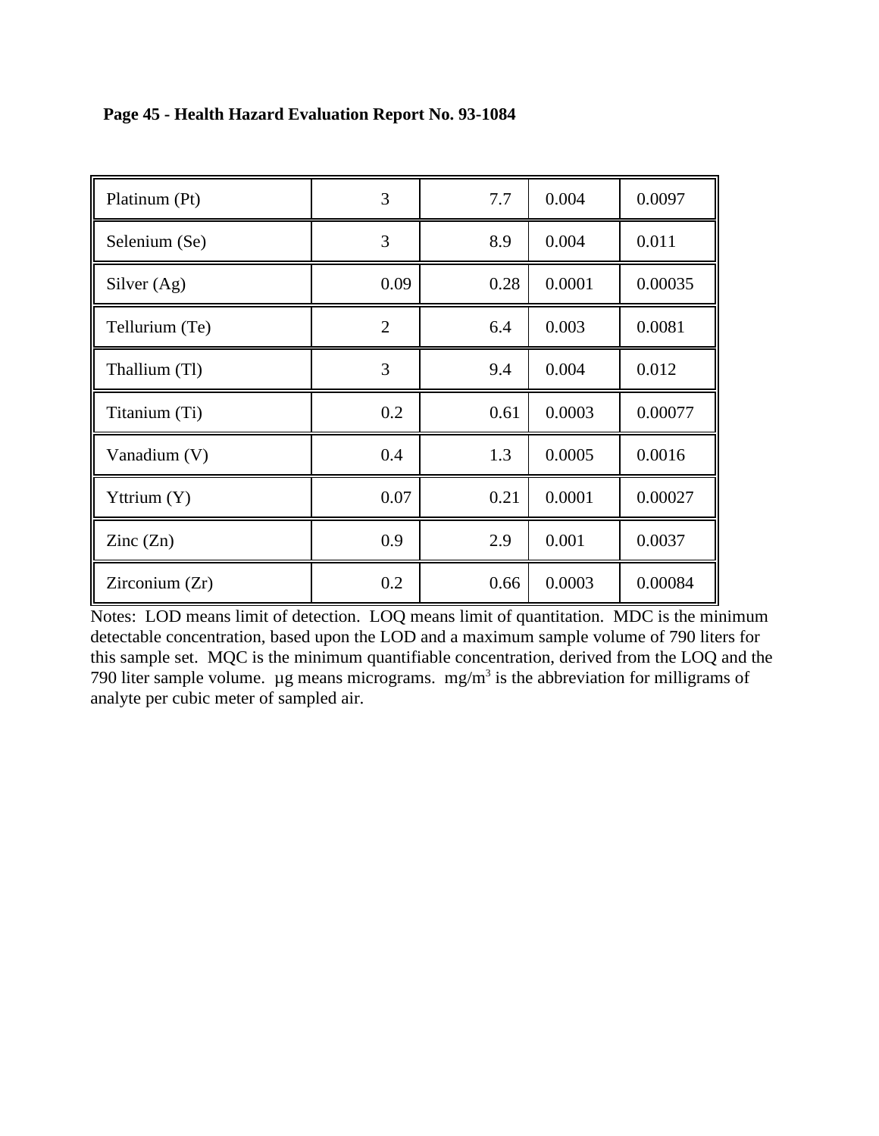| Platinum (Pt)            | 3              | 7.7  | 0.004  | 0.0097  |
|--------------------------|----------------|------|--------|---------|
| Selenium (Se)            | 3              | 8.9  | 0.004  | 0.011   |
| Silver $(Ag)$            | 0.09           | 0.28 | 0.0001 | 0.00035 |
| Tellurium (Te)           | $\overline{2}$ | 6.4  | 0.003  | 0.0081  |
| Thallium (Tl)            | 3              | 9.4  | 0.004  | 0.012   |
| Titanium (Ti)            | 0.2            | 0.61 | 0.0003 | 0.00077 |
| Vanadium (V)             | 0.4            | 1.3  | 0.0005 | 0.0016  |
| Yttrium (Y)              | 0.07           | 0.21 | 0.0001 | 0.00027 |
| $\text{Zinc}(\text{Zn})$ | 0.9            | 2.9  | 0.001  | 0.0037  |
| Zirconium (Zr)           | 0.2            | 0.66 | 0.0003 | 0.00084 |

**Page 45 - Health Hazard Evaluation Report No. 93-1084**

Notes: LOD means limit of detection. LOQ means limit of quantitation. MDC is the minimum detectable concentration, based upon the LOD and a maximum sample volume of 790 liters for this sample set. MQC is the minimum quantifiable concentration, derived from the LOQ and the 790 liter sample volume.  $\mu$ g means micrograms. mg/m<sup>3</sup> is the abbreviation for milligrams of analyte per cubic meter of sampled air.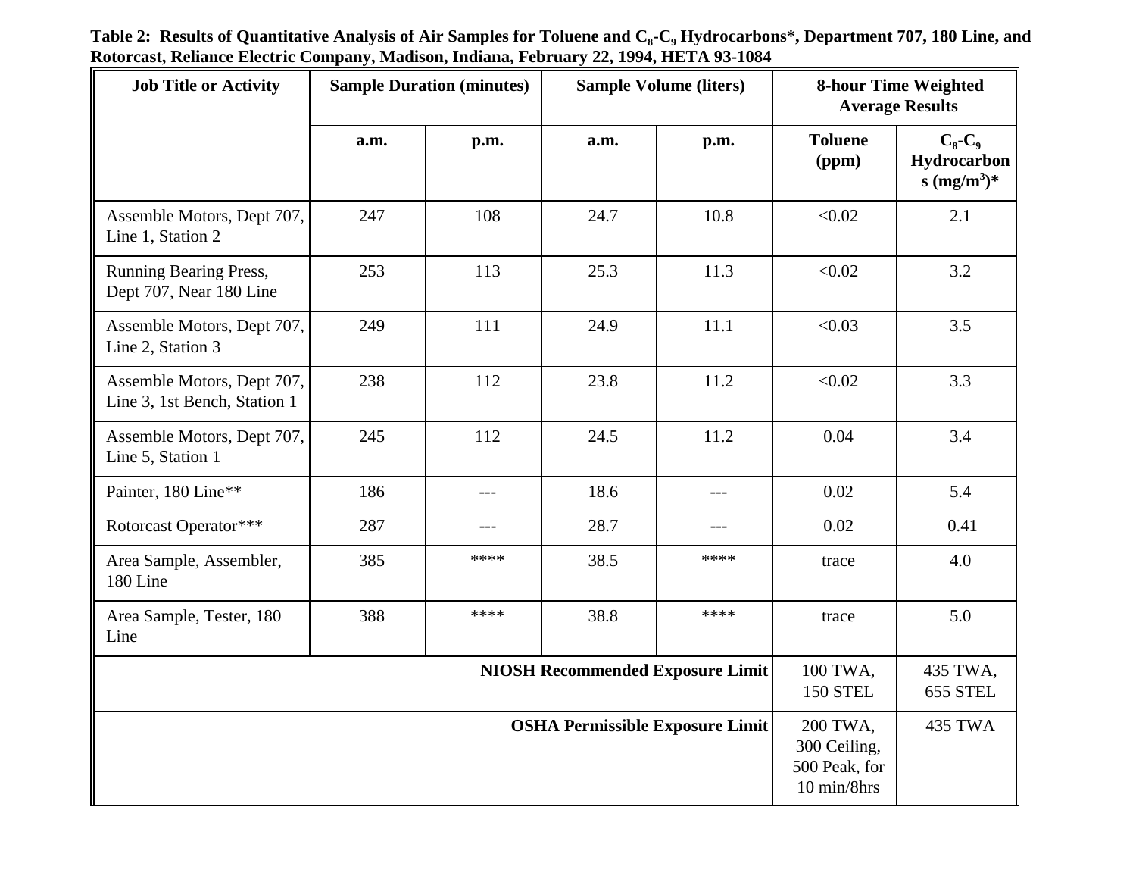Table 2: Results of Quantitative Analysis of Air Samples for Toluene and C<sub>8</sub>-C<sub>9</sub> Hydrocarbons\*, Department 707, 180 Line, and **Rotorcast, Reliance Electric Company, Madison, Indiana, February 22, 1994, HETA 93-1084**

| <b>Job Title or Activity</b>                               |      | <b>Sample Duration (minutes)</b> | <b>Sample Volume (liters)</b> |                                                          | <b>8-hour Time Weighted</b><br><b>Average Results</b> |                                                |
|------------------------------------------------------------|------|----------------------------------|-------------------------------|----------------------------------------------------------|-------------------------------------------------------|------------------------------------------------|
|                                                            | a.m. | p.m.                             | a.m.                          | p.m.                                                     | <b>Toluene</b><br>(ppm)                               | $C_8$ - $C_9$<br>Hydrocarbon<br>s $(mg/m^3)^*$ |
| Assemble Motors, Dept 707,<br>Line 1, Station 2            | 247  | 108                              | 24.7                          | 10.8                                                     | < 0.02                                                | 2.1                                            |
| Running Bearing Press,<br>Dept 707, Near 180 Line          | 253  | 113                              | 25.3                          | 11.3                                                     | < 0.02                                                | 3.2                                            |
| Assemble Motors, Dept 707,<br>Line 2, Station 3            | 249  | 111                              | 24.9                          | 11.1                                                     | < 0.03                                                | 3.5                                            |
| Assemble Motors, Dept 707,<br>Line 3, 1st Bench, Station 1 | 238  | 112                              | 23.8                          | 11.2                                                     | < 0.02                                                | 3.3                                            |
| Assemble Motors, Dept 707,<br>Line 5, Station 1            | 245  | 112                              | 24.5                          | 11.2                                                     | 0.04                                                  | 3.4                                            |
| Painter, 180 Line**                                        | 186  | $---$                            | 18.6                          | $---$                                                    | 0.02                                                  | 5.4                                            |
| Rotorcast Operator***                                      | 287  | $---$                            | 28.7                          | ---                                                      | 0.02                                                  | 0.41                                           |
| Area Sample, Assembler,<br>180 Line                        | 385  | ****                             | 38.5                          | ****                                                     | trace                                                 | 4.0                                            |
| Area Sample, Tester, 180<br>Line                           | 388  | ****                             | 38.8                          | ****                                                     | trace                                                 | 5.0                                            |
| <b>NIOSH Recommended Exposure Limit</b>                    |      |                                  |                               |                                                          | 100 TWA,<br><b>150 STEL</b>                           | 435 TWA,<br>655 STEL                           |
| <b>OSHA Permissible Exposure Limit</b>                     |      |                                  |                               | 200 TWA,<br>300 Ceiling,<br>500 Peak, for<br>10 min/8hrs | 435 TWA                                               |                                                |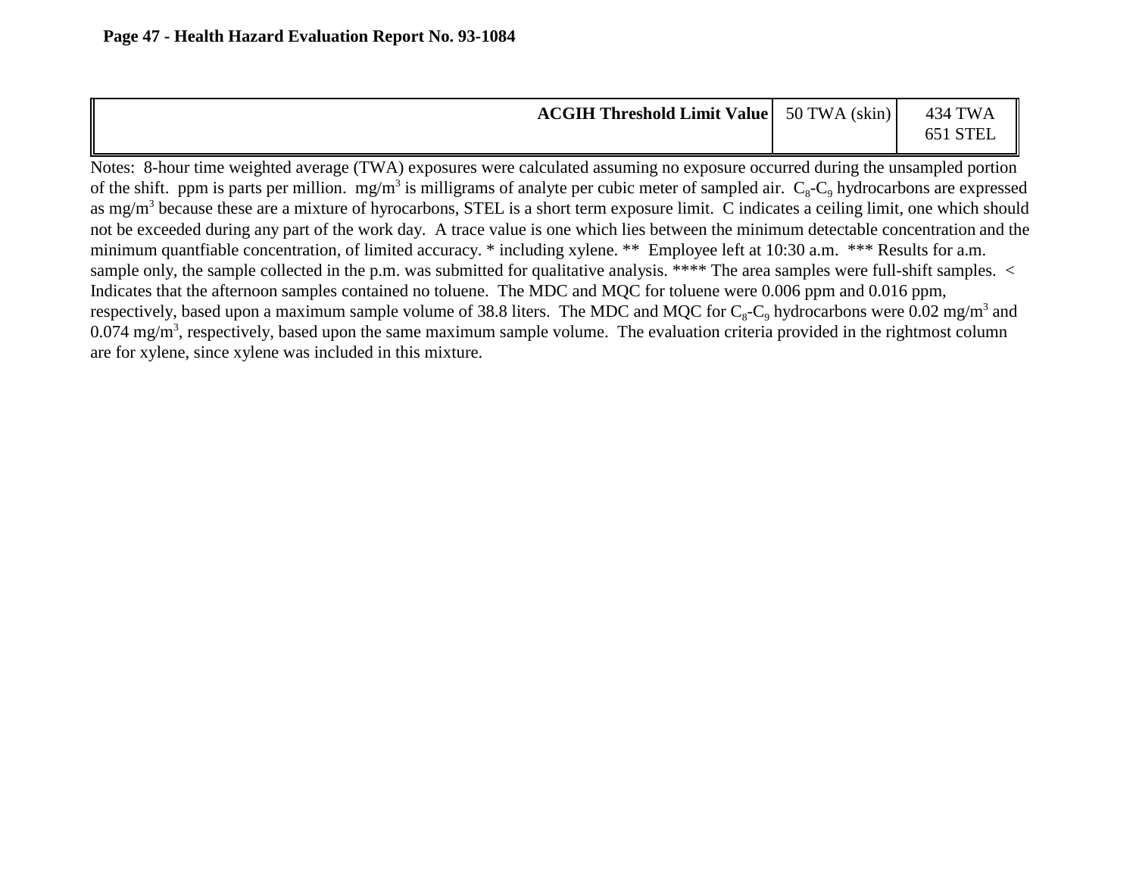| <b>ACGIH Threshold Limit Value</b> 50 TWA (skin) | 434 TWA<br><b>STEL</b> |
|--------------------------------------------------|------------------------|
|                                                  |                        |

Notes: 8-hour time weighted average (TWA) exposures were calculated assuming no exposure occurred during the unsampled portion of the shift. ppm is parts per million. mg/m<sup>3</sup> is milligrams of analyte per cubic meter of sampled air.  $C_8$ -C<sub>9</sub> hydrocarbons are expressed as mg/m<sup>3</sup> because these are a mixture of hyrocarbons, STEL is a short term exposure limit. C indicates a ceiling limit, one which should not be exceeded during any part of the work day. A trace value is one which lies between the minimum detectable concentration and the minimum quantfiable concentration, of limited accuracy. \* including xylene. \*\* Employee left at 10:30 a.m. \*\*\* Results for a.m. sample only, the sample collected in the p.m. was submitted for qualitative analysis. \*\*\*\* The area samples were full-shift samples. < Indicates that the afternoon samples contained no toluene. The MDC and MQC for toluene were 0.006 ppm and 0.016 ppm, respectively, based upon a maximum sample volume of 38.8 liters. The MDC and MQC for  $C_8$ -C<sub>9</sub> hydrocarbons were 0.02 mg/m<sup>3</sup> and  $0.074$  mg/m<sup>3</sup>, respectively, based upon the same maximum sample volume. The evaluation criteria provided in the rightmost column are for xylene, since xylene was included in this mixture.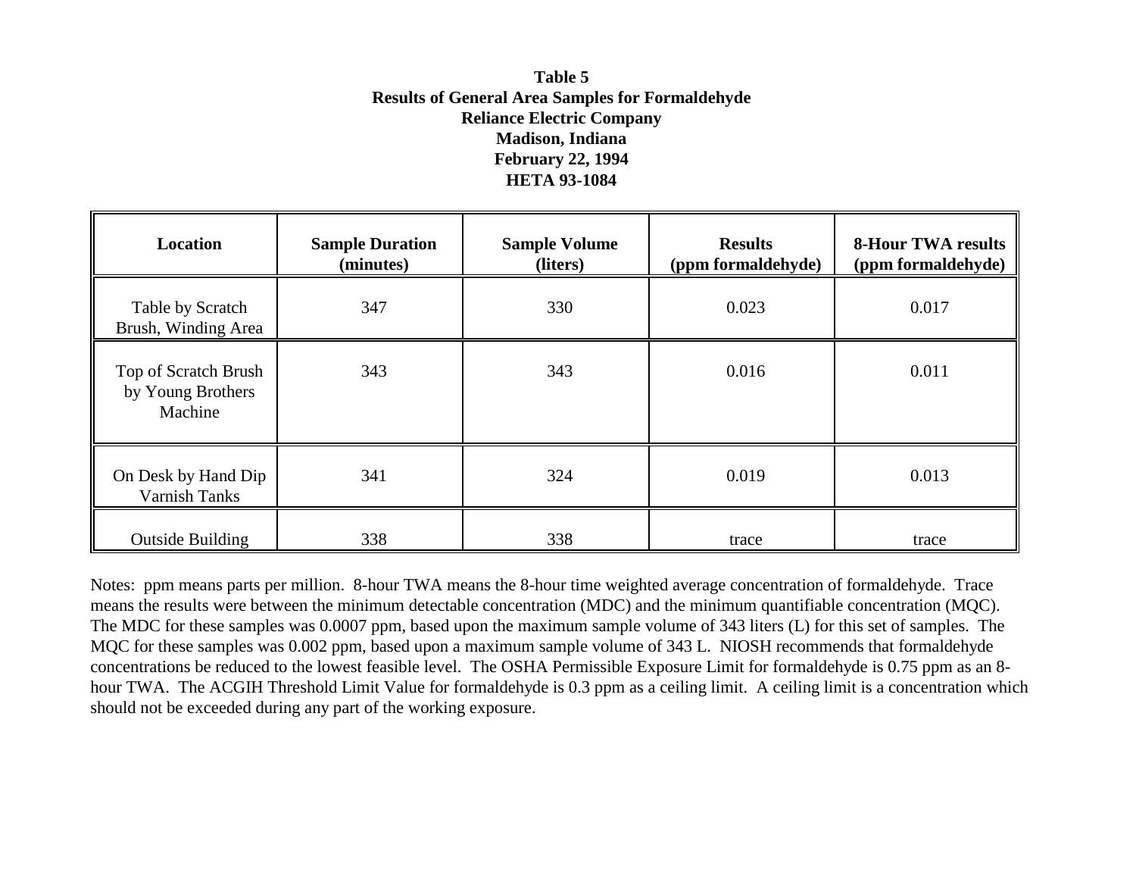### **Table 5 Results of General Area Samples for Formaldehyde Reliance Electric Company Madison, Indiana February 22, 1994 HETA 93-1084**

| Location                                             | <b>Sample Duration</b><br>(minutes) | <b>Sample Volume</b><br>(liters) | <b>Results</b><br>(ppm formaldehyde) | <b>8-Hour TWA results</b><br>(ppm formaldehyde) |
|------------------------------------------------------|-------------------------------------|----------------------------------|--------------------------------------|-------------------------------------------------|
| Table by Scratch<br>Brush, Winding Area              | 347                                 | 330                              | 0.023                                | 0.017                                           |
| Top of Scratch Brush<br>by Young Brothers<br>Machine | 343                                 | 343                              | 0.016                                | 0.011                                           |
| On Desk by Hand Dip<br><b>Varnish Tanks</b>          | 341                                 | 324                              | 0.019                                | 0.013                                           |
| <b>Outside Building</b>                              | 338                                 | 338                              | trace                                | trace                                           |

Notes: ppm means parts per million. 8-hour TWA means the 8-hour time weighted average concentration of formaldehyde. Trace means the results were between the minimum detectable concentration (MDC) and the minimum quantifiable concentration (MQC). The MDC for these samples was 0.0007 ppm, based upon the maximum sample volume of 343 liters (L) for this set of samples. The MQC for these samples was 0.002 ppm, based upon a maximum sample volume of 343 L. NIOSH recommends that formaldehyde concentrations be reduced to the lowest feasible level. The OSHA Permissible Exposure Limit for formaldehyde is 0.75 ppm as an 8 hour TWA. The ACGIH Threshold Limit Value for formaldehyde is 0.3 ppm as a ceiling limit. A ceiling limit is a concentration which should not be exceeded during any part of the working exposure.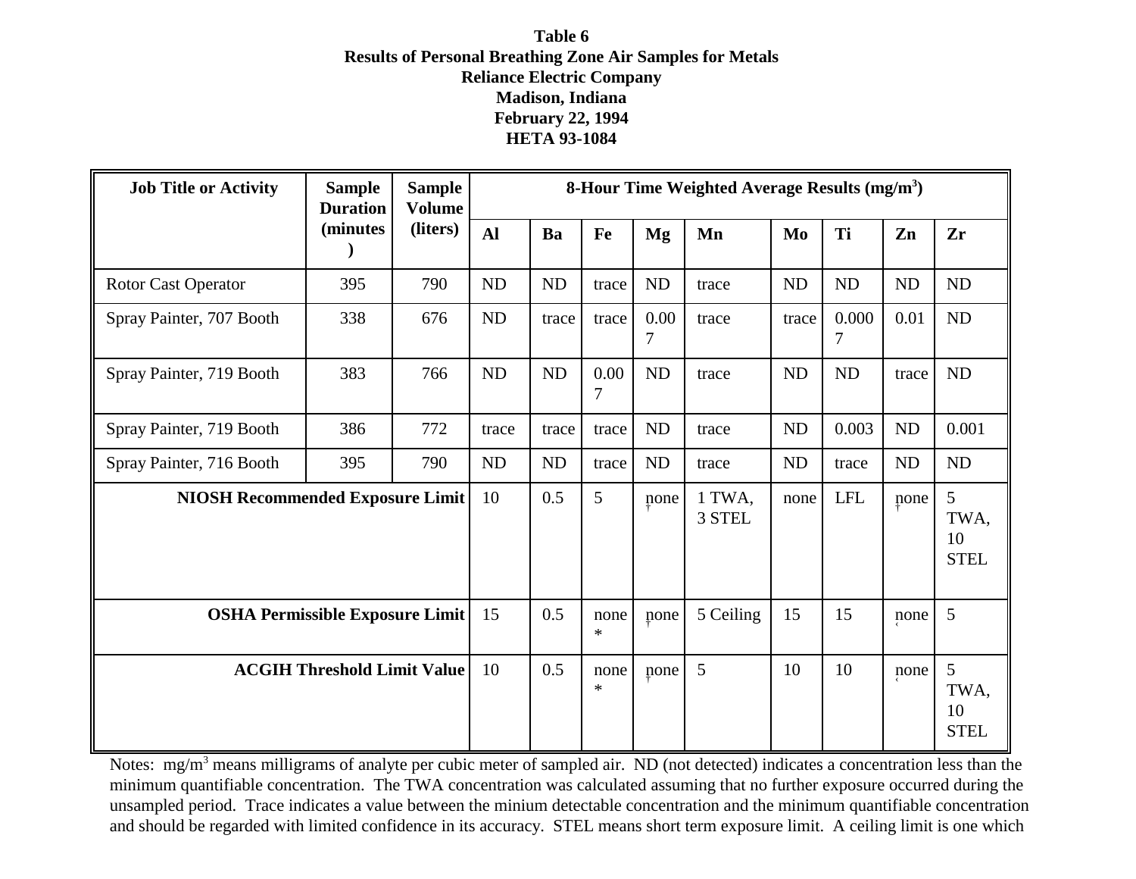# **Table 6 Results of Personal Breathing Zone Air Samples for Metals Reliance Electric Company Madison, Indiana February 22, 1994 HETA 93-1084**

| <b>Job Title or Activity</b>            | <b>Sample</b><br><b>Duration</b> | <b>Sample</b><br><b>Volume</b> | 8-Hour Time Weighted Average Results $(mg/m3)$ |           |                |           |                  |           |                         |           |                                 |
|-----------------------------------------|----------------------------------|--------------------------------|------------------------------------------------|-----------|----------------|-----------|------------------|-----------|-------------------------|-----------|---------------------------------|
|                                         | (minutes                         | (liters)                       | <b>Al</b>                                      | Ba        | Fe             | Mg        | Mn               | Mo        | Ti                      | Zn        | Zr                              |
| Rotor Cast Operator                     | 395                              | 790                            | <b>ND</b>                                      | <b>ND</b> | trace          | <b>ND</b> | trace            | <b>ND</b> | <b>ND</b>               | <b>ND</b> | <b>ND</b>                       |
| Spray Painter, 707 Booth                | 338                              | 676                            | ND                                             | trace     | trace          | 0.00<br>7 | trace            | trace     | 0.000<br>$\overline{7}$ | 0.01      | ND                              |
| Spray Painter, 719 Booth                | 383                              | 766                            | ND                                             | <b>ND</b> | 0.00<br>7      | ND        | trace            | <b>ND</b> | ND                      | trace     | ND                              |
| Spray Painter, 719 Booth                | 386                              | 772                            | trace                                          | trace     | trace          | <b>ND</b> | trace            | <b>ND</b> | 0.003                   | <b>ND</b> | 0.001                           |
| Spray Painter, 716 Booth                | 395                              | 790                            | <b>ND</b>                                      | <b>ND</b> | trace          | <b>ND</b> | trace            | <b>ND</b> | trace                   | <b>ND</b> | <b>ND</b>                       |
| <b>NIOSH Recommended Exposure Limit</b> |                                  |                                | 10                                             | 0.5       | 5              | none      | 1 TWA,<br>3 STEL | none      | LFL                     | none      | 5<br>TWA,<br>10<br>${\it STEL}$ |
| <b>OSHA Permissible Exposure Limit</b>  |                                  |                                | 15                                             | 0.5       | none<br>$\ast$ | none      | 5 Ceiling        | 15        | 15                      | none      | 5                               |
| <b>ACGIH Threshold Limit Value</b>      |                                  |                                | 10                                             | 0.5       | none<br>$\ast$ | none      | 5                | 10        | 10                      | none      | 5<br>TWA,<br>10<br><b>STEL</b>  |

Notes: mg/m<sup>3</sup> means milligrams of analyte per cubic meter of sampled air. ND (not detected) indicates a concentration less than the minimum quantifiable concentration. The TWA concentration was calculated assuming that no further exposure occurred during the unsampled period. Trace indicates a value between the minium detectable concentration and the minimum quantifiable concentration and should be regarded with limited confidence in its accuracy. STEL means short term exposure limit. A ceiling limit is one which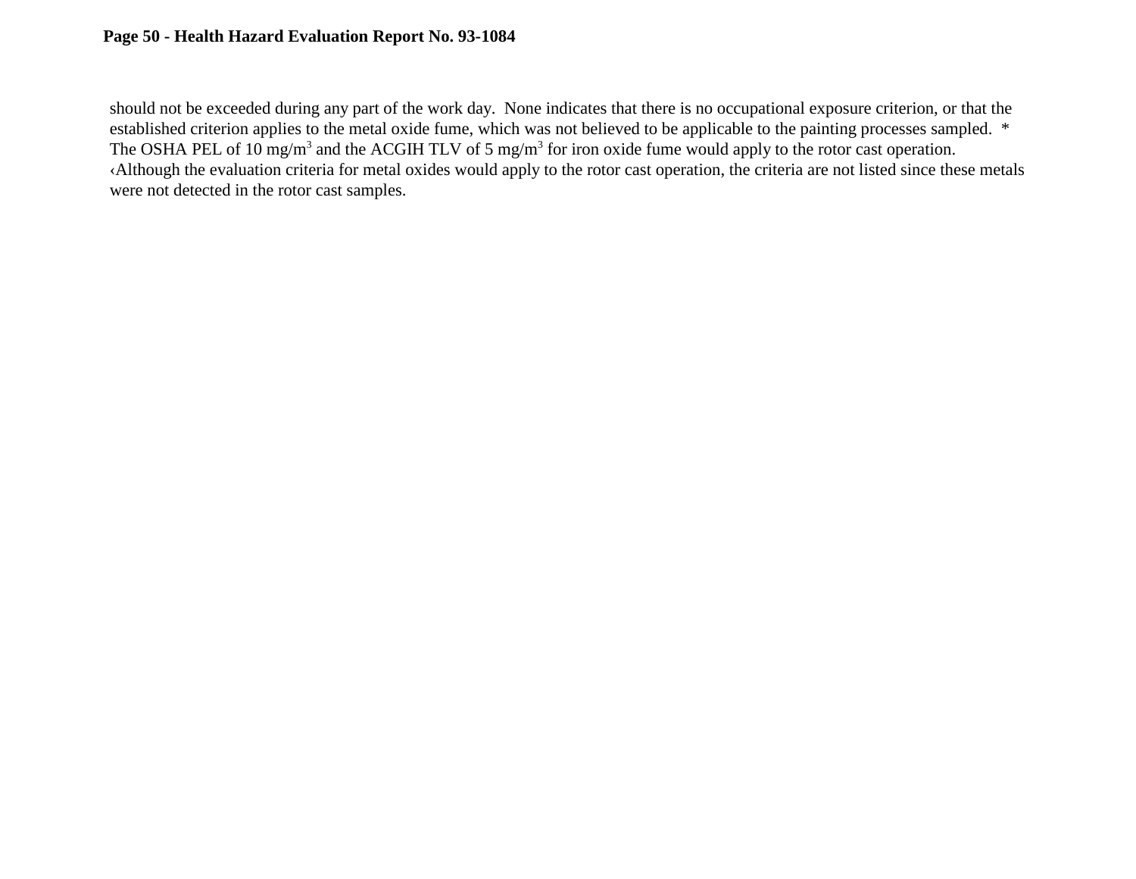### **Page 50 - Health Hazard Evaluation Report No. 93-1084**

should not be exceeded during any part of the work day. None indicates that there is no occupational exposure criterion, or that the established criterion applies to the metal oxide fume, which was not believed to be applicable to the painting processes sampled. \* The OSHA PEL of 10 mg/m<sup>3</sup> and the ACGIH TLV of 5 mg/m<sup>3</sup> for iron oxide fume would apply to the rotor cast operation. ‹Although the evaluation criteria for metal oxides would apply to the rotor cast operation, the criteria are not listed since these metals were not detected in the rotor cast samples.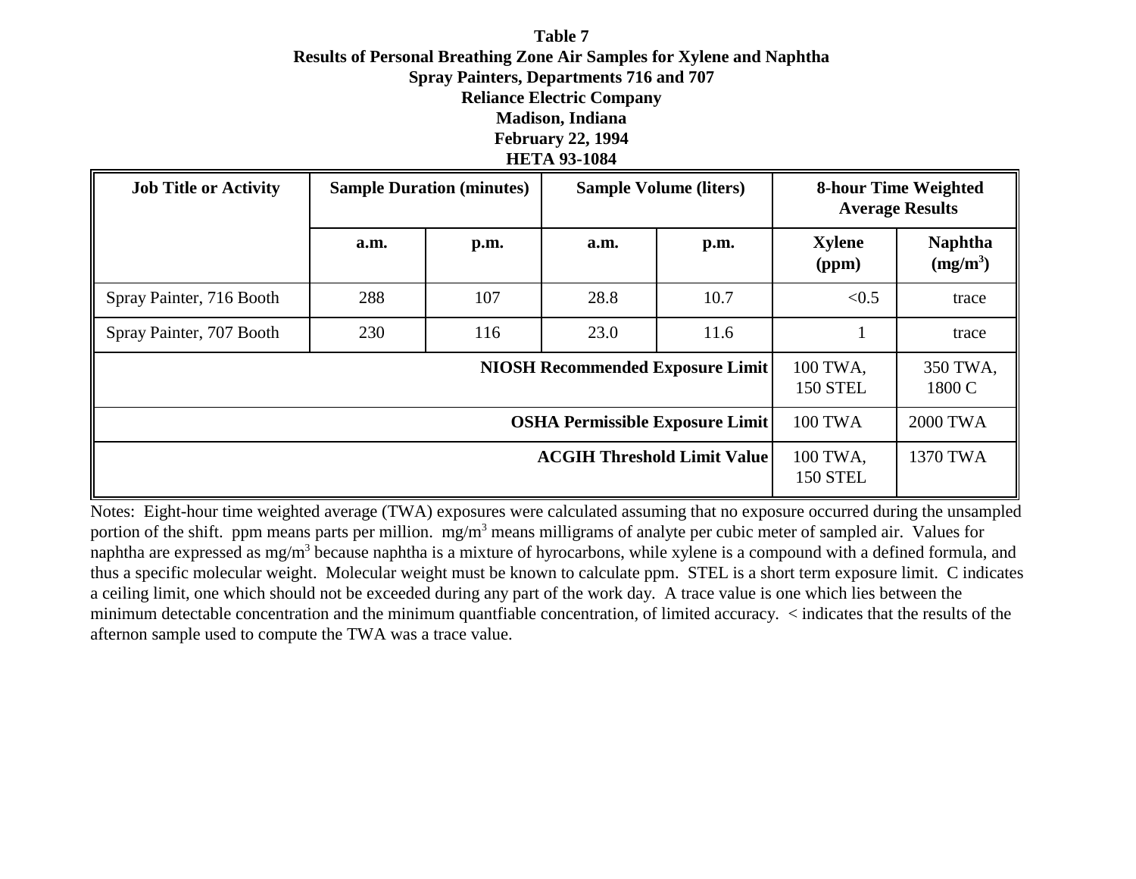# **Table 7 Results of Personal Breathing Zone Air Samples for Xylene and Naphtha Spray Painters, Departments 716 and 707 Reliance Electric Company Madison, Indiana February 22, 1994 HETA 93-1084**

| <b>Job Title or Activity</b> |                             | <b>Sample Duration (minutes)</b> |      | <b>Sample Volume (liters)</b> | <b>8-hour Time Weighted</b><br><b>Average Results</b> |                              |  |
|------------------------------|-----------------------------|----------------------------------|------|-------------------------------|-------------------------------------------------------|------------------------------|--|
|                              | a.m.                        | p.m.                             | a.m. | p.m.                          | <b>Xylene</b><br>(ppm)                                | <b>Naphtha</b><br>$(mg/m^3)$ |  |
| Spray Painter, 716 Booth     | 288                         | 107                              | 28.8 | 10.7                          | < 0.5                                                 | trace                        |  |
| Spray Painter, 707 Booth     | 230                         | 116                              | 23.0 | 11.6                          |                                                       | trace                        |  |
|                              | 100 TWA,<br><b>150 STEL</b> | 350 TWA,<br>1800 C               |      |                               |                                                       |                              |  |
|                              | <b>100 TWA</b>              | 2000 TWA                         |      |                               |                                                       |                              |  |
|                              | 100 TWA,<br><b>150 STEL</b> | 1370 TWA                         |      |                               |                                                       |                              |  |

Notes: Eight-hour time weighted average (TWA) exposures were calculated assuming that no exposure occurred during the unsampled portion of the shift. ppm means parts per million. mg/m<sup>3</sup> means milligrams of analyte per cubic meter of sampled air. Values for naphtha are expressed as mg/m<sup>3</sup> because naphtha is a mixture of hyrocarbons, while xylene is a compound with a defined formula, and thus a specific molecular weight. Molecular weight must be known to calculate ppm. STEL is a short term exposure limit. C indicates a ceiling limit, one which should not be exceeded during any part of the work day. A trace value is one which lies between the minimum detectable concentration and the minimum quantfiable concentration, of limited accuracy. < indicates that the results of the afternon sample used to compute the TWA was a trace value.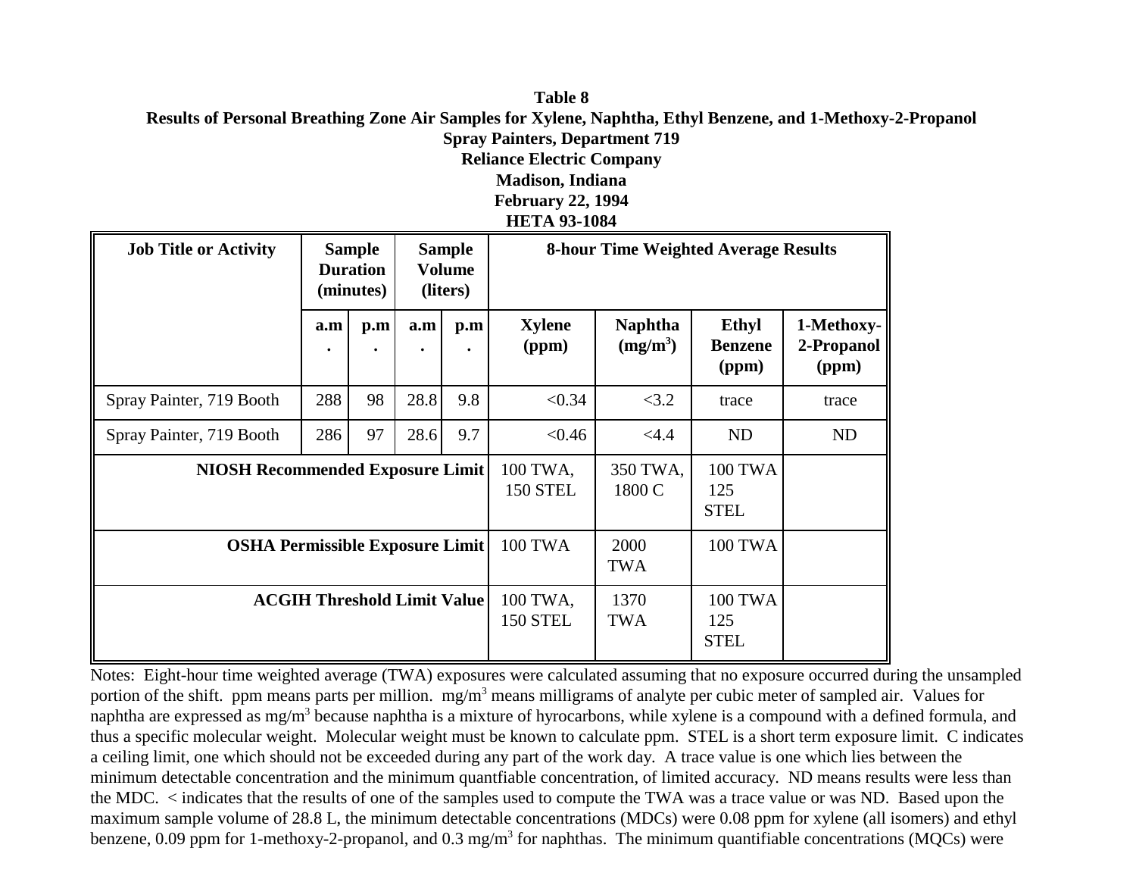# **Table 8 Results of Personal Breathing Zone Air Samples for Xylene, Naphtha, Ethyl Benzene, and 1-Methoxy-2-Propanol Spray Painters, Department 719**

**Reliance Electric Company**

**Madison, Indiana February 22, 1994**

**HETA 93-1084**

| <b>Job Title or Activity</b>            | <b>Sample</b><br><b>Duration</b><br>(minutes) |                             | <b>Sample</b><br><b>Volume</b><br>(liters) |                                      | <b>8-hour Time Weighted Average Results</b> |                              |                                         |                                   |  |  |
|-----------------------------------------|-----------------------------------------------|-----------------------------|--------------------------------------------|--------------------------------------|---------------------------------------------|------------------------------|-----------------------------------------|-----------------------------------|--|--|
|                                         | a.m<br>$\bullet$                              | p.m<br>$\bullet$            | a.m<br>$\bullet$                           | p.m<br>$\bullet$                     | <b>Xylene</b><br>(ppm)                      | <b>Naphtha</b><br>$(mg/m^3)$ | <b>Ethyl</b><br><b>Benzene</b><br>(ppm) | 1-Methoxy-<br>2-Propanol<br>(ppm) |  |  |
| Spray Painter, 719 Booth                | 288                                           | 98                          | 28.8                                       | 9.8                                  | < 0.34                                      | <3.2                         | trace                                   | trace                             |  |  |
| Spray Painter, 719 Booth                | 286                                           | 97                          | 28.6                                       | 9.7                                  | < 0.46                                      | <4.4                         | ND                                      | N <sub>D</sub>                    |  |  |
| <b>NIOSH Recommended Exposure Limit</b> |                                               |                             |                                            |                                      | 100 TWA,<br><b>150 STEL</b>                 | 350 TWA,<br>1800 C           | <b>100 TWA</b><br>125<br><b>STEL</b>    |                                   |  |  |
| <b>OSHA Permissible Exposure Limit</b>  |                                               |                             |                                            |                                      | <b>100 TWA</b>                              | 2000<br><b>TWA</b>           | <b>100 TWA</b>                          |                                   |  |  |
| <b>ACGIH Threshold Limit Value</b>      |                                               | 100 TWA,<br><b>150 STEL</b> | 1370<br><b>TWA</b>                         | <b>100 TWA</b><br>125<br><b>STEL</b> |                                             |                              |                                         |                                   |  |  |

Notes: Eight-hour time weighted average (TWA) exposures were calculated assuming that no exposure occurred during the unsampled portion of the shift. ppm means parts per million. mg/m<sup>3</sup> means milligrams of analyte per cubic meter of sampled air. Values for naphtha are expressed as mg/m<sup>3</sup> because naphtha is a mixture of hyrocarbons, while xylene is a compound with a defined formula, and thus a specific molecular weight. Molecular weight must be known to calculate ppm. STEL is a short term exposure limit. C indicates a ceiling limit, one which should not be exceeded during any part of the work day. A trace value is one which lies between the minimum detectable concentration and the minimum quantfiable concentration, of limited accuracy. ND means results were less than the MDC. < indicates that the results of one of the samples used to compute the TWA was a trace value or was ND. Based upon the maximum sample volume of 28.8 L, the minimum detectable concentrations (MDCs) were 0.08 ppm for xylene (all isomers) and ethyl benzene, 0.09 ppm for 1-methoxy-2-propanol, and  $0.3 \text{ mg/m}^3$  for naphthas. The minimum quantifiable concentrations (MQCs) were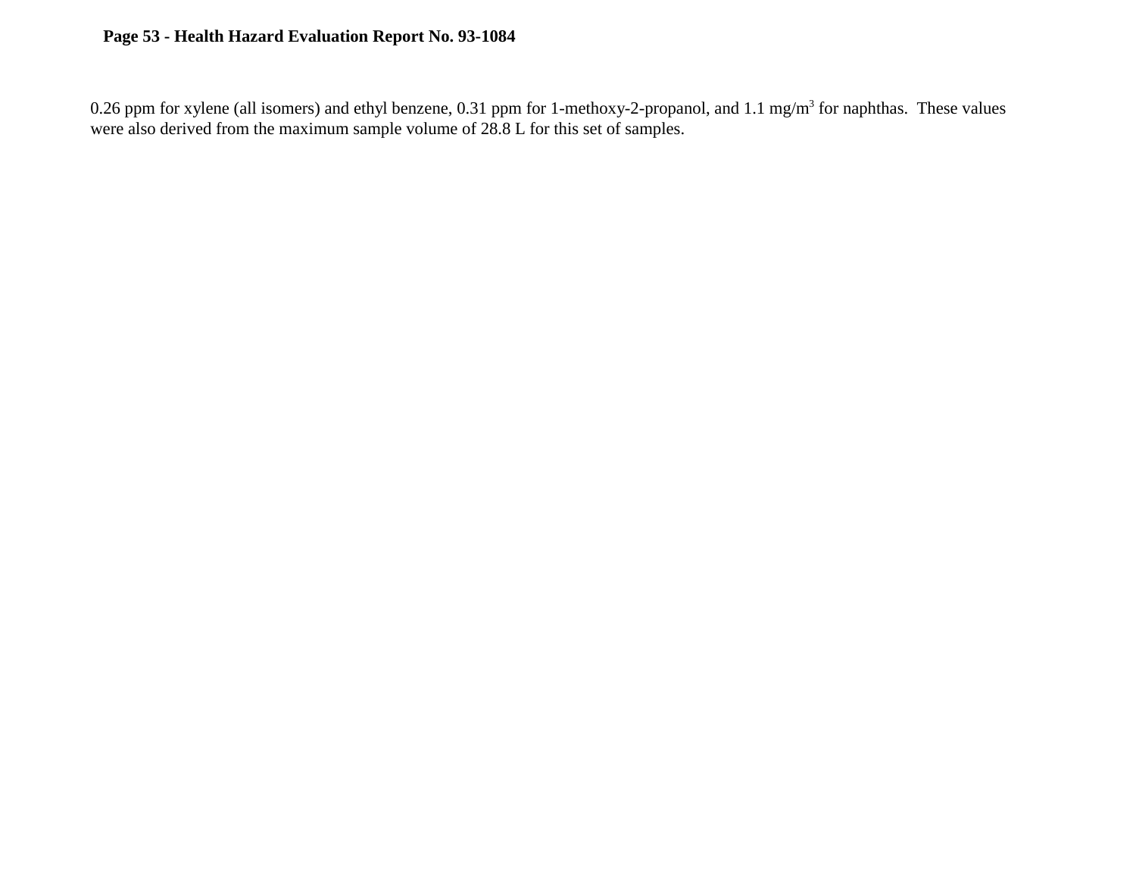# **Page 53 - Health Hazard Evaluation Report No. 93-1084**

0.26 ppm for xylene (all isomers) and ethyl benzene, 0.31 ppm for 1-methoxy-2-propanol, and 1.1 mg/m<sup>3</sup> for naphthas. These values were also derived from the maximum sample volume of 28.8 L for this set of samples.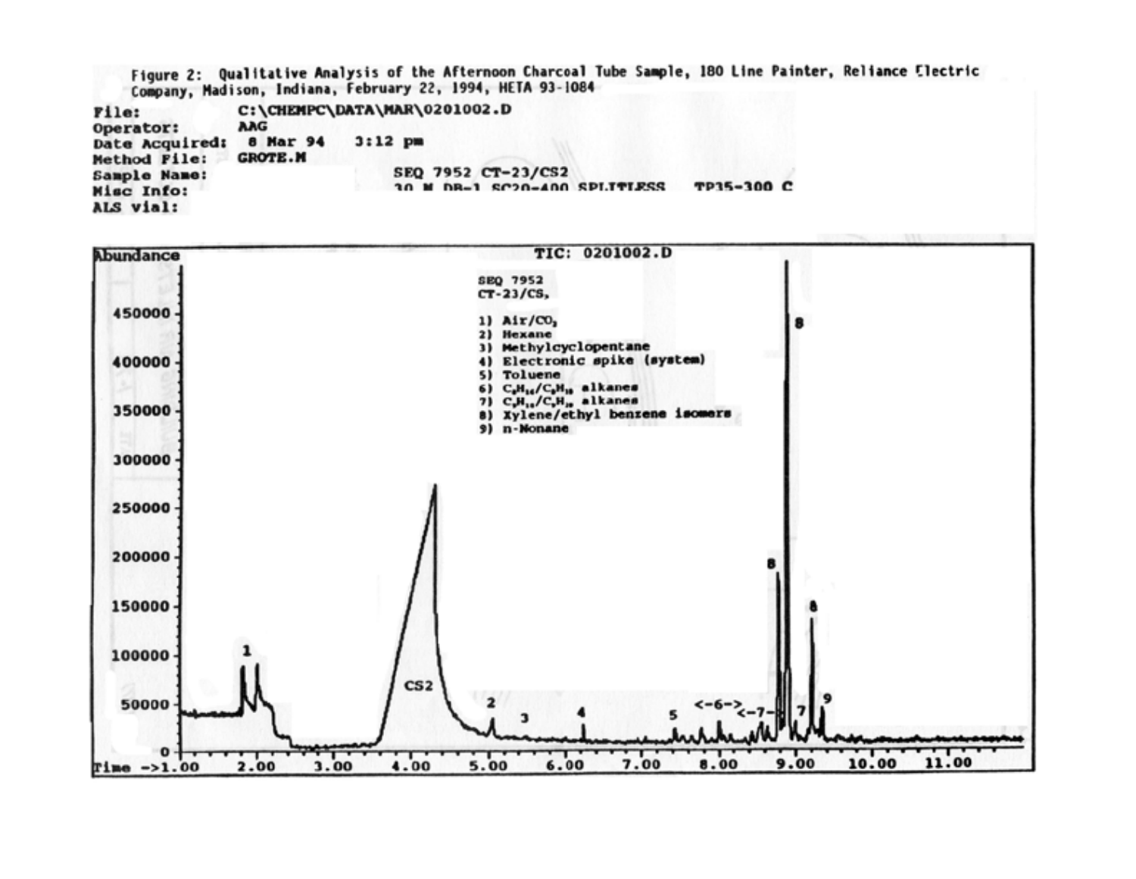Figure 2: Qualitative Analysis of the Afternoon Charcoal Tube Sample, 180 Line Painter, Reliance Electric Company, Madison, Indiana, February 22, 1994, HETA 93-1084

C:\CHEMPC\DATA\MAR\0201002.D File: AAG Operator: Date Acquired: 8 Mar 94  $3:12$  pm **GROTE.M** Method File: **Sample Name:** SEQ 7952 CT-23/CS2 10 M DR-1 SC20-400 SPLITIESS TP15-300 C Misc Info: ALS vial:

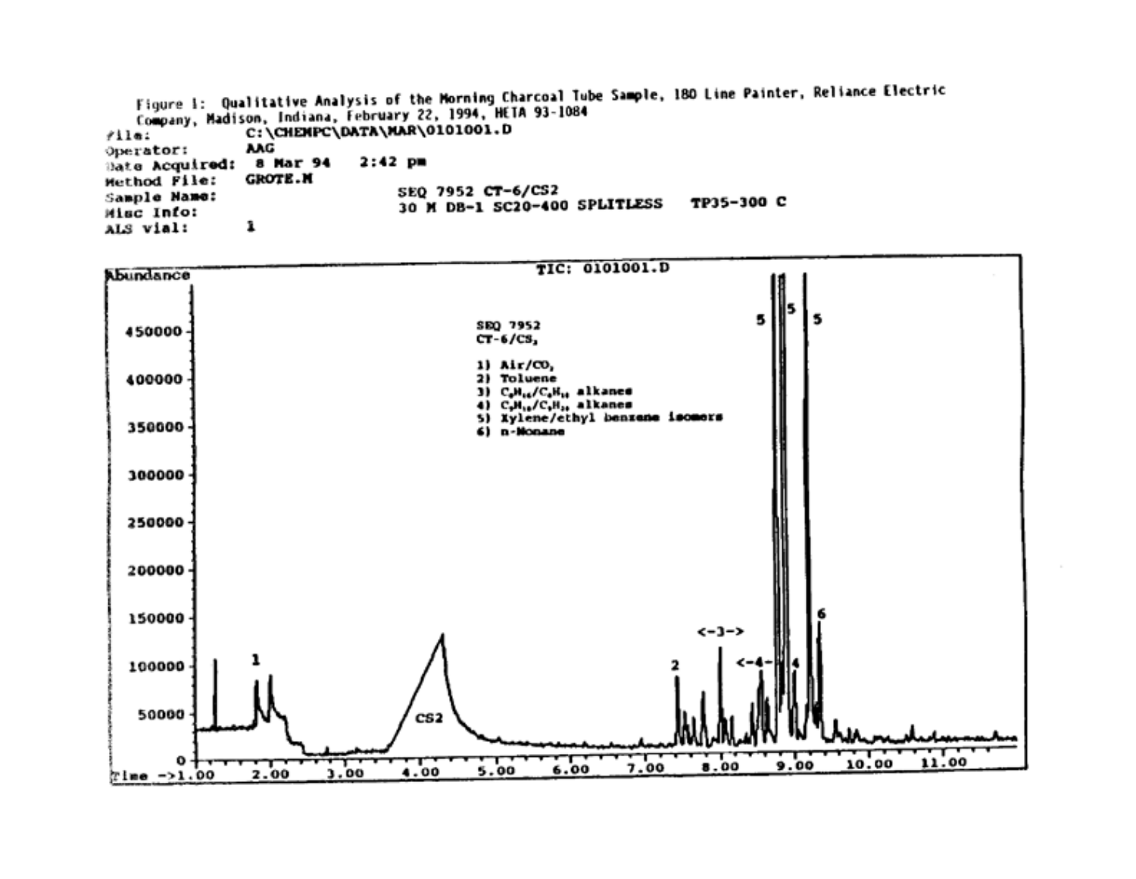Figure 1: Qualitative Analysis of the Morning Charcoal Tube Sample, 180 Line Painter, Reliance Electric Company, Madison, Indiana, February 22, 1994, HETA 93-1084 C:\CHEMPC\DATA\MAR\0101001.D file: AAG Operator: Date Acquired: 8 Mar 94  $2:42$  pm **GROTE.M** Method File: SEQ 7952 CT-6/CS2 Sample Mame: 30 N DB-1 SC20-400 SPLITLESS TP35-300 C Misc Info: ı ALS vial: